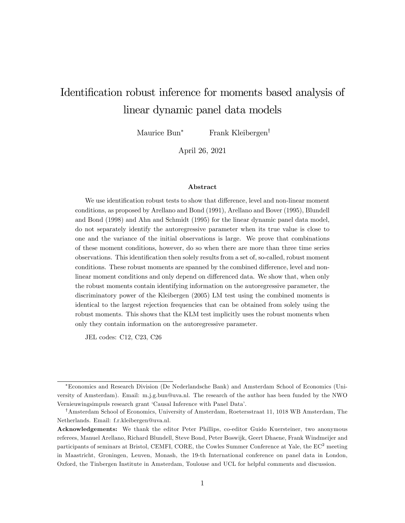# Identification robust inference for moments based analysis of linear dynamic panel data models

Maurice Bun<sup>\*</sup> Frank Kleibergen<sup>†</sup>

April 26, 2021

#### Abstract

We use identification robust tests to show that difference, level and non-linear moment conditions, as proposed by Arellano and Bond (1991), Arellano and Bover (1995), Blundell and Bond (1998) and Ahn and Schmidt (1995) for the linear dynamic panel data model, do not separately identify the autoregressive parameter when its true value is close to one and the variance of the initial observations is large. We prove that combinations of these moment conditions, however, do so when there are more than three time series observations. This identification then solely results from a set of, so-called, robust moment conditions. These robust moments are spanned by the combined difference, level and nonlinear moment conditions and only depend on differenced data. We show that, when only the robust moments contain identifying information on the autoregressive parameter, the discriminatory power of the Kleibergen (2005) LM test using the combined moments is identical to the largest rejection frequencies that can be obtained from solely using the robust moments. This shows that the KLM test implicitly uses the robust moments when only they contain information on the autoregressive parameter.

JEL codes: C12, C23, C26

Economics and Research Division (De Nederlandsche Bank) and Amsterdam School of Economics (University of Amsterdam). Email: m.j.g.bun@uva.nl. The research of the author has been funded by the NWO Vernieuwingsimpuls research grant 'Causal Inference with Panel Data'.

<sup>&</sup>lt;sup>†</sup>Amsterdam School of Economics, University of Amsterdam, Roetersstraat 11, 1018 WB Amsterdam, The Netherlands. Email: f.r.kleibergen@uva.nl.

Acknowledgements: We thank the editor Peter Phillips, co-editor Guido Kuersteiner, two anonymous referees, Manuel Arellano, Richard Blundell, Steve Bond, Peter Boswijk, Geert Dhaene, Frank Windmeijer and participants of seminars at Bristol, CEMFI, CORE, the Cowles Summer Conference at Yale, the EC<sup>2</sup> meeting in Maastricht, Groningen, Leuven, Monash, the 19-th International conference on panel data in London, Oxford, the Tinbergen Institute in Amsterdam, Toulouse and UCL for helpful comments and discussion.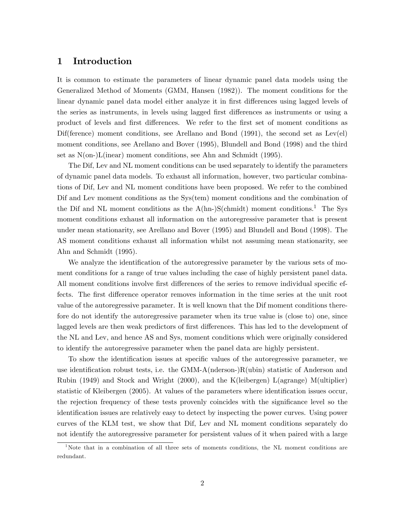# 1 Introduction

It is common to estimate the parameters of linear dynamic panel data models using the Generalized Method of Moments (GMM, Hansen (1982)). The moment conditions for the linear dynamic panel data model either analyze it in first differences using lagged levels of the series as instruments, in levels using lagged first differences as instruments or using a product of levels and first differences. We refer to the first set of moment conditions as Difference) moment conditions, see Arellano and Bond  $(1991)$ , the second set as Lev(el) moment conditions, see Arellano and Bover (1995), Blundell and Bond (1998) and the third set as N(on-)L(inear) moment conditions, see Ahn and Schmidt (1995).

The Dif, Lev and NL moment conditions can be used separately to identify the parameters of dynamic panel data models. To exhaust all information, however, two particular combinations of Dif, Lev and NL moment conditions have been proposed. We refer to the combined Dif and Lev moment conditions as the Sys(tem) moment conditions and the combination of the Dif and NL moment conditions as the  $A(hn-)S(chmidt)$  moment conditions.<sup>1</sup> The Sys moment conditions exhaust all information on the autoregressive parameter that is present under mean stationarity, see Arellano and Bover (1995) and Blundell and Bond (1998). The AS moment conditions exhaust all information whilst not assuming mean stationarity, see Ahn and Schmidt (1995).

We analyze the identification of the autoregressive parameter by the various sets of moment conditions for a range of true values including the case of highly persistent panel data. All moment conditions involve first differences of the series to remove individual specific effects. The first difference operator removes information in the time series at the unit root value of the autoregressive parameter. It is well known that the Dif moment conditions therefore do not identify the autoregressive parameter when its true value is (close to) one, since lagged levels are then weak predictors of first differences. This has led to the development of the NL and Lev, and hence AS and Sys, moment conditions which were originally considered to identify the autoregressive parameter when the panel data are highly persistent.

To show the identification issues at specific values of the autoregressive parameter, we use identification robust tests, i.e. the  $GMM-A(nderson-R(ubin))$  statistic of Anderson and Rubin (1949) and Stock and Wright (2000), and the K(leibergen) L(agrange) M(ultiplier) statistic of Kleibergen (2005). At values of the parameters where identification issues occur, the rejection frequency of these tests provenly coincides with the significance level so the identification issues are relatively easy to detect by inspecting the power curves. Using power curves of the KLM test, we show that Dif, Lev and NL moment conditions separately do not identify the autoregressive parameter for persistent values of it when paired with a large

<sup>&</sup>lt;sup>1</sup>Note that in a combination of all three sets of moments conditions, the NL moment conditions are redundant.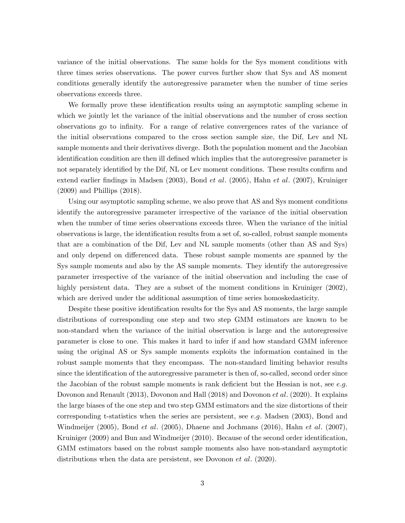variance of the initial observations. The same holds for the Sys moment conditions with three times series observations. The power curves further show that Sys and AS moment conditions generally identify the autoregressive parameter when the number of time series observations exceeds three.

We formally prove these identification results using an asymptotic sampling scheme in which we jointly let the variance of the initial observations and the number of cross section observations go to infinity. For a range of relative convergences rates of the variance of the initial observations compared to the cross section sample size, the Dif, Lev and NL sample moments and their derivatives diverge. Both the population moment and the Jacobian identification condition are then ill defined which implies that the autoregressive parameter is not separately identified by the Dif, NL or Lev moment conditions. These results confirm and extend earlier findings in Madsen (2003), Bond et al. (2005), Hahn et al. (2007), Kruiniger (2009) and Phillips (2018).

Using our asymptotic sampling scheme, we also prove that AS and Sys moment conditions identify the autoregressive parameter irrespective of the variance of the initial observation when the number of time series observations exceeds three. When the variance of the initial observations is large, the identification results from a set of, so-called, robust sample moments that are a combination of the Dif, Lev and NL sample moments (other than AS and Sys) and only depend on differenced data. These robust sample moments are spanned by the Sys sample moments and also by the AS sample moments. They identify the autoregressive parameter irrespective of the variance of the initial observation and including the case of highly persistent data. They are a subset of the moment conditions in Kruiniger (2002), which are derived under the additional assumption of time series homoskedasticity.

Despite these positive identification results for the Sys and AS moments, the large sample distributions of corresponding one step and two step GMM estimators are known to be non-standard when the variance of the initial observation is large and the autoregressive parameter is close to one. This makes it hard to infer if and how standard GMM inference using the original AS or Sys sample moments exploits the information contained in the robust sample moments that they encompass. The non-standard limiting behavior results since the identification of the autoregressive parameter is then of, so-called, second order since the Jacobian of the robust sample moments is rank deficient but the Hessian is not, see e.g. Dovonon and Renault (2013), Dovonon and Hall (2018) and Dovonon *et al.* (2020). It explains the large biases of the one step and two step GMM estimators and the size distortions of their corresponding t-statistics when the series are persistent, see e:g: Madsen (2003), Bond and Windmeijer (2005), Bond et al. (2005), Dhaene and Jochmans (2016), Hahn et al. (2007), Kruiniger (2009) and Bun and Windmeijer (2010). Because of the second order identification, GMM estimators based on the robust sample moments also have non-standard asymptotic distributions when the data are persistent, see Dovonon *et al.* (2020).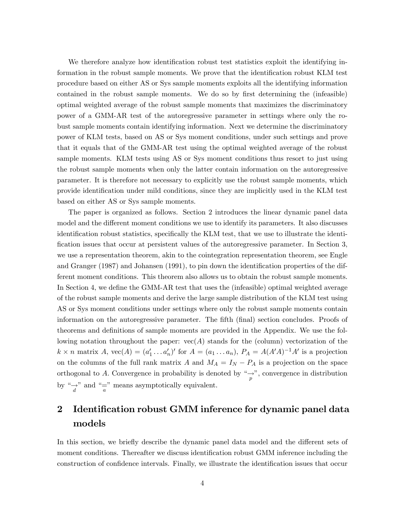We therefore analyze how identification robust test statistics exploit the identifying information in the robust sample moments. We prove that the identification robust KLM test procedure based on either AS or Sys sample moments exploits all the identifying information contained in the robust sample moments. We do so by first determining the (infeasible) optimal weighted average of the robust sample moments that maximizes the discriminatory power of a GMM-AR test of the autoregressive parameter in settings where only the robust sample moments contain identifying information. Next we determine the discriminatory power of KLM tests, based on AS or Sys moment conditions, under such settings and prove that it equals that of the GMM-AR test using the optimal weighted average of the robust sample moments. KLM tests using AS or Sys moment conditions thus resort to just using the robust sample moments when only the latter contain information on the autoregressive parameter. It is therefore not necessary to explicitly use the robust sample moments, which provide identification under mild conditions, since they are implicitly used in the KLM test based on either AS or Sys sample moments.

The paper is organized as follows. Section 2 introduces the linear dynamic panel data model and the different moment conditions we use to identify its parameters. It also discusses identification robust statistics, specifically the KLM test, that we use to illustrate the identification issues that occur at persistent values of the autoregressive parameter. In Section 3, we use a representation theorem, akin to the cointegration representation theorem, see Engle and Granger  $(1987)$  and Johansen  $(1991)$ , to pin down the identification properties of the different moment conditions. This theorem also allows us to obtain the robust sample moments. In Section 4, we define the GMM-AR test that uses the (infeasible) optimal weighted average of the robust sample moments and derive the large sample distribution of the KLM test using AS or Sys moment conditions under settings where only the robust sample moments contain information on the autoregressive parameter. The fifth (final) section concludes. Proofs of theorems and definitions of sample moments are provided in the Appendix. We use the following notation throughout the paper:  $vec(A)$  stands for the (column) vectorization of the  $k \times n$  matrix  $A$ ,  $\text{vec}(A) = (a'_1 \dots a'_n)'$  for  $A = (a_1 \dots a_n)$ ,  $P_A = A(A'A)^{-1}A'$  is a projection on the columns of the full rank matrix A and  $M_A = I_N - P_A$  is a projection on the space orthogonal to A. Convergence in probability is denoted by  $\frac{a}{p}$ , convergence in distribution by " $\rightarrow$ " and "=" means asymptotically equivalent.

# 2 Identification robust GMM inference for dynamic panel data models

In this section, we briefly describe the dynamic panel data model and the different sets of moment conditions. Thereafter we discuss identification robust GMM inference including the construction of confidence intervals. Finally, we illustrate the identification issues that occur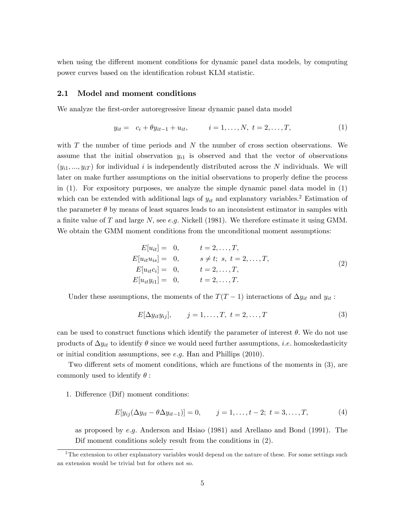when using the different moment conditions for dynamic panel data models, by computing power curves based on the identification robust KLM statistic.

### 2.1 Model and moment conditions

We analyze the first-order autoregressive linear dynamic panel data model

$$
y_{it} = c_i + \theta y_{it-1} + u_{it}, \qquad i = 1, ..., N, \ t = 2, ..., T,
$$
 (1)

with  $T$  the number of time periods and  $N$  the number of cross section observations. We assume that the initial observation  $y_{i1}$  is observed and that the vector of observations  $(y_{i1},..., y_{iT})$  for individual i is independently distributed across the N individuals. We will later on make further assumptions on the initial observations to properly define the process in (1). For expository purposes, we analyze the simple dynamic panel data model in (1) which can be extended with additional lags of  $y_{it}$  and explanatory variables.<sup>2</sup> Estimation of the parameter  $\theta$  by means of least squares leads to an inconsistent estimator in samples with a finite value of T and large N, see e.g. Nickell (1981). We therefore estimate it using GMM. We obtain the GMM moment conditions from the unconditional moment assumptions:

$$
E[u_{it}] = 0, \t t = 2,...,T,\nE[u_{it}u_{is}] = 0, \t s \neq t; s, t = 2,...,T,\nE[u_{it}c_{i}] = 0, \t t = 2,...,T,\nE[u_{it}y_{i1}] = 0, \t t = 2,...,T.
$$
\n(2)

Under these assumptions, the moments of the  $T(T - 1)$  interactions of  $\Delta y_{it}$  and  $y_{it}$ :

$$
E[\Delta y_{it}y_{ij}], \qquad j=1,\ldots,T, \ t=2,\ldots,T
$$
 (3)

can be used to construct functions which identify the parameter of interest  $\theta$ . We do not use products of  $\Delta y_{it}$  to identify  $\theta$  since we would need further assumptions, *i.e.* homoskedasticity or initial condition assumptions, see  $e.g.$  Han and Phillips  $(2010).$ 

Two different sets of moment conditions, which are functions of the moments in  $(3)$ , are commonly used to identify  $\theta$ :

#### 1. Difference (Dif) moment conditions:

$$
E[y_{ij}(\Delta y_{it} - \theta \Delta y_{it-1})] = 0, \qquad j = 1, ..., t - 2; \ t = 3, ..., T,
$$
 (4)

as proposed by e:g: Anderson and Hsiao (1981) and Arellano and Bond (1991). The Dif moment conditions solely result from the conditions in (2).

 $2$ The extension to other explanatory variables would depend on the nature of these. For some settings such an extension would be trivial but for others not so.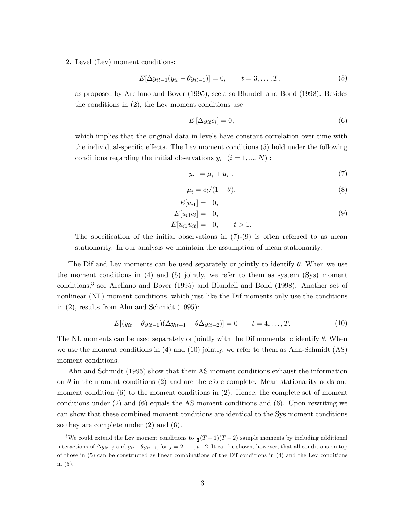2. Level (Lev) moment conditions:

$$
E[\Delta y_{it-1}(y_{it} - \theta y_{it-1})] = 0, \qquad t = 3, ..., T,
$$
\n(5)

as proposed by Arellano and Bover (1995), see also Blundell and Bond (1998). Besides the conditions in (2), the Lev moment conditions use

$$
E\left[\Delta y_{it}c_i\right] = 0,\t\t(6)
$$

which implies that the original data in levels have constant correlation over time with the individual-specific effects. The Lev moment conditions (5) hold under the following conditions regarding the initial observations  $y_{i1}$   $(i = 1, ..., N)$ :

$$
y_{i1} = \mu_i + u_{i1},\tag{7}
$$

$$
\mu_i = c_i/(1-\theta),\tag{8}
$$

$$
E[u_{i1}] = 0,E[u_{i1}c_i] = 0,E[u_{i1}u_{it}] = 0, \t t > 1.
$$
\n(9)

The specification of the initial observations in  $(7)-(9)$  is often referred to as mean stationarity. In our analysis we maintain the assumption of mean stationarity.

The Dif and Lev moments can be used separately or jointly to identify  $\theta$ . When we use the moment conditions in (4) and (5) jointly, we refer to them as system (Sys) moment conditions,<sup>3</sup> see Arellano and Bover (1995) and Blundell and Bond (1998). Another set of nonlinear (NL) moment conditions, which just like the Dif moments only use the conditions in (2), results from Ahn and Schmidt (1995):

$$
E[(y_{it} - \theta y_{it-1})(\Delta y_{it-1} - \theta \Delta y_{it-2})] = 0 \qquad t = 4, ..., T.
$$
 (10)

The NL moments can be used separately or jointly with the Dif moments to identify  $\theta$ . When we use the moment conditions in (4) and (10) jointly, we refer to them as Ahn-Schmidt (AS) moment conditions.

Ahn and Schmidt (1995) show that their AS moment conditions exhaust the information on  $\theta$  in the moment conditions (2) and are therefore complete. Mean stationarity adds one moment condition (6) to the moment conditions in (2). Hence, the complete set of moment conditions under (2) and (6) equals the AS moment conditions and (6). Upon rewriting we can show that these combined moment conditions are identical to the Sys moment conditions so they are complete under (2) and (6).

<sup>&</sup>lt;sup>3</sup>We could extend the Lev moment conditions to  $\frac{1}{2}(T-1)(T-2)$  sample moments by including additional interactions of  $\Delta y_{it-j}$  and  $y_{it} - \theta y_{it-1}$ , for  $j = 2, \ldots, t-2$ . It can be shown, however, that all conditions on top of those in (5) can be constructed as linear combinations of the Dif conditions in (4) and the Lev conditions in (5).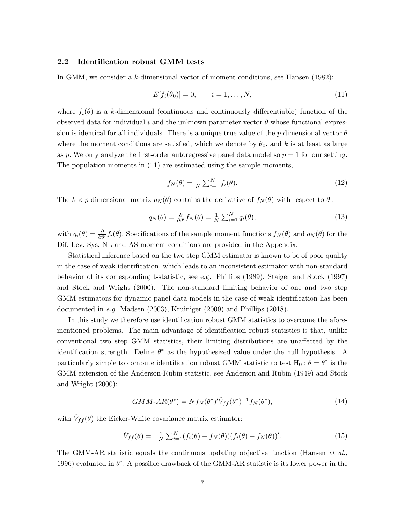# 2.2 Identification robust GMM tests

In GMM, we consider a k-dimensional vector of moment conditions, see Hansen (1982):

$$
E[f_i(\theta_0)] = 0, \qquad i = 1, \dots, N,
$$
\n(11)

where  $f_i(\theta)$  is a k-dimensional (continuous and continuously differentiable) function of the observed data for individual i and the unknown parameter vector  $\theta$  whose functional expression is identical for all individuals. There is a unique true value of the p-dimensional vector  $\theta$ where the moment conditions are satisfied, which we denote by  $\theta_0$ , and k is at least as large as p. We only analyze the first-order autoregressive panel data model so  $p = 1$  for our setting. The population moments in (11) are estimated using the sample moments,

$$
f_N(\theta) = \frac{1}{N} \sum_{i=1}^N f_i(\theta). \tag{12}
$$

The  $k \times p$  dimensional matrix  $q_N(\theta)$  contains the derivative of  $f_N(\theta)$  with respect to  $\theta$ :

$$
q_N(\theta) = \frac{\partial}{\partial \theta'} f_N(\theta) = \frac{1}{N} \sum_{i=1}^N q_i(\theta), \qquad (13)
$$

with  $q_i(\theta) = \frac{\partial}{\partial \theta'} f_i(\theta)$ . Specifications of the sample moment functions  $f_N(\theta)$  and  $q_N(\theta)$  for the Dif, Lev, Sys, NL and AS moment conditions are provided in the Appendix.

Statistical inference based on the two step GMM estimator is known to be of poor quality in the case of weak identification, which leads to an inconsistent estimator with non-standard behavior of its corresponding t-statistic, see e.g. Phillips (1989), Staiger and Stock (1997) and Stock and Wright (2000). The non-standard limiting behavior of one and two step GMM estimators for dynamic panel data models in the case of weak identification has been documented in e.g. Madsen (2003), Kruiniger (2009) and Phillips (2018).

In this study we therefore use identification robust GMM statistics to overcome the aforementioned problems. The main advantage of identification robust statistics is that, unlike conventional two step GMM statistics, their limiting distributions are unaffected by the identification strength. Define  $\theta^*$  as the hypothesized value under the null hypothesis. A particularly simple to compute identification robust GMM statistic to test  $H_0$  :  $\theta = \theta^*$  is the GMM extension of the Anderson-Rubin statistic, see Anderson and Rubin (1949) and Stock and Wright (2000):

$$
GMM \text{-} AR(\theta^*) = N f_N(\theta^*)' \hat{V}_{ff}(\theta^*)^{-1} f_N(\theta^*), \tag{14}
$$

with  $\hat{V}_{ff} (\theta)$  the Eicker-White covariance matrix estimator:

$$
\hat{V}_{ff}(\theta) = \frac{1}{N} \sum_{i=1}^{N} (f_i(\theta) - f_N(\theta)) (f_i(\theta) - f_N(\theta))'. \tag{15}
$$

The GMM-AR statistic equals the continuous updating objective function (Hansen *et al.*, 1996) evaluated in  $\theta^*$ . A possible drawback of the GMM-AR statistic is its lower power in the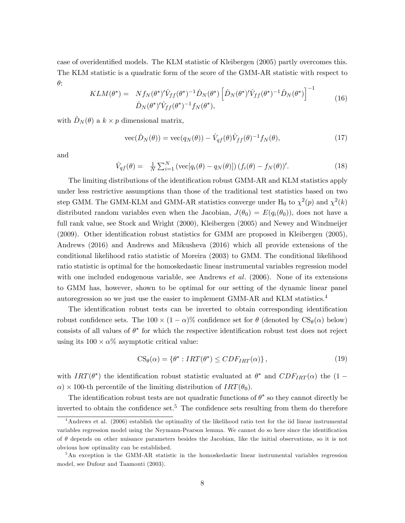case of overidentified models. The KLM statistic of Kleibergen (2005) partly overcomes this. The KLM statistic is a quadratic form of the score of the GMM-AR statistic with respect to  $\theta$ :

$$
KLM(\theta^*) = Nf_N(\theta^*)'\hat{V}_{ff}(\theta^*)^{-1}\hat{D}_N(\theta^*)\left[\hat{D}_N(\theta^*)'\hat{V}_{ff}(\theta^*)^{-1}\hat{D}_N(\theta^*)\right]^{-1}
$$
  

$$
\hat{D}_N(\theta^*)'\hat{V}_{ff}(\theta^*)^{-1}f_N(\theta^*),
$$
 (16)

with  $\hat{D}_N (\theta)$  a  $k \times p$  dimensional matrix,

$$
\text{vec}(\hat{D}_N(\theta)) = \text{vec}(q_N(\theta)) - \hat{V}_{qf}(\theta)\hat{V}_{ff}(\theta)^{-1}f_N(\theta), \tag{17}
$$

and

$$
\hat{V}_{qf}(\theta) = \frac{1}{N} \sum_{i=1}^{N} \left( \text{vec}[q_i(\theta) - q_N(\theta)] \right) (f_i(\theta) - f_N(\theta))'. \tag{18}
$$

The limiting distributions of the identification robust GMM-AR and KLM statistics apply under less restrictive assumptions than those of the traditional test statistics based on two step GMM. The GMM-KLM and GMM-AR statistics converge under  $H_0$  to  $\chi^2(p)$  and  $\chi^2(k)$ distributed random variables even when the Jacobian,  $J(\theta_0) = E(q_i(\theta_0))$ , does not have a full rank value, see Stock and Wright (2000), Kleibergen (2005) and Newey and Windmeijer  $(2009)$ . Other identification robust statistics for GMM are proposed in Kleibergen  $(2005)$ , Andrews (2016) and Andrews and Mikusheva (2016) which all provide extensions of the conditional likelihood ratio statistic of Moreira (2003) to GMM. The conditional likelihood ratio statistic is optimal for the homoskedastic linear instrumental variables regression model with one included endogenous variable, see Andrews *et al.*  $(2006)$ . None of its extensions to GMM has, however, shown to be optimal for our setting of the dynamic linear panel autoregression so we just use the easier to implement GMM-AR and KLM statistics.<sup>4</sup>

The identification robust tests can be inverted to obtain corresponding identification robust confidence sets. The  $100 \times (1 - \alpha)$ % confidence set for  $\theta$  (denoted by  $CS_{\theta}(\alpha)$  below) consists of all values of  $\theta^*$  for which the respective identification robust test does not reject using its  $100 \times \alpha\%$  asymptotic critical value:

$$
CS_{\theta}(\alpha) = \{ \theta^* : IRT(\theta^*) \le CDF_{IRT}(\alpha) \},\tag{19}
$$

with  $IRT(\theta^*)$  the identification robust statistic evaluated at  $\theta^*$  and  $CDF_{IRT}(\alpha)$  the  $(1 \alpha$ ) × 100-th percentile of the limiting distribution of  $IRT(\theta_0)$ .

The identification robust tests are not quadratic functions of  $\theta^*$  so they cannot directly be inverted to obtain the confidence set.<sup>5</sup> The confidence sets resulting from them do therefore

<sup>&</sup>lt;sup>4</sup>Andrews et al. (2006) establish the optimality of the likelihood ratio test for the iid linear instrumental variables regression model using the Neymann-Pearson lemma. We cannot do so here since the identification of  $\theta$  depends on other nuisance parameters besides the Jacobian, like the initial observations, so it is not obvious how optimality can be established.

<sup>&</sup>lt;sup>5</sup>An exception is the GMM-AR statistic in the homoskedastic linear instrumental variables regression model, see Dufour and Taamouti (2003).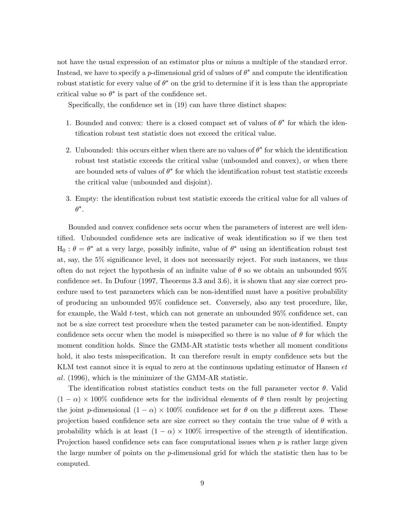not have the usual expression of an estimator plus or minus a multiple of the standard error. Instead, we have to specify a *p*-dimensional grid of values of  $\theta^*$  and compute the identification robust statistic for every value of  $\theta^*$  on the grid to determine if it is less than the appropriate critical value so  $\theta^*$  is part of the confidence set.

Specifically, the confidence set in  $(19)$  can have three distinct shapes:

- 1. Bounded and convex: there is a closed compact set of values of  $\theta^*$  for which the identification robust test statistic does not exceed the critical value.
- 2. Unbounded: this occurs either when there are no values of  $\theta^*$  for which the identification robust test statistic exceeds the critical value (unbounded and convex), or when there are bounded sets of values of  $\theta^*$  for which the identification robust test statistic exceeds the critical value (unbounded and disjoint).
- 3. Empty: the identification robust test statistic exceeds the critical value for all values of  $\theta^*$ .

Bounded and convex confidence sets occur when the parameters of interest are well identified. Unbounded confidence sets are indicative of weak identification so if we then test  $H_0: \theta = \theta^*$  at a very large, possibly infinite, value of  $\theta^*$  using an identification robust test at, say, the  $5\%$  significance level, it does not necessarily reject. For such instances, we thus often do not reject the hypothesis of an infinite value of  $\theta$  so we obtain an unbounded 95% confidence set. In Dufour (1997, Theorems 3.3 and 3.6), it is shown that any size correct procedure used to test parameters which can be non-identified must have a positive probability of producing an unbounded  $95\%$  confidence set. Conversely, also any test procedure, like, for example, the Wald  $t$ -test, which can not generate an unbounded  $95\%$  confidence set, can not be a size correct test procedure when the tested parameter can be non-identified. Empty confidence sets occur when the model is misspecified so there is no value of  $\theta$  for which the moment condition holds. Since the GMM-AR statistic tests whether all moment conditions hold, it also tests misspecification. It can therefore result in empty confidence sets but the KLM test cannot since it is equal to zero at the continuous updating estimator of Hansen *et* al: (1996), which is the minimizer of the GMM-AR statistic.

The identification robust statistics conduct tests on the full parameter vector  $\theta$ . Valid  $(1 - \alpha) \times 100\%$  confidence sets for the individual elements of  $\theta$  then result by projecting the joint p-dimensional  $(1 - \alpha) \times 100\%$  confidence set for  $\theta$  on the p different axes. These projection based confidence sets are size correct so they contain the true value of  $\theta$  with a probability which is at least  $(1 - \alpha) \times 100\%$  irrespective of the strength of identification. Projection based confidence sets can face computational issues when  $p$  is rather large given the large number of points on the p-dimensional grid for which the statistic then has to be computed.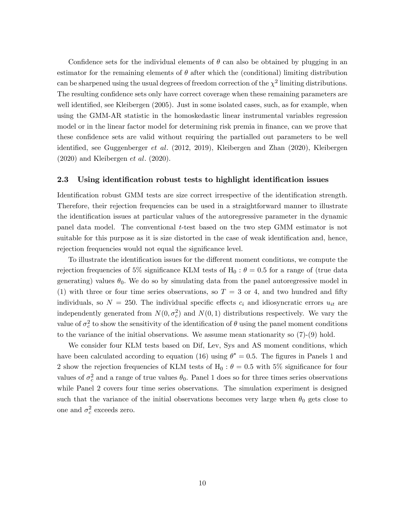Confidence sets for the individual elements of  $\theta$  can also be obtained by plugging in an estimator for the remaining elements of  $\theta$  after which the (conditional) limiting distribution can be sharpened using the usual degrees of freedom correction of the  $\chi^2$  limiting distributions. The resulting confidence sets only have correct coverage when these remaining parameters are well identified, see Kleibergen (2005). Just in some isolated cases, such, as for example, when using the GMM-AR statistic in the homoskedastic linear instrumental variables regression model or in the linear factor model for determining risk premia in finance, can we prove that these confidence sets are valid without requiring the partialled out parameters to be well identified, see Guggenberger *et al.* (2012, 2019), Kleibergen and Zhan (2020), Kleibergen  $(2020)$  and Kleibergen *et al.*  $(2020)$ .

# 2.3 Using identification robust tests to highlight identification issues

Identification robust GMM tests are size correct irrespective of the identification strength. Therefore, their rejection frequencies can be used in a straightforward manner to illustrate the identification issues at particular values of the autoregressive parameter in the dynamic panel data model. The conventional t-test based on the two step GMM estimator is not suitable for this purpose as it is size distorted in the case of weak identification and, hence, rejection frequencies would not equal the significance level.

To illustrate the identification issues for the different moment conditions, we compute the rejection frequencies of 5% significance KLM tests of  $H_0$ :  $\theta = 0.5$  for a range of (true data generating) values  $\theta_0$ . We do so by simulating data from the panel autoregressive model in (1) with three or four time series observations, so  $T = 3$  or 4, and two hundred and fifty individuals, so  $N = 250$ . The individual specific effects  $c_i$  and idiosyncratic errors  $u_{it}$  are independently generated from  $N(0, \sigma_c^2)$  and  $N(0, 1)$  distributions respectively. We vary the value of  $\sigma_c^2$  to show the sensitivity of the identification of  $\theta$  using the panel moment conditions to the variance of the initial observations. We assume mean stationarity so  $(7)-(9)$  hold.

We consider four KLM tests based on Dif, Lev, Sys and AS moment conditions, which have been calculated according to equation (16) using  $\theta^* = 0.5$ . The figures in Panels 1 and 2 show the rejection frequencies of KLM tests of  $H_0$  :  $\theta = 0.5$  with 5% significance for four values of  $\sigma_c^2$  and a range of true values  $\theta_0$ . Panel 1 does so for three times series observations while Panel 2 covers four time series observations. The simulation experiment is designed such that the variance of the initial observations becomes very large when  $\theta_0$  gets close to one and  $\sigma_c^2$  exceeds zero.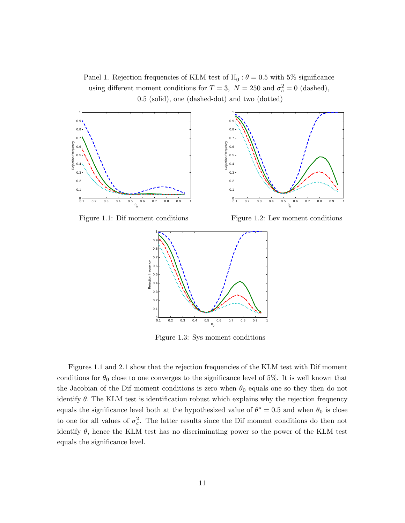Panel 1. Rejection frequencies of KLM test of  $H_0$ :  $\theta = 0.5$  with 5% significance using different moment conditions for  $T = 3$ ,  $N = 250$  and  $\sigma_c^2 = 0$  (dashed), 0.5 (solid), one (dashed-dot) and two (dotted)



Figure 1.1: Dif moment conditions Figure 1.2: Lev moment conditions



Figure 1.3: Sys moment conditions

Figures 1.1 and 2.1 show that the rejection frequencies of the KLM test with Dif moment conditions for  $\theta_0$  close to one converges to the significance level of 5%. It is well known that the Jacobian of the Dif moment conditions is zero when  $\theta_0$  equals one so they then do not identify  $\theta$ . The KLM test is identification robust which explains why the rejection frequency equals the significance level both at the hypothesized value of  $\theta^* = 0.5$  and when  $\theta_0$  is close to one for all values of  $\sigma_c^2$ . The latter results since the Dif moment conditions do then not identify  $\theta$ , hence the KLM test has no discriminating power so the power of the KLM test equals the significance level.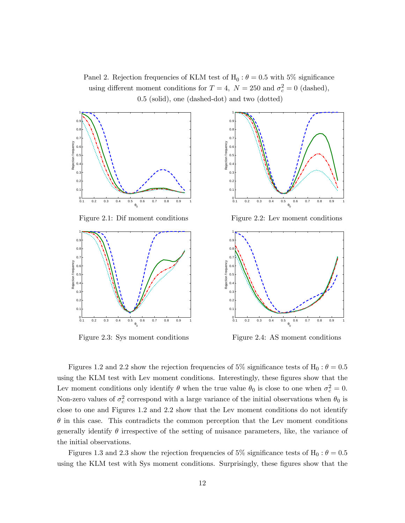Panel 2. Rejection frequencies of KLM test of  $H_0$ :  $\theta = 0.5$  with 5% significance using different moment conditions for  $T = 4$ ,  $N = 250$  and  $\sigma_c^2 = 0$  (dashed), 0.5 (solid), one (dashed-dot) and two (dotted)



Figure 2.3: Sys moment conditions Figure 2.4: AS moment conditions

Figures 1.2 and 2.2 show the rejection frequencies of 5% significance tests of  $H_0$  :  $\theta = 0.5$ using the KLM test with Lev moment conditions. Interestingly, these figures show that the Lev moment conditions only identify  $\theta$  when the true value  $\theta_0$  is close to one when  $\sigma_c^2 = 0$ . Non-zero values of  $\sigma_c^2$  correspond with a large variance of the initial observations when  $\theta_0$  is close to one and Figures 1.2 and 2.2 show that the Lev moment conditions do not identify  $\theta$  in this case. This contradicts the common perception that the Lev moment conditions generally identify  $\theta$  irrespective of the setting of nuisance parameters, like, the variance of the initial observations.

Figures 1.3 and 2.3 show the rejection frequencies of 5% significance tests of H<sub>0</sub> :  $\theta = 0.5$ using the KLM test with Sys moment conditions. Surprisingly, these figures show that the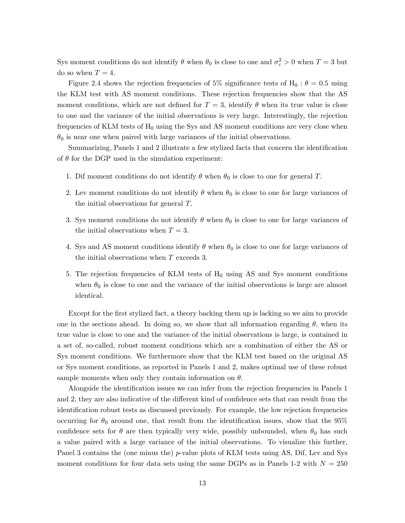Sys moment conditions do not identify  $\theta$  when  $\theta_0$  is close to one and  $\sigma_c^2 > 0$  when  $T = 3$  but do so when  $T = 4$ .

Figure 2.4 shows the rejection frequencies of 5% significance tests of H<sub>0</sub> :  $\theta = 0.5$  using the KLM test with AS moment conditions. These rejection frequencies show that the AS moment conditions, which are not defined for  $T = 3$ , identify  $\theta$  when its true value is close to one and the variance of the initial observations is very large. Interestingly, the rejection frequencies of KLM tests of  $H_0$  using the Sys and AS moment conditions are very close when  $\theta_0$  is near one when paired with large variances of the initial observations.

Summarizing, Panels 1 and 2 illustrate a few stylized facts that concern the identification of  $\theta$  for the DGP used in the simulation experiment:

- 1. Dif moment conditions do not identify  $\theta$  when  $\theta_0$  is close to one for general T.
- 2. Lev moment conditions do not identify  $\theta$  when  $\theta_0$  is close to one for large variances of the initial observations for general  $T$ .
- 3. Sys moment conditions do not identify  $\theta$  when  $\theta_0$  is close to one for large variances of the initial observations when  $T = 3$ .
- 4. Sys and AS moment conditions identify  $\theta$  when  $\theta_0$  is close to one for large variances of the initial observations when  $T$  exceeds 3.
- 5. The rejection frequencies of KLM tests of  $H_0$  using AS and Sys moment conditions when  $\theta_0$  is close to one and the variance of the initial observations is large are almost identical.

Except for the first stylized fact, a theory backing them up is lacking so we aim to provide one in the sections ahead. In doing so, we show that all information regarding  $\theta$ , when its true value is close to one and the variance of the initial observations is large, is contained in a set of, so-called, robust moment conditions which are a combination of either the AS or Sys moment conditions. We furthermore show that the KLM test based on the original AS or Sys moment conditions, as reported in Panels 1 and 2, makes optimal use of these robust sample moments when only they contain information on  $\theta$ .

Alongside the identification issues we can infer from the rejection frequencies in Panels 1 and 2, they are also indicative of the different kind of confidence sets that can result from the identification robust tests as discussed previously. For example, the low rejection frequencies occurring for  $\theta_0$  around one, that result from the identification issues, show that the 95% confidence sets for  $\theta$  are then typically very wide, possibly unbounded, when  $\theta_0$  has such a value paired with a large variance of the initial observations. To visualize this further, Panel 3 contains the (one minus the) p-value plots of KLM tests using AS, Dif, Lev and Sys moment conditions for four data sets using the same DGPs as in Panels 1-2 with  $N = 250$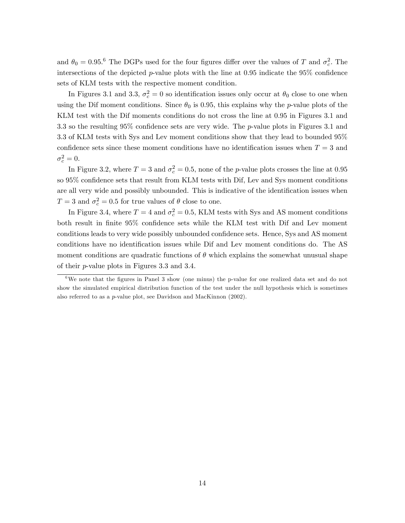and  $\theta_0 = 0.95$ .<sup>6</sup> The DGPs used for the four figures differ over the values of T and  $\sigma_c^2$ . The intersections of the depicted p-value plots with the line at  $0.95$  indicate the  $95\%$  confidence sets of KLM tests with the respective moment condition.

In Figures 3.1 and 3.3,  $\sigma_c^2 = 0$  so identification issues only occur at  $\theta_0$  close to one when using the Dif moment conditions. Since  $\theta_0$  is 0.95, this explains why the p-value plots of the KLM test with the Dif moments conditions do not cross the line at 0.95 in Figures 3.1 and 3.3 so the resulting  $95\%$  confidence sets are very wide. The p-value plots in Figures 3.1 and 3.3 of KLM tests with Sys and Lev moment conditions show that they lead to bounded 95% confidence sets since these moment conditions have no identification issues when  $T = 3$  and  $\sigma_c^2=0.$ 

In Figure 3.2, where  $T = 3$  and  $\sigma_c^2 = 0.5$ , none of the *p*-value plots crosses the line at 0.95 so 95% confidence sets that result from KLM tests with Dif, Lev and Sys moment conditions are all very wide and possibly unbounded. This is indicative of the identification issues when  $T = 3$  and  $\sigma_c^2 = 0.5$  for true values of  $\theta$  close to one.

In Figure 3.4, where  $T = 4$  and  $\sigma_c^2 = 0.5$ , KLM tests with Sys and AS moment conditions both result in finite 95% confidence sets while the KLM test with Dif and Lev moment conditions leads to very wide possibly unbounded confidence sets. Hence, Sys and AS moment conditions have no identification issues while Dif and Lev moment conditions do. The AS moment conditions are quadratic functions of  $\theta$  which explains the somewhat unusual shape of their p-value plots in Figures 3.3 and 3.4.

 $6$ We note that the figures in Panel 3 show (one minus) the p-value for one realized data set and do not show the simulated empirical distribution function of the test under the null hypothesis which is sometimes also referred to as a p-value plot, see Davidson and MacKinnon (2002).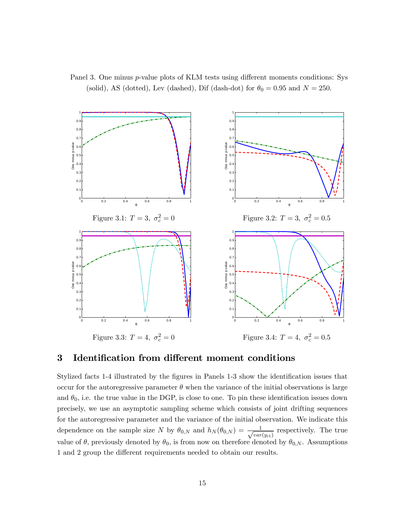



# 3 Identification from different moment conditions

Stylized facts 1-4 illustrated by the figures in Panels 1-3 show the identification issues that occur for the autoregressive parameter  $\theta$  when the variance of the initial observations is large and  $\theta_0$ , i.e. the true value in the DGP, is close to one. To pin these identification issues down precisely, we use an asymptotic sampling scheme which consists of joint drifting sequences for the autoregressive parameter and the variance of the initial observation. We indicate this dependence on the sample size N by  $\theta_{0,N}$  and  $h_N(\theta_{0,N}) = \frac{1}{\sqrt{var}}$  $\frac{1}{var(y_{i1})}$  respectively. The true value of  $\theta$ , previously denoted by  $\theta_0$ , is from now on therefore denoted by  $\theta_{0,N}$ . Assumptions 1 and 2 group the different requirements needed to obtain our results.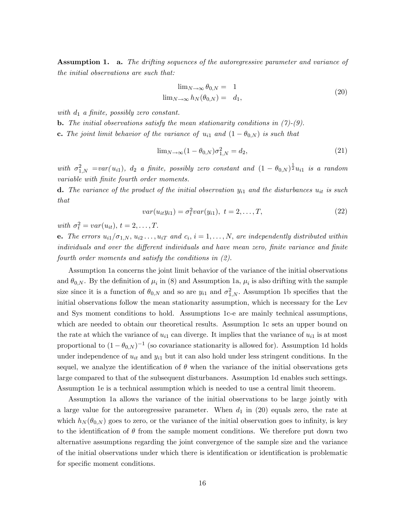**Assumption 1.** a. The drifting sequences of the autoregressive parameter and variance of the initial observations are such that:

$$
\lim_{N \to \infty} \theta_{0,N} = 1
$$
  

$$
\lim_{N \to \infty} h_N(\theta_{0,N}) = d_1,
$$
 (20)

with  $d_1$  a finite, possibly zero constant.

**b.** The initial observations satisfy the mean stationarity conditions in  $(7)-(9)$ .

**c.** The joint limit behavior of the variance of  $u_{i1}$  and  $(1 - \theta_{0,N})$  is such that

$$
\lim_{N \to \infty} (1 - \theta_{0,N}) \sigma_{1,N}^2 = d_2,
$$
\n(21)

with  $\sigma_{1,N}^2 = var(u_{i1}), d_2$  a finite, possibly zero constant and  $(1 - \theta_{0,N})^{\frac{1}{2}}u_{i1}$  is a random variable with finite fourth order moments.

**d.** The variance of the product of the initial observation  $y_{i1}$  and the disturbances  $u_{it}$  is such that

$$
var(u_{it}y_{i1}) = \sigma_t^2 var(y_{i1}), \ t = 2, ..., T,
$$
\n(22)

with  $\sigma_t^2 = var(u_{it}), t = 2, \ldots, T.$ 

**e.** The errors  $u_{i1}/\sigma_{1,N}$ ,  $u_{i2} \ldots, u_{iT}$  and  $c_i$ ,  $i = 1, \ldots, N$ , are independently distributed within individuals and over the different individuals and have mean zero, finite variance and finite fourth order moments and satisfy the conditions in (2).

Assumption 1a concerns the joint limit behavior of the variance of the initial observations and  $\theta_{0,N}$ . By the definition of  $\mu_i$  in (8) and Assumption 1a,  $\mu_i$  is also drifting with the sample size since it is a function of  $\theta_{0,N}$  and so are  $y_{i1}$  and  $\sigma_{1,N}^2$ . Assumption 1b specifies that the initial observations follow the mean stationarity assumption, which is necessary for the Lev and Sys moment conditions to hold. Assumptions 1c-e are mainly technical assumptions, which are needed to obtain our theoretical results. Assumption 1c sets an upper bound on the rate at which the variance of  $u_{i1}$  can diverge. It implies that the variance of  $u_{i1}$  is at most proportional to  $(1 - \theta_{0,N})^{-1}$  (so covariance stationarity is allowed for). Assumption 1d holds under independence of  $u_{it}$  and  $y_{i1}$  but it can also hold under less stringent conditions. In the sequel, we analyze the identification of  $\theta$  when the variance of the initial observations gets large compared to that of the subsequent disturbances. Assumption 1d enables such settings. Assumption 1e is a technical assumption which is needed to use a central limit theorem.

Assumption 1a allows the variance of the initial observations to be large jointly with a large value for the autoregressive parameter. When  $d_1$  in (20) equals zero, the rate at which  $h_N(\theta_{0,N})$  goes to zero, or the variance of the initial observation goes to infinity, is key to the identification of  $\theta$  from the sample moment conditions. We therefore put down two alternative assumptions regarding the joint convergence of the sample size and the variance of the initial observations under which there is identification or identification is problematic for specific moment conditions.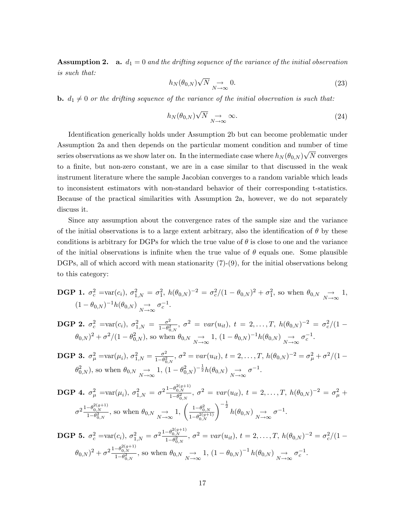**Assumption 2.** a.  $d_1 = 0$  and the drifting sequence of the variance of the initial observation is such that:

$$
h_N(\theta_{0,N})\sqrt{N} \underset{N \to \infty}{\to} 0. \tag{23}
$$

**b.**  $d_1 \neq 0$  or the drifting sequence of the variance of the initial observation is such that:

$$
h_N(\theta_{0,N})\sqrt{N} \underset{N \to \infty}{\to} \infty. \tag{24}
$$

Identification generically holds under Assumption 2b but can become problematic under Assumption 2a and then depends on the particular moment condition and number of time series observations as we show later on. In the intermediate case where  $h_N(\theta_{0,N})\sqrt{N}$  converges to a finite, but non-zero constant, we are in a case similar to that discussed in the weak instrument literature where the sample Jacobian converges to a random variable which leads to inconsistent estimators with non-standard behavior of their corresponding t-statistics. Because of the practical similarities with Assumption 2a, however, we do not separately discuss it.

Since any assumption about the convergence rates of the sample size and the variance of the initial observations is to a large extent arbitrary, also the identification of  $\theta$  by these conditions is arbitrary for DGPs for which the true value of  $\theta$  is close to one and the variance of the initial observations is infinite when the true value of  $\theta$  equals one. Some plausible DGPs, all of which accord with mean stationarity (7)-(9), for the initial observations belong to this category:

**DGP 1.** 
$$
\sigma_c^2 = \text{var}(c_i)
$$
,  $\sigma_{1,N}^2 = \sigma_1^2$ ,  $h(\theta_{0,N})^{-2} = \sigma_c^2/(1 - \theta_{0,N})^2 + \sigma_1^2$ , so when  $\theta_{0,N} \underset{N \to \infty}{\to} 1$ ,   
  $(1 - \theta_{0,N})^{-1}h(\theta_{0,N}) \underset{N \to \infty}{\to} \sigma_c^{-1}$ .

**DGP 2.** 
$$
\sigma_c^2 = \text{var}(c_i)
$$
,  $\sigma_{1,N}^2 = \frac{\sigma^2}{1-\theta_{0,N}^2}$ ,  $\sigma^2 = \text{var}(u_{it})$ ,  $t = 2, ..., T$ ,  $h(\theta_{0,N})^{-2} = \sigma_c^2/(1-\theta_{0,N})^2 + \sigma^2/(1-\theta_{0,N}^2)$ , so when  $\theta_{0,N} \to 1$ ,  $(1-\theta_{0,N})^{-1}h(\theta_{0,N}) \to \sigma_c^{-1}$ .

**DGP 3.** 
$$
\sigma_{\mu}^2 = \text{var}(\mu_i)
$$
,  $\sigma_{1,N}^2 = \frac{\sigma^2}{1-\theta_{0,N}^2}$ ,  $\sigma^2 = \text{var}(u_{it})$ ,  $t = 2, ..., T$ ,  $h(\theta_{0,N})^{-2} = \sigma_{\mu}^2 + \sigma^2/(1-\theta_{0,N}^2)$ , so when  $\theta_{0,N} \to 1$ ,  $(1-\theta_{0,N}^2)^{-\frac{1}{2}}h(\theta_{0,N}) \to \sigma^{-1}$ .

**DGP 4.** 
$$
\sigma_{\mu}^2 = \text{var}(\mu_i)
$$
,  $\sigma_{1,N}^2 = \sigma^2 \frac{1 - \theta_{0,N}^{2(g+1)}}{1 - \theta_{0,N}^2}$ ,  $\sigma^2 = \text{var}(u_{it})$ ,  $t = 2, ..., T$ ,  $h(\theta_{0,N})^{-2} = \sigma_{\mu}^2 +$   

$$
\sigma^2 \frac{1 - \theta_{0,N}^{2(g+1)}}{1 - \theta_{0,N}^2}
$$
, so when  $\theta_{0,N} \to 1$ ,  $\left(\frac{1 - \theta_{0,N}^2}{1 - \theta_{0,N}^{2(g+1)}}\right)^{-\frac{1}{2}} h(\theta_{0,N}) \to \sigma^{-1}$ .

**DGP 5.** 
$$
\sigma_c^2 = \text{var}(c_i)
$$
,  $\sigma_{1,N}^2 = \sigma^2 \frac{1 - \theta_{0,N}^{c(y+1)}}{1 - \theta_{0,N}^2}$ ,  $\sigma^2 = \text{var}(u_{it})$ ,  $t = 2, ..., T$ ,  $h(\theta_{0,N})^{-2} = \sigma_c^2/(1 - \theta_{0,N})^2 + \sigma^2 \frac{1 - \theta_{0,N}^{2(g+1)}}{1 - \theta_{0,N}^2}$ , so when  $\theta_{0,N} \to 1$ ,  $(1 - \theta_{0,N})^{-1} h(\theta_{0,N}) \to \sigma_c^{-1}$ .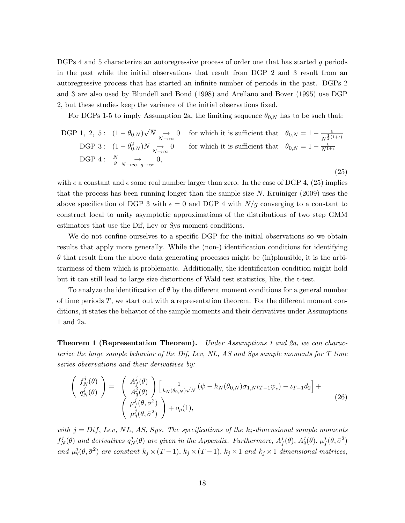DGPs 4 and 5 characterize an autoregressive process of order one that has started g periods in the past while the initial observations that result from DGP 2 and 3 result from an autoregressive process that has started an infinite number of periods in the past. DGPs 2 and 3 are also used by Blundell and Bond (1998) and Arellano and Bover (1995) use DGP 2, but these studies keep the variance of the initial observations fixed.

For DGPs 1-5 to imply Assumption 2a, the limiting sequence  $\theta_{0,N}$  has to be such that:

DGP 1, 2, 5: 
$$
(1 - \theta_{0,N})\sqrt{N} \rightarrow 0
$$
 for which it is sufficient that  $\theta_{0,N} = 1 - \frac{e}{N^{\frac{1}{2}(1+\epsilon)}}$ 

\nDGP 3:  $(1 - \theta_{0,N}^2)N \rightarrow 0$  for which it is sufficient that  $\theta_{0,N} = 1 - \frac{e}{N^{1+\epsilon}}$ 

\nDGP 4:  $\frac{N}{g} \rightarrow 0$ ,  $0$ ,  $(25)$ 

with e a constant and  $\epsilon$  some real number larger than zero. In the case of DGP 4, (25) implies that the process has been running longer than the sample size  $N$ . Kruiniger (2009) uses the above specification of DGP 3 with  $\epsilon = 0$  and DGP 4 with  $N/g$  converging to a constant to construct local to unity asymptotic approximations of the distributions of two step GMM estimators that use the Dif, Lev or Sys moment conditions.

We do not confine ourselves to a specific DGP for the initial observations so we obtain results that apply more generally. While the (non-) identification conditions for identifying  $\theta$  that result from the above data generating processes might be (in)plausible, it is the arbitrariness of them which is problematic. Additionally, the identification condition might hold but it can still lead to large size distortions of Wald test statistics, like, the t-test.

To analyze the identification of  $\theta$  by the different moment conditions for a general number of time periods  $T$ , we start out with a representation theorem. For the different moment conditions, it states the behavior of the sample moments and their derivatives under Assumptions 1 and 2a.

**Theorem 1 (Representation Theorem).** Under Assumptions 1 and 2a, we can characterize the large sample behavior of the Dif, Lev, NL, AS and Sys sample moments for T time series observations and their derivatives by:

$$
\begin{pmatrix}\nf_N^j(\theta) \\
q_N^j(\theta)\n\end{pmatrix} = \begin{pmatrix}\nA_f^j(\theta) \\
A_q^j(\theta)\n\end{pmatrix} \left[\frac{1}{h_N(\theta_{0,N})\sqrt{N}}\left(\psi - h_N(\theta_{0,N})\sigma_{1,N}\iota_{T-1}\psi_c\right) - \iota_{T-1}d_2\right] + \n\begin{pmatrix}\n\mu_f^j(\theta, \bar{\sigma}^2) \\
\mu_q^j(\theta, \bar{\sigma}^2)\n\end{pmatrix} + o_p(1),
$$
\n(26)

with  $j = Diff$ , Lev, NL, AS, Sys. The specifications of the  $k_j$ -dimensional sample moments  $f^j_\lambda$  $\hat{N}^{j}(\theta)$  and derivatives  $q^{j}_{N}$  $\hat{N}^{j}(\theta)$  are given in the Appendix. Furthermore,  $A_f^j$  $_{f}^{j}(\theta),$   $A_{q}^{j}(\theta),$   $\mu_{f}^{j}$  $_{f}^{j}(\theta,\bar{\sigma}^{2})$ and  $\mu_q^j(\theta, \bar{\sigma}^2)$  are constant  $k_j \times (T-1)$ ,  $k_j \times (T-1)$ ,  $k_j \times 1$  and  $k_j \times 1$  dimensional matrices,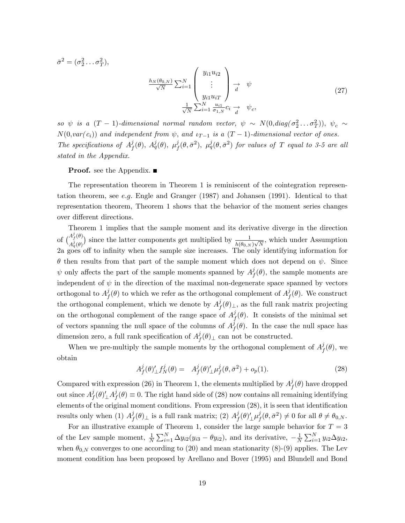$$
\bar{\sigma}^2 = (\sigma_2^2 \dots \sigma_T^2),
$$
\n
$$
\frac{h_N(\theta_{0,N})}{\sqrt{N}} \sum_{i=1}^N \begin{pmatrix} y_{i1} u_{i2} \\ \vdots \\ y_{i1} u_{iT} \\ y_{i1} u_{iT} \end{pmatrix} \xrightarrow{d} \psi
$$
\n
$$
\frac{1}{\sqrt{N}} \sum_{i=1}^N \frac{u_{i1}}{\sigma_{1,N}} c_i \xrightarrow{d} \psi_c,
$$
\n
$$
(27)
$$

so  $\psi$  is a  $(T - 1)$ -dimensional normal random vector,  $\psi \sim N(0, diag(\sigma_2^2 \dots \sigma_T^2)), \psi_c \sim$  $N(0, var(c_i))$  and independent from  $\psi$ , and  $\iota_{T-1}$  is a  $(T-1)$ -dimensional vector of ones. The specifications of  $A_f^j$  $j^j_f(\theta),\ A^j_q(\theta),\ \mu^j_f$  $f^j_{f}(\theta, \bar{\sigma}^2),\; \mu^j_{q}(\theta, \bar{\sigma}^2)$  for values of  $T$  equal to 3-5 are all stated in the Appendix.

**Proof.** see the Appendix.

The representation theorem in Theorem 1 is reminiscent of the cointegration representation theorem, see e.g. Engle and Granger  $(1987)$  and Johansen  $(1991)$ . Identical to that representation theorem, Theorem 1 shows that the behavior of the moment series changes over different directions.

Theorem 1 implies that the sample moment and its derivative diverge in the direction of  $A_f^{j}(\theta)$  $A_q^j(\theta)$ ) since the latter components get multiplied by  $\frac{1}{h(\theta_{0,N})\sqrt{N}}$ , which under Assumption 2a goes off to infinity when the sample size increases. The only identifying information for  $\theta$  then results from that part of the sample moment which does not depend on  $\psi$ . Since  $\psi$  only affects the part of the sample moments spanned by  $A^j_{\mu}$  $f_f^{\jmath}(\theta)$ , the sample moments are independent of  $\psi$  in the direction of the maximal non-degenerate space spanned by vectors orthogonal to  $A^j_t$  $f(\theta)$  to which we refer as the orthogonal complement of  $A_f^j$  $f_f^j(\theta)$ . We construct the orthogonal complement, which we denote by  $A<sup>j</sup><sub>f</sub>$  $f(\theta)_{\perp}$ , as the full rank matrix projecting on the orthogonal complement of the range space of  $A<sup>j</sup><sub>f</sub>$  $f_f^j(\theta)$ . It consists of the minimal set of vectors spanning the null space of the columns of  $A<sup>j</sup>$  $f_f^{\jmath}(\theta)$ . In the case the null space has dimension zero, a full rank specification of  $A^j_t$  $f(\theta)$ <sub> $\perp$ </sub> can not be constructed.

When we pre-multiply the sample moments by the orthogonal complement of  $A<sup>j</sup>$  $^{\jmath}_{f}(\theta)$ , we obtain

$$
A_f^j(\theta)_{\perp}^j f_N^j(\theta) = A_f^j(\theta)_{\perp}^j \mu_f^j(\theta, \bar{\sigma}^2) + o_p(1).
$$
 (28)

Compared with expression (26) in Theorem 1, the elements multiplied by  $A<sup>j</sup><sub>f</sub>$  $f^{\jmath}(\theta)$  have dropped out since  $A^j_t$  $j_f(\theta)_{\perp}^{\prime}A_f^j$  $f(\theta) \equiv 0$ . The right hand side of (28) now contains all remaining identifying elements of the original moment conditions. From expression  $(28)$ , it is seen that identification results only when (1)  $A<sup>j</sup>$  $f^j(\theta)_\perp$  is a full rank matrix; (2)  $A^j_f$  $j_f(\theta)_{\perp}^\prime \mu_f^j$  $f^j_f(\theta, \bar{\sigma}^2) \neq 0$  for all  $\theta \neq \theta_{0,N}$ .

For an illustrative example of Theorem 1, consider the large sample behavior for  $T = 3$ of the Lev sample moment,  $\frac{1}{N} \sum_{i=1}^{N} \Delta y_{i2}(y_{i3} - \theta y_{i2})$ , and its derivative,  $-\frac{1}{N}$  $\frac{1}{N} \sum_{i=1}^{N} y_{i2} \Delta y_{i2},$ when  $\theta_{0,N}$  converges to one according to (20) and mean stationarity (8)-(9) applies. The Lev moment condition has been proposed by Arellano and Bover (1995) and Blundell and Bond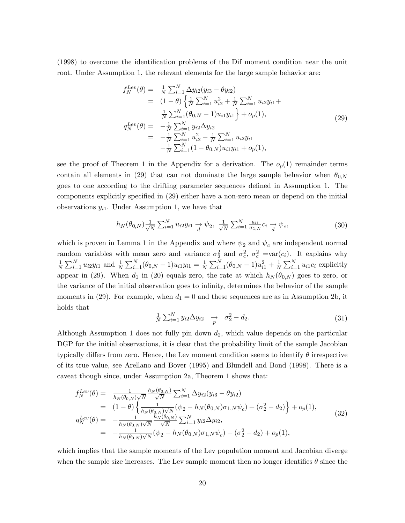(1998) to overcome the identification problems of the Dif moment condition near the unit root. Under Assumption 1, the relevant elements for the large sample behavior are:

$$
f_N^{Lev}(\theta) = \frac{1}{N} \sum_{i=1}^N \Delta y_{i2} (y_{i3} - \theta y_{i2})
$$
  
\n
$$
= (1 - \theta) \left\{ \frac{1}{N} \sum_{i=1}^N u_{i2}^2 + \frac{1}{N} \sum_{i=1}^N u_{i2} y_{i1} + \frac{1}{N} \sum_{i=1}^N (\theta_{0,N} - 1) u_{i1} y_{i1} \right\} + o_p(1),
$$
  
\n
$$
q_N^{Lev}(\theta) = -\frac{1}{N} \sum_{i=1}^N y_{i2} \Delta y_{i2}
$$
  
\n
$$
= -\frac{1}{N} \sum_{i=1}^N u_{i2}^2 - \frac{1}{N} \sum_{i=1}^N u_{i2} y_{i1}
$$
  
\n
$$
- \frac{1}{N} \sum_{i=1}^N (1 - \theta_{0,N}) u_{i1} y_{i1} + o_p(1),
$$
  
\n(29)

see the proof of Theorem 1 in the Appendix for a derivation. The  $o_p(1)$  remainder terms contain all elements in (29) that can not dominate the large sample behavior when  $\theta_{0,N}$ goes to one according to the drifting parameter sequences defined in Assumption 1. The components explicitly specified in (29) either have a non-zero mean or depend on the initial observations  $y_{i1}$ . Under Assumption 1, we have that

$$
h_N(\theta_{0,N}) \frac{1}{\sqrt{N}} \sum_{i=1}^N u_{i2} y_{i1} \xrightarrow{d} \psi_2, \ \frac{1}{\sqrt{N}} \sum_{i=1}^N \frac{u_{i1}}{\sigma_{1,N}} c_i \xrightarrow{d} \psi_c,
$$
 (30)

which is proven in Lemma 1 in the Appendix and where  $\psi_2$  and  $\psi_c$  are independent normal random variables with mean zero and variance  $\sigma_2^2$  and  $\sigma_c^2$ ,  $\sigma_c^2$  =var( $c_i$ ). It explains why 1  $\frac{1}{N} \sum_{i=1}^{N} u_{i2}y_{i1}$  and  $\frac{1}{N} \sum_{i=1}^{N} (\theta_{0,N} - 1)u_{i1}y_{i1} = \frac{1}{N}$  $\frac{1}{N}\sum_{i=1}^{N}(\theta_{0,N}-1)u_{i1}^{2}+\frac{1}{N}$  $\frac{1}{N} \sum_{i=1}^{N} u_{i1} c_i$  explicitly appear in (29). When  $d_1$  in (20) equals zero, the rate at which  $h_N(\theta_{0,N})$  goes to zero, or the variance of the initial observation goes to infinity, determines the behavior of the sample moments in (29). For example, when  $d_1 = 0$  and these sequences are as in Assumption 2b, it holds that

$$
\frac{1}{N} \sum_{i=1}^{N} y_{i2} \Delta y_{i2} \quad \to \quad \sigma_2^2 - d_2. \tag{31}
$$

Although Assumption 1 does not fully pin down  $d_2$ , which value depends on the particular DGP for the initial observations, it is clear that the probability limit of the sample Jacobian typically differs from zero. Hence, the Lev moment condition seems to identify  $\theta$  irrespective of its true value, see Arellano and Bover (1995) and Blundell and Bond (1998). There is a caveat though since, under Assumption 2a, Theorem 1 shows that:

$$
f_N^{Lev}(\theta) = \frac{1}{h_N(\theta_{0,N})\sqrt{N}} \frac{h_N(\theta_{0,N})}{\sqrt{N}} \sum_{i=1}^N \Delta y_{i2}(y_{i3} - \theta y_{i2})
$$
  
\n
$$
= (1 - \theta) \left\{ \frac{1}{h_N(\theta_{0,N})\sqrt{N}} (\psi_2 - h_N(\theta_{0,N})\sigma_{1,N}\psi_c) + (\sigma_2^2 - d_2) \right\} + o_p(1),
$$
  
\n
$$
q_N^{Lev}(\theta) = -\frac{1}{h_N(\theta_{0,N})\sqrt{N}} \frac{h_N(\theta_{0,N})}{\sqrt{N}} \sum_{i=1}^N y_{i2} \Delta y_{i2},
$$
  
\n
$$
= -\frac{1}{h_N(\theta_{0,N})\sqrt{N}} (\psi_2 - h_N(\theta_{0,N})\sigma_{1,N}\psi_c) - (\sigma_2^2 - d_2) + o_p(1),
$$
\n(32)

which implies that the sample moments of the Lev population moment and Jacobian diverge when the sample size increases. The Lev sample moment then no longer identifies  $\theta$  since the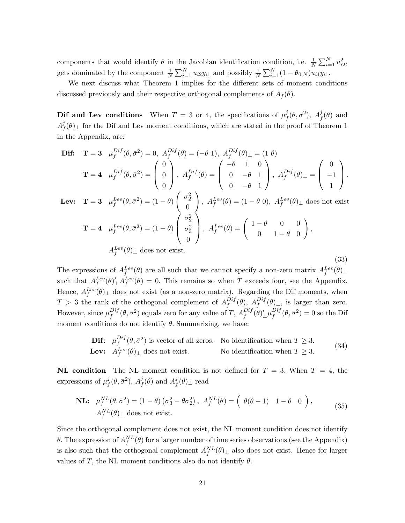components that would identify  $\theta$  in the Jacobian identification condition, i.e.  $\frac{1}{N} \sum_{i=1}^{N} u_{i2}^2$ , gets dominated by the component  $\frac{1}{N} \sum_{i=1}^{N} u_{i2}y_{i1}$  and possibly  $\frac{1}{N} \sum_{i=1}^{N} (1 - \theta_{0,N}) u_{i1}y_{i1}$ .

We next discuss what Theorem 1 implies for the different sets of moment conditions discussed previously and their respective orthogonal complements of  $A_f(\theta)$ .

**Dif and Lev conditions** When  $T = 3$  or 4, the specifications of  $\mu_t^j$  $j_f^j(\theta, \bar{\sigma}^2), \; A_f^j$  $f^{\jmath}(\theta)$  and  $A^j_{\mu}$  $f(\theta)$ <sub>⊥</sub> for the Dif and Lev moment conditions, which are stated in the proof of Theorem 1 in the Appendix, are:

$$
\begin{aligned}\n\mathbf{Diff:} \quad & \mathbf{T} = \mathbf{3} \quad \mu_f^{Dif}(\theta, \bar{\sigma}^2) = 0, \ A_f^{Dif}(\theta) = (-\theta \ 1), \ A_f^{Dif}(\theta) \perp = (1 \ \theta) \\
& \mathbf{T} = \mathbf{4} \quad \mu_f^{Dif}(\theta, \bar{\sigma}^2) = \begin{pmatrix} 0 \\ 0 \\ 0 \end{pmatrix}, \ A_f^{Dif}(\theta) = \begin{pmatrix} -\theta & 1 & 0 \\ 0 & -\theta & 1 \\ 0 & -\theta & 1 \end{pmatrix}, \ A_f^{Dif}(\theta) \perp = \begin{pmatrix} 0 \\ -1 \\ 1 \end{pmatrix}.\n\end{aligned}
$$
\n
$$
\text{For:} \quad \mathbf{T} = \mathbf{3} \quad \mu_{\theta}^{Lev}(\theta, \bar{\sigma}^2) = (1 - \theta) \begin{pmatrix} \sigma_2^2 \\ 0 \end{pmatrix} \quad \mu_{\theta}^{Lev}(\theta) = (1 - \theta) \quad \mu_{\theta}^{Lev}(\theta) \quad \text{does not exist.}
$$

Lev:  $\mathbf{T} = 3$   $\mu_f^{Lev}(\theta, \bar{\sigma}^2) = (1 - \theta)$  $\theta$ ,  $A_f^{Lev}(\theta) = (1 - \theta \, 0), \ A_f^{Lev}(\theta)_{\perp}$  does not exist  $\mathbf{T} = \mathbf{4} \quad \mu_f^{Lev}(\theta, \bar{\sigma}^2) = (1 - \theta)$ f  $\lambda$  $\sigma_2^2$  $\sigma_3^2$ 3  $\lambda$  $A_f^{Lev}(\theta) = \left( \begin{array}{ccc} 1-\theta & 0 & 0 \ 0 & 1-\theta & 0 \end{array} \right)$ f ;

$$
= 4 \quad \mu_f^{Lev}(\theta, \bar{\sigma}^2) = (1 - \theta) \begin{pmatrix} \sigma_3^2 \\ 0 \end{pmatrix}, \ A_f^{Lev}(\theta) = \begin{pmatrix} 1 & 0 & 0 \\ 0 & 1 - \theta & 0 \end{pmatrix},
$$

$$
A_f^{Lev}(\theta) \perp \text{does not exist.}
$$

The expressions of  $A_f^{Lev}(\theta)$  are all such that we cannot specify a non-zero matrix  $A_f^{Lev}(\theta)$   $\perp$ such that  $A_f^{Lev}(\theta) \Delta f^{Lev}(\theta) = 0$ . This remains so when T exceeds four, see the Appendix. Hence,  $A_f^{Lev}(\theta)$  does not exist (as a non-zero matrix). Regarding the Dif moments, when  $T > 3$  the rank of the orthogonal complement of  $A_f^{Dif}$  $f^{Diff}(\theta)$ ,  $A_f^{Diff}(\theta)_{\perp}$ , is larger than zero. However, since  $\mu_f^{Diff}$  $f^{Diff}(\theta,\bar{\sigma}^2)$  equals zero for any value of T,  $A^{Diff}_f$  $\int_f^{Diff}(\theta)'\bot \mu^{Diff}_f$  $f^{Dif}_{f}(\theta, \bar{\sigma}^2) = 0$  so the Dif moment conditions do not identify  $\theta$ . Summarizing, we have:

**Diff:** 
$$
\mu_f^{Diff}(\theta, \bar{\sigma}^2)
$$
 is vector of all zeros. No identification when  $T \ge 3$ .  
**Lev:**  $A_f^{Lev}(\theta)_{\perp}$  does not exist. No identification when  $T \ge 3$ . (34)

(33)

**NL condition** The NL moment condition is not defined for  $T = 3$ . When  $T = 4$ , the expressions of  $\mu_t^j$  $j_f^j(\theta, \bar{\sigma}^2), A_f^j$  $j\overline{f}(\theta)$  and  $A_j^j$  ${}^{\jmath}_{f}(\theta)_{\perp}$  read

**NL:** 
$$
\mu_f^{NL}(\theta, \bar{\sigma}^2) = (1 - \theta) \left(\sigma_3^2 - \theta \sigma_2^2\right), \ A_f^{NL}(\theta) = \left(\begin{array}{cc} \theta(\theta - 1) & 1 - \theta & 0 \end{array}\right),
$$
 (35)

Since the orthogonal complement does not exist, the NL moment condition does not identify  $\theta$ . The expression of  $A_f^{NL}(\theta)$  for a larger number of time series observations (see the Appendix) is also such that the orthogonal complement  $A_f^{NL}(\theta)_\perp$  also does not exist. Hence for larger values of T, the NL moment conditions also do not identify  $\theta$ .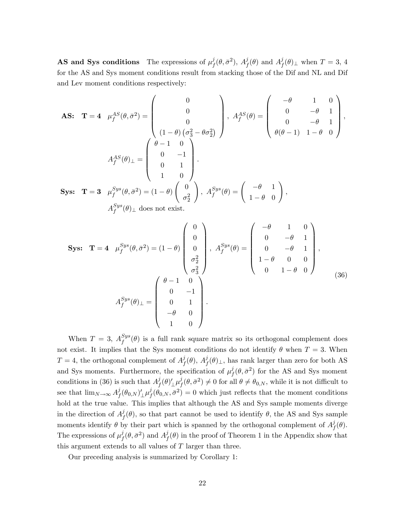**AS and Sys conditions** The expressions of  $\mu_t^j$  $_{f}^{j}(\theta,\bar{\sigma}^{2}),\,A_{f}^{j}% (\theta,\bar{\sigma}^{2}),\,\hat{\sigma}^{j}(\theta,\bar{\sigma}^{2}),\,\hat{\sigma}^{j}(\theta,\bar{\sigma}^{2})$  $j\overline{f}(\theta)$  and  $A^j_f$  $f(\theta)$ <sub> $\perp$ </sub> when  $T = 3, 4$ for the AS and Sys moment conditions result from stacking those of the Dif and NL and Dif and Lev moment conditions respectively:

**AS:** 
$$
\mathbf{T} = 4
$$
  $\mu_f^{AS}(\theta, \bar{\sigma}^2) = \begin{pmatrix} 0 \\ 0 \\ 0 \\ 1 - \theta \end{pmatrix}, A_f^{AS}(\theta) = \begin{pmatrix} -\theta & 1 & 0 \\ 0 & -\theta & 1 \\ 0 & -\theta & 1 \\ 0 & -\theta & 1 \end{pmatrix},$   
\n
$$
A_f^{AS}(\theta)_{\perp} = \begin{pmatrix} \theta - 1 & 0 \\ 0 & -1 \\ 0 & 1 \\ 1 & 0 \end{pmatrix}.
$$
  
\n**Sys:**  $\mathbf{T} = 3$   $\mu_f^{Sys}(\theta, \bar{\sigma}^2) = (1 - \theta) \begin{pmatrix} 0 \\ \sigma_2^2 \end{pmatrix}, A_f^{Sys}(\theta) = \begin{pmatrix} -\theta & 1 \\ 1 - \theta & 0 \end{pmatrix},$   
\n $A_f^{Sys}(\theta)_{\perp}$  does not exist.

$$
\begin{aligned}\n\textbf{Sys:} \quad \mathbf{T} &= 4 \quad \mu_f^{Sys}(\theta, \bar{\sigma}^2) = (1 - \theta) \begin{pmatrix} 0 \\ 0 \\ 0 \\ \sigma_2^2 \\ \sigma_3^2 \end{pmatrix}, \ A_f^{Sys}(\theta) = \begin{pmatrix} -\theta & 1 & 0 \\ 0 & -\theta & 1 \\ 0 & -\theta & 1 \\ 1 - \theta & 0 & 0 \\ 0 & 1 - \theta & 0 \end{pmatrix}, \\
A_f^{Sys}(\theta) \perp &= \begin{pmatrix} \theta - 1 & 0 \\ 0 & -1 \\ 0 & 1 \\ -\theta & 0 \\ 1 & 0 \end{pmatrix}.\n\end{aligned} \tag{36}
$$

When  $T = 3$ ,  $A_f^{Sys}(\theta)$  is a full rank square matrix so its orthogonal complement does not exist. It implies that the Sys moment conditions do not identify  $\theta$  when  $T = 3$ . When  $T=4$ , the orthogonal complement of  $A<sup>j</sup>$  $f^j_f(\theta)$ ,  $A^j_f(\theta)_{\perp}$ , has rank larger than zero for both AS and Sys moments. Furthermore, the specification of  $\mu_t^j$  $f_f^j(\theta, \bar{\sigma}^2)$  for the AS and Sys moment conditions in (36) is such that  $A^j_t$  $\int\limits^j_0(\theta)'_\perp\mu^j_j$  $f^j(\theta, \bar{\sigma}^2) \neq 0$  for all  $\theta \neq \theta_{0,N}$ , while it is not difficult to see that  $\lim_{N\to\infty} A_f^j$  $j_f^j(\theta_{0,N})'_\perp \mu^j_f$  $f(\theta_{0,N}, \bar{\sigma}^2) = 0$  which just reflects that the moment conditions hold at the true value. This implies that although the AS and Sys sample moments diverge in the direction of  $A_f^j$  $f(\theta)$ , so that part cannot be used to identify  $\theta$ , the AS and Sys sample moments identify  $\theta$  by their part which is spanned by the orthogonal complement of  $A^j$  $^{\jmath}_{f}(\theta).$ The expressions of  $\mu_t^j$  $j_f^j(\theta, \bar{\sigma}^2)$  and  $A_f^j$  $f(\theta)$  in the proof of Theorem 1 in the Appendix show that this argument extends to all values of  $T$  larger than three.

Our preceding analysis is summarized by Corollary 1: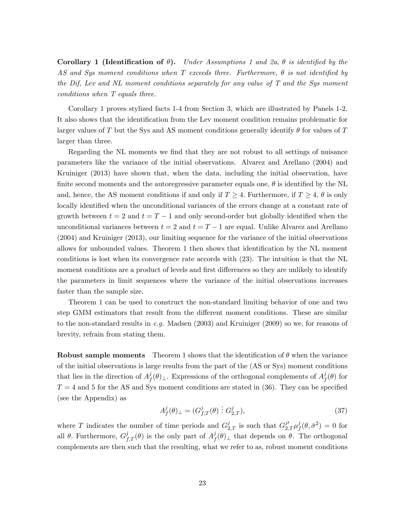Corollary 1 (Identification of  $\theta$ ). Under Assumptions 1 and 2a,  $\theta$  is identified by the AS and Sys moment conditions when T exceeds three. Furthermore,  $\theta$  is not identified by the Dif, Lev and NL moment conditions separately for any value of T and the Sys moment conditions when T equals three.

Corollary 1 proves stylized facts 1-4 from Section 3, which are illustrated by Panels 1-2. It also shows that the identification from the Lev moment condition remains problematic for larger values of T but the Sys and AS moment conditions generally identify  $\theta$  for values of T larger than three.

Regarding the NL moments we find that they are not robust to all settings of nuisance parameters like the variance of the initial observations. Alvarez and Arellano (2004) and Kruiniger (2013) have shown that, when the data, including the initial observation, have finite second moments and the autoregressive parameter equals one,  $\theta$  is identified by the NL and, hence, the AS moment conditions if and only if  $T \geq 4$ . Furthermore, if  $T \geq 4$ ,  $\theta$  is only locally identified when the unconditional variances of the errors change at a constant rate of growth between  $t = 2$  and  $t = T - 1$  and only second-order but globally identified when the unconditional variances between  $t = 2$  and  $t = T - 1$  are equal. Unlike Alvarez and Arellano (2004) and Kruiniger (2013), our limiting sequence for the variance of the initial observations allows for unbounded values. Theorem 1 then shows that identification by the NL moment conditions is lost when its convergence rate accords with (23). The intuition is that the NL moment conditions are a product of levels and first differences so they are unlikely to identify the parameters in limit sequences where the variance of the initial observations increases faster than the sample size.

Theorem 1 can be used to construct the non-standard limiting behavior of one and two step GMM estimators that result from the different moment conditions. These are similar to the non-standard results in e.g. Madsen (2003) and Kruiniger (2009) so we, for reasons of brevity, refrain from stating them.

**Robust sample moments** Theorem 1 shows that the identification of  $\theta$  when the variance of the initial observations is large results from the part of the (AS or Sys) moment conditions that lies in the direction of  $A^j_t$  $f(\theta)_\perp$ . Expressions of the orthogonal complements of  $A_f^j$  $\,^{\jmath}_{f}(\theta)$  for  $T = 4$  and 5 for the AS and Sys moment conditions are stated in (36). They can be specified (see the Appendix) as

$$
A_f^j(\theta)_{\perp} = (G_{f,T}^j(\theta) : G_{2,T}^j),\tag{37}
$$

where T indicates the number of time periods and  $G_{2,T}^j$  is such that  $G_{2,T}^{j'}\mu_j^j$  $j_f^j(\theta, \bar{\sigma}^2) = 0$  for all  $\theta$ . Furthermore,  $G_{f,T}^j(\theta)$  is the only part of  $A_f^j$  $f(\theta)$ <sub> $\perp$ </sub> that depends on  $\theta$ . The orthogonal complements are then such that the resulting, what we refer to as, robust moment conditions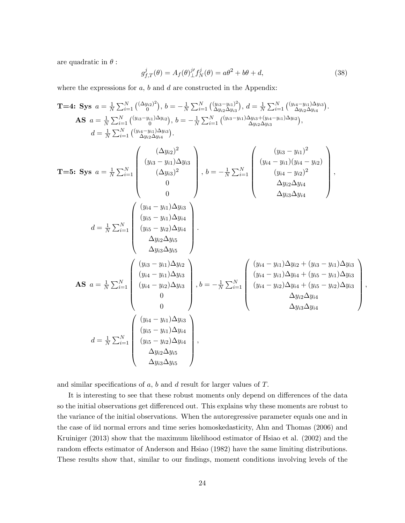are quadratic in  $\theta$ :

$$
g_{f,T}^{j}(\theta) = A_{f}(\theta)_{\perp}^{j'} f_{N}^{j}(\theta) = a\theta^{2} + b\theta + d,
$$
\n(38)

;

where the expressions for  $a, b$  and  $d$  are constructed in the Appendix:

T=4: Sys 
$$
a = \frac{1}{N} \sum_{i=1}^{N} \binom{(\Delta y_{i2})^{2}}{0}, b = -\frac{1}{N} \sum_{i=1}^{N} \binom{(y_{i3}-y_{i1})^{2}}{0}, d = \frac{1}{N} \sum_{i=1}^{N} \binom{(y_{i4}-y_{i1})\Delta y_{i3}}{0}
$$
.  
\n**AS**  $a = \frac{1}{N} \sum_{i=1}^{N} \binom{(y_{i3}-y_{i1})\Delta y_{i2}}{(y_{i3}-y_{i1})\Delta y_{i3}}), b = -\frac{1}{N} \sum_{i=1}^{N} \binom{(y_{i3}-y_{i1})\Delta y_{i3}+(y_{i4}-y_{i1})\Delta y_{i2}}{\Delta y_{i2}\Delta y_{i3}},$   
\n $d = \frac{1}{N} \sum_{i=1}^{N} \binom{(y_{i3}-y_{i1})\Delta y_{i3}}{(y_{i3}-y_{i1})\Delta y_{i3}}, b = -\frac{1}{N} \sum_{i=1}^{N} \binom{(y_{i3}-y_{i1})^{2}}{(y_{i4}-y_{i2})^{2}}$ ,  
\n $\binom{(y_{i4}-y_{i1})\Delta y_{i3}}{0}, b = -\frac{1}{N} \sum_{i=1}^{N} \binom{(y_{i4}-y_{i1})^{2}}{(y_{i4}-y_{i2})^{2}}$ ,  
\n $\Delta y_{i2}\Delta y_{i3}$   
\n $d = \frac{1}{N} \sum_{i=1}^{N} \binom{(y_{i4}-y_{i1})\Delta y_{i3}}{(y_{i5}-y_{i2})\Delta y_{i4}}$ ,  
\n $\Delta y_{i3}\Delta y_{i5}$   
\n $\Delta y_{i3}\Delta y_{i5}$   
\n**AS**  $a = \frac{1}{N} \sum_{i=1}^{N} \binom{(y_{i4}-y_{i1})\Delta y_{i2}}{(y_{i4}-y_{i1})\Delta y_{i3}}$ ,  $b = -\frac{1}{N} \sum_{i=1}^{N} \binom{(y_{i4}-y_{i1})\Delta y_{i2}+(y_{i3}-y_{i1})\Delta y_{i3}}{(y_{i4}-y_{i2})\Delta y_{i4}+(y_{i5}-y_{i1})\Delta y_{$ 

and similar specifications of  $a$ ,  $b$  and  $d$  result for larger values of  $T$ .

It is interesting to see that these robust moments only depend on differences of the data so the initial observations get differenced out. This explains why these moments are robust to the variance of the initial observations. When the autoregressive parameter equals one and in the case of iid normal errors and time series homoskedasticity, Ahn and Thomas (2006) and Kruiniger (2013) show that the maximum likelihood estimator of Hsiao et al. (2002) and the random effects estimator of Anderson and Hsiao (1982) have the same limiting distributions. These results show that, similar to our findings, moment conditions involving levels of the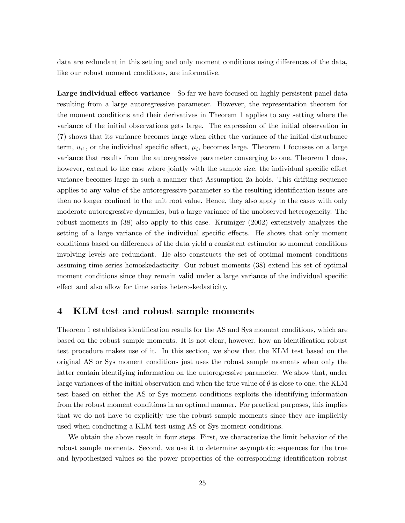data are redundant in this setting and only moment conditions using differences of the data, like our robust moment conditions, are informative.

**Large individual effect variance** So far we have focused on highly persistent panel data resulting from a large autoregressive parameter. However, the representation theorem for the moment conditions and their derivatives in Theorem 1 applies to any setting where the variance of the initial observations gets large. The expression of the initial observation in (7) shows that its variance becomes large when either the variance of the initial disturbance term,  $u_{i1}$ , or the individual specific effect,  $\mu_i$ , becomes large. Theorem 1 focusses on a large variance that results from the autoregressive parameter converging to one. Theorem 1 does, however, extend to the case where jointly with the sample size, the individual specific effect variance becomes large in such a manner that Assumption 2a holds. This drifting sequence applies to any value of the autoregressive parameter so the resulting identification issues are then no longer confined to the unit root value. Hence, they also apply to the cases with only moderate autoregressive dynamics, but a large variance of the unobserved heterogeneity. The robust moments in (38) also apply to this case. Kruiniger (2002) extensively analyzes the setting of a large variance of the individual specific effects. He shows that only moment conditions based on differences of the data yield a consistent estimator so moment conditions involving levels are redundant. He also constructs the set of optimal moment conditions assuming time series homoskedasticity. Our robust moments (38) extend his set of optimal moment conditions since they remain valid under a large variance of the individual specific effect and also allow for time series heteroskedasticity.

# 4 KLM test and robust sample moments

Theorem 1 establishes identification results for the AS and Sys moment conditions, which are based on the robust sample moments. It is not clear, however, how an identification robust test procedure makes use of it. In this section, we show that the KLM test based on the original AS or Sys moment conditions just uses the robust sample moments when only the latter contain identifying information on the autoregressive parameter. We show that, under large variances of the initial observation and when the true value of  $\theta$  is close to one, the KLM test based on either the AS or Sys moment conditions exploits the identifying information from the robust moment conditions in an optimal manner. For practical purposes, this implies that we do not have to explicitly use the robust sample moments since they are implicitly used when conducting a KLM test using AS or Sys moment conditions.

We obtain the above result in four steps. First, we characterize the limit behavior of the robust sample moments. Second, we use it to determine asymptotic sequences for the true and hypothesized values so the power properties of the corresponding identification robust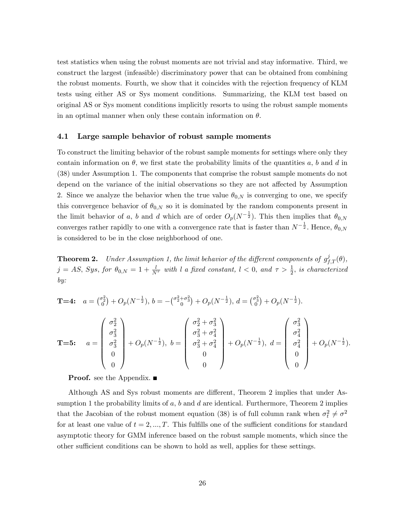test statistics when using the robust moments are not trivial and stay informative. Third, we construct the largest (infeasible) discriminatory power that can be obtained from combining the robust moments. Fourth, we show that it coincides with the rejection frequency of KLM tests using either AS or Sys moment conditions. Summarizing, the KLM test based on original AS or Sys moment conditions implicitly resorts to using the robust sample moments in an optimal manner when only these contain information on  $\theta$ .

# 4.1 Large sample behavior of robust sample moments

To construct the limiting behavior of the robust sample moments for settings where only they contain information on  $\theta$ , we first state the probability limits of the quantities a, b and d in (38) under Assumption 1. The components that comprise the robust sample moments do not depend on the variance of the initial observations so they are not affected by Assumption 2. Since we analyze the behavior when the true value  $\theta_{0,N}$  is converging to one, we specify this convergence behavior of  $\theta_{0,N}$  so it is dominated by the random components present in the limit behavior of a, b and d which are of order  $O_p(N^{-\frac{1}{2}})$ . This then implies that  $\theta_{0,N}$ converges rather rapidly to one with a convergence rate that is faster than  $N^{-\frac{1}{2}}$ . Hence,  $\theta_{0,N}$ is considered to be in the close neighborhood of one.

**Theorem 2.** Under Assumption 1, the limit behavior of the different components of  $g_{f,T}^j(\theta)$ ,  $j = AS$ , Sys, for  $\theta_{0,N} = 1 + \frac{l}{N^{\tau}}$  with l a fixed constant,  $l < 0$ , and  $\tau > \frac{1}{2}$ , is characterized by:

**T=4:** 
$$
a = {\binom{\sigma_2^2}{0}} + O_p(N^{-\frac{1}{2}}), b = -{\binom{\sigma_2^2 + \sigma_3^2}{0}} + O_p(N^{-\frac{1}{2}}), d = {\binom{\sigma_3^2}{0}} + O_p(N^{-\frac{1}{2}}).
$$
  
\n**T=5:**  $a = \begin{pmatrix} \sigma_2^2 \\ \sigma_3^2 \\ \sigma_3^2 \\ 0 \\ 0 \end{pmatrix} + O_p(N^{-\frac{1}{2}}), b = \begin{pmatrix} \sigma_2^2 + \sigma_3^2 \\ \sigma_3^2 + \sigma_4^2 \\ \sigma_3^2 + \sigma_4^2 \\ 0 \\ 0 \end{pmatrix} + O_p(N^{-\frac{1}{2}}), d = \begin{pmatrix} \sigma_3^2 \\ \sigma_4^2 \\ \sigma_4^2 \\ 0 \\ 0 \end{pmatrix} + O_p(N^{-\frac{1}{2}}).$ 

**Proof.** see the Appendix.  $\blacksquare$ 

Although AS and Sys robust moments are different, Theorem 2 implies that under Assumption 1 the probability limits of  $a$ ,  $b$  and  $d$  are identical. Furthermore, Theorem 2 implies that the Jacobian of the robust moment equation (38) is of full column rank when  $\sigma_t^2 \neq \sigma^2$ for at least one value of  $t = 2, ..., T$ . This fulfills one of the sufficient conditions for standard asymptotic theory for GMM inference based on the robust sample moments, which since the other sufficient conditions can be shown to hold as well, applies for these settings.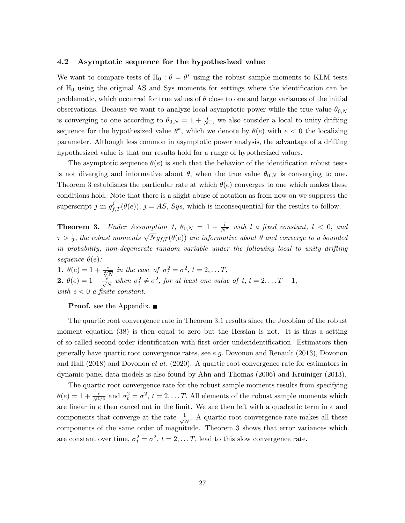## 4.2 Asymptotic sequence for the hypothesized value

We want to compare tests of  $H_0$ :  $\theta = \theta^*$  using the robust sample moments to KLM tests of  $H_0$  using the original AS and Sys moments for settings where the identification can be problematic, which occurred for true values of  $\theta$  close to one and large variances of the initial observations. Because we want to analyze local asymptotic power while the true value  $\theta_{0,N}$ is converging to one according to  $\theta_{0,N} = 1 + \frac{l}{N^{\tau}}$ , we also consider a local to unity drifting sequence for the hypothesized value  $\theta^*$ , which we denote by  $\theta(e)$  with  $e < 0$  the localizing parameter. Although less common in asymptotic power analysis, the advantage of a drifting hypothesized value is that our results hold for a range of hypothesized values.

The asymptotic sequence  $\theta(e)$  is such that the behavior of the identification robust tests is not diverging and informative about  $\theta$ , when the true value  $\theta_{0,N}$  is converging to one. Theorem 3 establishes the particular rate at which  $\theta(e)$  converges to one which makes these conditions hold. Note that there is a slight abuse of notation as from now on we suppress the superscript j in  $g_{f,T}^{j}(\theta(e))$ ,  $j = AS$ ,  $Sys$ , which is inconsequential for the results to follow.

**Theorem 3.** Under Assumption 1,  $\theta_{0,N} = 1 + \frac{l}{N^{\tau}}$  with l a fixed constant,  $l < 0$ , and  $\tau > \frac{1}{2}$ , the robust moments  $\sqrt{N}g_{f,T}(\theta(e))$  are informative about  $\theta$  and converge to a bounded in probability, non-degenerate random variable under the following local to unity drifting sequence  $\theta(e)$ :

**1.**  $\theta(e) = 1 + \frac{e}{\sqrt[4]{N}}$  in the case of  $\sigma_t^2 = \sigma^2$ ,  $t = 2, ..., T$ , **2.**  $\theta(e) = 1 + \frac{e}{\sqrt{N}}$  when  $\sigma_t^2 \neq \sigma^2$ , for at least one value of t,  $t = 2, \ldots T - 1$ , with  $e < 0$  a finite constant.

**Proof.** see the Appendix.  $\blacksquare$ 

The quartic root convergence rate in Theorem 3.1 results since the Jacobian of the robust moment equation (38) is then equal to zero but the Hessian is not. It is thus a setting of so-called second order identification with first order underidentification. Estimators then generally have quartic root convergence rates, see e:g: Dovonon and Renault (2013), Dovonon and Hall (2018) and Dovonon *et al.* (2020). A quartic root convergence rate for estimators in dynamic panel data models is also found by Ahn and Thomas (2006) and Kruiniger (2013).

The quartic root convergence rate for the robust sample moments results from specifying  $\theta(e) = 1 + \frac{e}{N^{1/4}}$  and  $\sigma_t^2 = \sigma^2$ ,  $t = 2, \dots T$ . All elements of the robust sample moments which are linear in e then cancel out in the limit. We are then left with a quadratic term in e and components that converge at the rate  $\frac{1}{\sqrt{2}}$  $\frac{1}{N}$ . A quartic root convergence rate makes all these components of the same order of magnitude. Theorem 3 shows that error variances which are constant over time,  $\sigma_t^2 = \sigma^2$ ,  $t = 2, \ldots T$ , lead to this slow convergence rate.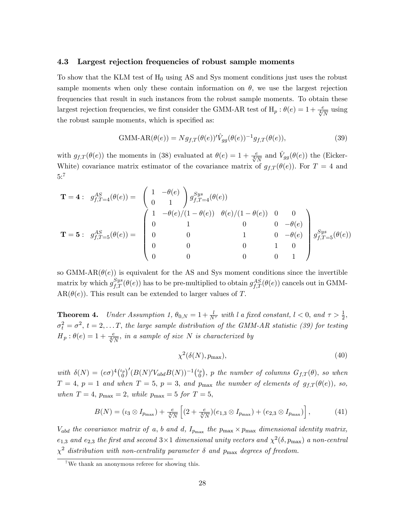### 4.3 Largest rejection frequencies of robust sample moments

To show that the KLM test of  $H_0$  using AS and Sys moment conditions just uses the robust sample moments when only these contain information on  $\theta$ , we use the largest rejection frequencies that result in such instances from the robust sample moments. To obtain these largest rejection frequencies, we first consider the GMM-AR test of  $H_p$  :  $\theta(e) = 1 + \frac{e}{\sqrt[4]{N}}$  using the robust sample moments, which is specified as:

$$
\text{GMM-AR}(\theta(e)) = N g_{f,T}(\theta(e))' \hat{V}_{gg}(\theta(e))^{-1} g_{f,T}(\theta(e)),\tag{39}
$$

with  $g_{f,T}(\theta(e))$  the moments in (38) evaluated at  $\theta(e) = 1 + \frac{e}{\sqrt[4]{N}}$  and  $\hat{V}_{gg}(\theta(e))$  the (Eicker-White) covariance matrix estimator of the covariance matrix of  $g_{f,T}(\theta(e))$ . For  $T = 4$  and 5:7

$$
\mathbf{T} = \mathbf{4}: \quad g_{f,T=4}^{AS}(\theta(e)) = \begin{pmatrix} 1 & -\theta(e) \\ 0 & 1 \end{pmatrix} g_{f,T=4}^{Sys}(\theta(e))
$$
\n
$$
\mathbf{T} = \mathbf{5}: \quad g_{f,T=5}^{AS}(\theta(e)) = \begin{pmatrix} 1 & -\theta(e) / (1 - \theta(e)) & \theta(e) / (1 - \theta(e)) & 0 & 0 \\ 0 & 1 & 0 & 0 & -\theta(e) \\ 0 & 0 & 1 & 0 & -\theta(e) \\ 0 & 0 & 0 & 1 & 0 \\ 0 & 0 & 0 & 0 & 1 \end{pmatrix} g_{f,T=5}^{Sys}(\theta(e))
$$

so GMM-AR $(\theta(e))$  is equivalent for the AS and Sys moment conditions since the invertible matrix by which  $g_{f,T}^{Sys}(\theta(e))$  has to be pre-multiplied to obtain  $g_{f,T}^{AS}(\theta(e))$  cancels out in GMM- $AR(\theta(e))$ . This result can be extended to larger values of T.

**Theorem 4.** Under Assumption 1,  $\theta_{0,N} = 1 + \frac{l}{N^{\tau}}$  with l a fixed constant,  $l < 0$ , and  $\tau > \frac{1}{2}$ ,  $\sigma_t^2 = \sigma^2, t = 2, \ldots T$ , the large sample distribution of the GMM-AR statistic (39) for testing  $H_p: \theta(e) = 1 + \frac{e}{\sqrt[4]{N}}$ , in a sample of size N is characterized by

$$
\chi^2(\delta(N), p_{\text{max}}),\tag{40}
$$

with  $\delta(N) = (e\sigma)^4 { \binom{\iota_p}{0}}$  $\left( \begin{smallmatrix} \mu_p \ 0 \end{smallmatrix} \right)^{\prime} (B(N)^{\prime}V_{abd}B(N))^{-1} \left( \begin{smallmatrix} \mu_p \ 0 \end{smallmatrix} \right)$  $(g_0^{\{r\}})$ , p the number of columns  $G_{f,T}(\theta)$ , so when  $T = 4$ ,  $p = 1$  and when  $T = 5$ ,  $p = 3$ , and  $p_{\text{max}}$  the number of elements of  $g_{f,T}(\theta(e))$ , so, when  $T = 4$ ,  $p_{\text{max}} = 2$ , while  $p_{\text{max}} = 5$  for  $T = 5$ ,

$$
B(N) = (\iota_3 \otimes I_{p_{\max}}) + \frac{e}{\sqrt[4]{N}} \left[ (2 + \frac{e}{\sqrt[4]{N}})(e_{1,3} \otimes I_{p_{\max}}) + (e_{2,3} \otimes I_{p_{\max}}) \right],
$$
 (41)

 $V_{abd}$  the covariance matrix of a, b and d,  $I_{p_{\text{max}}}$  the  $p_{\text{max}} \times p_{\text{max}}$  dimensional identity matrix,  $e_{1,3}$  and  $e_{2,3}$  the first and second  $3\times1$  dimensional unity vectors and  $\chi^2(\delta, p_{\rm max})$  a non-central  $\chi^2$  distribution with non-centrality parameter  $\delta$  and  $p_{\rm max}$  degrees of freedom.

 $7^7$ We thank an anonymous referee for showing this.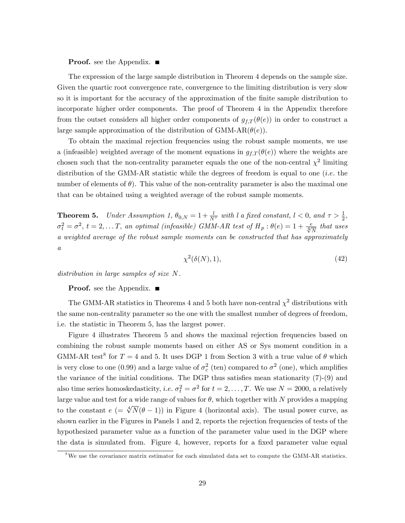#### **Proof.** see the Appendix. ■

The expression of the large sample distribution in Theorem 4 depends on the sample size. Given the quartic root convergence rate, convergence to the limiting distribution is very slow so it is important for the accuracy of the approximation of the finite sample distribution to incorporate higher order components. The proof of Theorem 4 in the Appendix therefore from the outset considers all higher order components of  $g_{f,T}(\theta(e))$  in order to construct a large sample approximation of the distribution of GMM-AR( $\theta(e)$ ).

To obtain the maximal rejection frequencies using the robust sample moments, we use a (infeasible) weighted average of the moment equations in  $g_{f,T}(\theta(e))$  where the weights are chosen such that the non-centrality parameter equals the one of the non-central  $\chi^2$  limiting distribution of the GMM-AR statistic while the degrees of freedom is equal to one (*i.e.* the number of elements of  $\theta$ ). This value of the non-centrality parameter is also the maximal one that can be obtained using a weighted average of the robust sample moments.

**Theorem 5.** Under Assumption 1,  $\theta_{0,N} = 1 + \frac{l}{N^{\tau}}$  with l a fixed constant,  $l < 0$ , and  $\tau > \frac{1}{2}$ ,  $\sigma_t^2 = \sigma^2$ ,  $t = 2, \ldots T$ , an optimal (infeasible) GMM-AR test of  $H_p : \theta(e) = 1 + \frac{e}{\sqrt[4]{N}}$  that uses a weighted average of the robust sample moments can be constructed that has approximately a

$$
\chi^2(\delta(N), 1),\tag{42}
$$

distribution in large samples of size N.

**Proof.** see the Appendix.  $\blacksquare$ 

The GMM-AR statistics in Theorems 4 and 5 both have non-central  $\chi^2$  distributions with the same non-centrality parameter so the one with the smallest number of degrees of freedom, i.e. the statistic in Theorem 5, has the largest power.

Figure 4 illustrates Theorem 5 and shows the maximal rejection frequencies based on combining the robust sample moments based on either AS or Sys moment condition in a GMM-AR test<sup>8</sup> for  $T = 4$  and 5. It uses DGP 1 from Section 3 with a true value of  $\theta$  which is very close to one (0.99) and a large value of  $\sigma_c^2$  (ten) compared to  $\sigma^2$  (one), which amplifies the variance of the initial conditions. The DGP thus satisfies mean stationarity  $(7)-(9)$  and also time series homoskedasticity, *i.e.*  $\sigma_t^2 = \sigma^2$  for  $t = 2, ..., T$ . We use  $N = 2000$ , a relatively large value and test for a wide range of values for  $\theta$ , which together with N provides a mapping to the constant  $e = \sqrt[4]{N}(\theta - 1)$  in Figure 4 (horizontal axis). The usual power curve, as shown earlier in the Figures in Panels 1 and 2, reports the rejection frequencies of tests of the hypothesized parameter value as a function of the parameter value used in the DGP where the data is simulated from. Figure 4, however, reports for a fixed parameter value equal

 $8\,\text{We}$  use the covariance matrix estimator for each simulated data set to compute the GMM-AR statistics.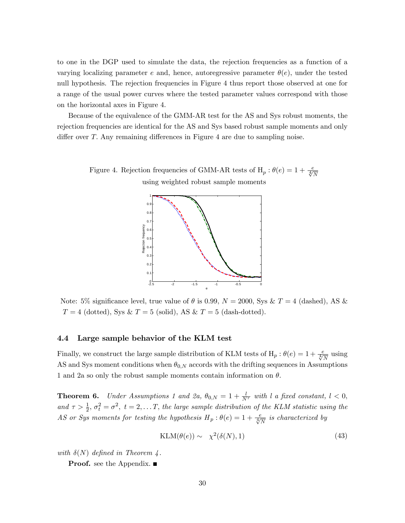to one in the DGP used to simulate the data, the rejection frequencies as a function of a varying localizing parameter e and, hence, autoregressive parameter  $\theta(e)$ , under the tested null hypothesis. The rejection frequencies in Figure 4 thus report those observed at one for a range of the usual power curves where the tested parameter values correspond with those on the horizontal axes in Figure 4.

Because of the equivalence of the GMM-AR test for the AS and Sys robust moments, the rejection frequencies are identical for the AS and Sys based robust sample moments and only differ over  $T$ . Any remaining differences in Figure 4 are due to sampling noise.

> Figure 4. Rejection frequencies of GMM-AR tests of  $H_p: \theta(e) = 1 + \frac{e}{\sqrt[4]{N}}$ using weighted robust sample moments



Note: 5% significance level, true value of  $\theta$  is 0.99,  $N = 2000$ , Sys & T = 4 (dashed), AS &  $T = 4$  (dotted), Sys &  $T = 5$  (solid), AS &  $T = 5$  (dash-dotted).

## 4.4 Large sample behavior of the KLM test

Finally, we construct the large sample distribution of KLM tests of  $H_p$  :  $\theta(e) = 1 + \frac{e}{\sqrt[4]{N}}$  using AS and Sys moment conditions when  $\theta_{0,N}$  accords with the drifting sequences in Assumptions 1 and 2a so only the robust sample moments contain information on  $\theta$ .

**Theorem 6.** Under Assumptions 1 and 2a,  $\theta_{0,N} = 1 + \frac{l}{N^{\tau}}$  with l a fixed constant,  $l < 0$ , and  $\tau > \frac{1}{2}$ ,  $\sigma_t^2 = \sigma^2$ ,  $t = 2,...T$ , the large sample distribution of the KLM statistic using the AS or Sys moments for testing the hypothesis  $H_p: \theta(e) = 1 + \frac{e}{\sqrt[4]{N}}$  is characterized by

$$
KLM(\theta(e)) \sim \chi^2(\delta(N), 1) \tag{43}
$$

with  $\delta(N)$  defined in Theorem 4.

**Proof.** see the Appendix.  $\blacksquare$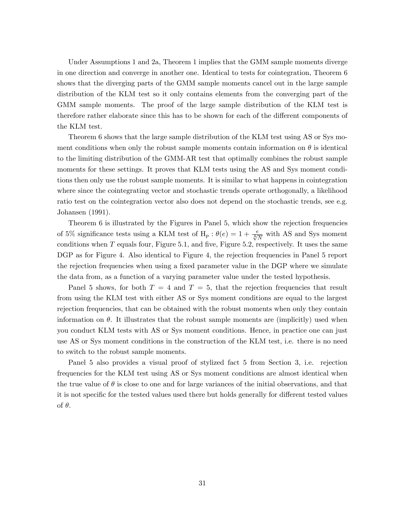Under Assumptions 1 and 2a, Theorem 1 implies that the GMM sample moments diverge in one direction and converge in another one. Identical to tests for cointegration, Theorem 6 shows that the diverging parts of the GMM sample moments cancel out in the large sample distribution of the KLM test so it only contains elements from the converging part of the GMM sample moments. The proof of the large sample distribution of the KLM test is therefore rather elaborate since this has to be shown for each of the different components of the KLM test.

Theorem 6 shows that the large sample distribution of the KLM test using AS or Sys moment conditions when only the robust sample moments contain information on  $\theta$  is identical to the limiting distribution of the GMM-AR test that optimally combines the robust sample moments for these settings. It proves that KLM tests using the AS and Sys moment conditions then only use the robust sample moments. It is similar to what happens in cointegration where since the cointegrating vector and stochastic trends operate orthogonally, a likelihood ratio test on the cointegration vector also does not depend on the stochastic trends, see e.g. Johansen (1991).

Theorem 6 is illustrated by the Figures in Panel 5, which show the rejection frequencies of 5% significance tests using a KLM test of  $H_p$ :  $\theta(e) = 1 + \frac{e}{\sqrt[4]{N}}$  with AS and Sys moment conditions when  $T$  equals four, Figure 5.1, and five, Figure 5.2, respectively. It uses the same DGP as for Figure 4. Also identical to Figure 4, the rejection frequencies in Panel 5 report the rejection frequencies when using a fixed parameter value in the DGP where we simulate the data from, as a function of a varying parameter value under the tested hypothesis.

Panel 5 shows, for both  $T = 4$  and  $T = 5$ , that the rejection frequencies that result from using the KLM test with either AS or Sys moment conditions are equal to the largest rejection frequencies, that can be obtained with the robust moments when only they contain information on  $\theta$ . It illustrates that the robust sample moments are (implicitly) used when you conduct KLM tests with AS or Sys moment conditions. Hence, in practice one can just use AS or Sys moment conditions in the construction of the KLM test, i.e. there is no need to switch to the robust sample moments.

Panel 5 also provides a visual proof of stylized fact 5 from Section 3, i.e. rejection frequencies for the KLM test using AS or Sys moment conditions are almost identical when the true value of  $\theta$  is close to one and for large variances of the initial observations, and that it is not specific for the tested values used there but holds generally for different tested values of  $\theta$ .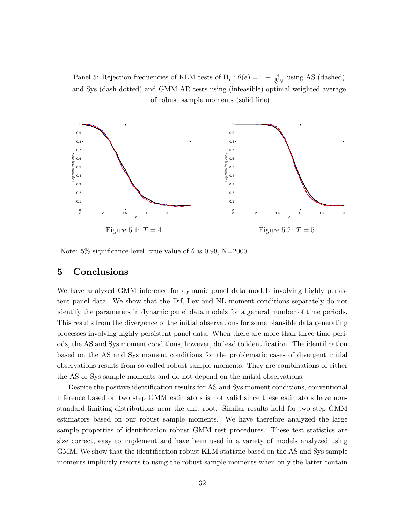Panel 5: Rejection frequencies of KLM tests of  $H_p$  :  $\theta(e) = 1 + \frac{e}{\sqrt[4]{N}}$  using AS (dashed) and Sys (dash-dotted) and GMM-AR tests using (infeasible) optimal weighted average of robust sample moments (solid line)



Note: 5% significance level, true value of  $\theta$  is 0.99, N=2000.

# 5 Conclusions

We have analyzed GMM inference for dynamic panel data models involving highly persistent panel data. We show that the Dif, Lev and NL moment conditions separately do not identify the parameters in dynamic panel data models for a general number of time periods. This results from the divergence of the initial observations for some plausible data generating processes involving highly persistent panel data. When there are more than three time periods, the AS and Sys moment conditions, however, do lead to identification. The identification based on the AS and Sys moment conditions for the problematic cases of divergent initial observations results from so-called robust sample moments. They are combinations of either the AS or Sys sample moments and do not depend on the initial observations.

Despite the positive identification results for AS and Sys moment conditions, conventional inference based on two step GMM estimators is not valid since these estimators have nonstandard limiting distributions near the unit root. Similar results hold for two step GMM estimators based on our robust sample moments. We have therefore analyzed the large sample properties of identification robust GMM test procedures. These test statistics are size correct, easy to implement and have been used in a variety of models analyzed using GMM. We show that the identification robust KLM statistic based on the AS and Sys sample moments implicitly resorts to using the robust sample moments when only the latter contain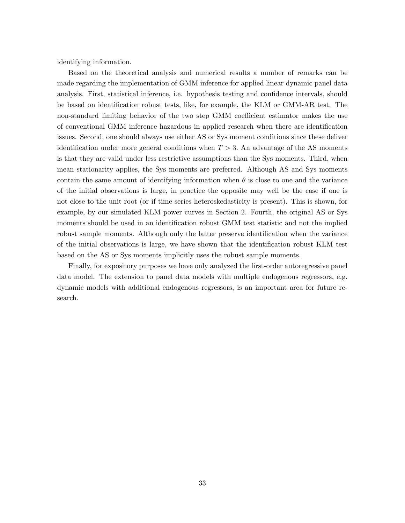identifying information.

Based on the theoretical analysis and numerical results a number of remarks can be made regarding the implementation of GMM inference for applied linear dynamic panel data analysis. First, statistical inference, i.e. hypothesis testing and confidence intervals, should be based on identification robust tests, like, for example, the KLM or GMM-AR test. The non-standard limiting behavior of the two step GMM coefficient estimator makes the use of conventional GMM inference hazardous in applied research when there are identification issues. Second, one should always use either AS or Sys moment conditions since these deliver identification under more general conditions when  $T > 3$ . An advantage of the AS moments is that they are valid under less restrictive assumptions than the Sys moments. Third, when mean stationarity applies, the Sys moments are preferred. Although AS and Sys moments contain the same amount of identifying information when  $\theta$  is close to one and the variance of the initial observations is large, in practice the opposite may well be the case if one is not close to the unit root (or if time series heteroskedasticity is present). This is shown, for example, by our simulated KLM power curves in Section 2. Fourth, the original AS or Sys moments should be used in an identification robust GMM test statistic and not the implied robust sample moments. Although only the latter preserve identification when the variance of the initial observations is large, we have shown that the identification robust KLM test based on the AS or Sys moments implicitly uses the robust sample moments.

Finally, for expository purposes we have only analyzed the first-order autoregressive panel data model. The extension to panel data models with multiple endogenous regressors, e.g. dynamic models with additional endogenous regressors, is an important area for future research.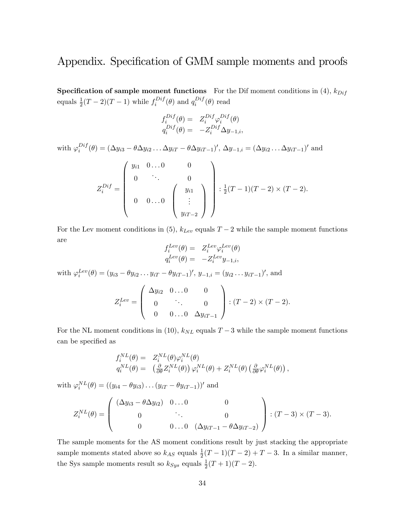# Appendix. Specification of GMM sample moments and proofs

**Specification of sample moment functions** For the Dif moment conditions in (4),  $k_{Dif}$ equals  $\frac{1}{2}(T-2)(T-1)$  while  $f_i^{Diff}$  $i^{Diff}(\theta)$  and  $q_i^{Diff}$  $i^{Dij}(\theta)$  read

$$
f_i^{Dif}(\theta) = Z_i^{Dif} \varphi_i^{Dif}(\theta)
$$
  
\n
$$
q_i^{Dif}(\theta) = -Z_i^{Dif} \Delta y_{-1,i},
$$

with  $\varphi_i^{Diff}$  $i_j^{Dij}(\theta) = (\Delta y_{i3} - \theta \Delta y_{i2} \dots \Delta y_{iT} - \theta \Delta y_{iT-1})', \Delta y_{-1,i} = (\Delta y_{i2} \dots \Delta y_{iT-1})'$  and  $Z_{i}^{Diff}=$  $\int y_{i1} 0...0$  0  $\overline{\phantom{0}}$  $0 \qquad \therefore \qquad 0$  $0 \quad 0 \ldots 0$  $\sqrt{ }$  $\overline{\phantom{a}}$  $y_{i1}$ . . .  $y_{iT-2}$ 1  $\Big\}$ 1  $\begin{array}{c} \hline \end{array}$  $\frac{1}{2}$  $\frac{1}{2}(T-1)(T-2)\times(T-2).$ 

For the Lev moment conditions in (5),  $k_{Lev}$  equals  $T-2$  while the sample moment functions are

$$
f_i^{Lev}(\theta) = Z_i^{Lev} \varphi_i^{Lev}(\theta)
$$
  

$$
q_i^{Lev}(\theta) = -Z_i^{Lev} y_{-1,i},
$$

with  $\varphi_i^{Lev}(\theta) = (y_{i3} - \theta y_{i2} \dots y_{iT} - \theta y_{iT-1})'$ ,  $y_{-1,i} = (y_{i2} \dots y_{iT-1})'$ , and

$$
Z_i^{Lev} = \begin{pmatrix} \Delta y_{i2} & 0 \dots 0 & 0 \\ 0 & \ddots & 0 \\ 0 & 0 \dots 0 & \Delta y_{iT-1} \end{pmatrix} : (T-2) \times (T-2).
$$

For the NL moment conditions in (10),  $k_{NL}$  equals  $T-3$  while the sample moment functions can be specified as

$$
f_i^{NL}(\theta) = Z_i^{NL}(\theta) \varphi_i^{NL}(\theta)
$$
  
\n
$$
q_i^{NL}(\theta) = (\frac{\partial}{\partial \theta} Z_i^{NL}(\theta)) \varphi_i^{NL}(\theta) + Z_i^{NL}(\theta) (\frac{\partial}{\partial \theta} \varphi_i^{NL}(\theta)),
$$

with  $\varphi_i^{NL}(\theta) = ((y_{i4} - \theta y_{i3}) \dots (y_{iT} - \theta y_{iT-1}))'$  and

$$
Z_i^{NL}(\theta) = \begin{pmatrix} (\Delta y_{i3} - \theta \Delta y_{i2}) & 0 \dots 0 & 0 \\ 0 & \ddots & 0 \\ 0 & 0 \dots 0 & (\Delta y_{iT-1} - \theta \Delta y_{iT-2}) \end{pmatrix} : (T-3) \times (T-3).
$$

The sample moments for the AS moment conditions result by just stacking the appropriate sample moments stated above so  $k_{AS}$  equals  $\frac{1}{2}(T-1)(T-2) + T - 3$ . In a similar manner, the Sys sample moments result so  $k_{Sys}$  equals  $\frac{1}{2}(T+1)(T-2)$ .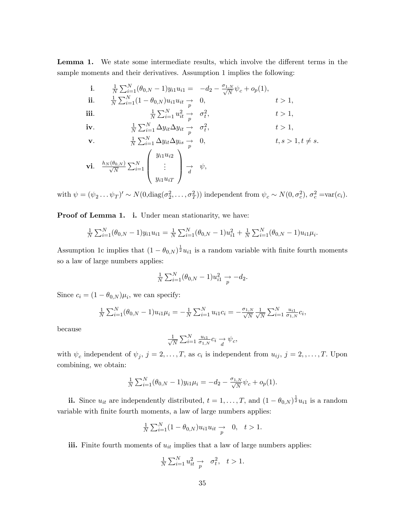Lemma 1. We state some intermediate results, which involve the different terms in the sample moments and their derivatives. Assumption 1 implies the following:

i. 
$$
\frac{1}{N} \sum_{i=1}^{N} (\theta_{0,N} - 1) y_{i1} u_{i1} = -d_2 - \frac{\sigma_{1,N}}{\sqrt{N}} \psi_c + o_p(1),
$$
  
\nii. 
$$
\frac{1}{N} \sum_{i=1}^{N} (1 - \theta_{0,N}) u_{i1} u_{it} \rightarrow 0, \qquad t > 1,
$$
  
\niii. 
$$
\frac{1}{N} \sum_{i=1}^{N} u_{it}^2 \rightarrow \sigma_t^2, \qquad t > 1,
$$
  
\niv. 
$$
\frac{1}{N} \sum_{i=1}^{N} \Delta y_{it} \Delta y_{it} \rightarrow \sigma_t^2, \qquad t > 1,
$$
  
\nv. 
$$
\frac{1}{N} \sum_{i=1}^{N} \Delta y_{it} \Delta y_{is} \rightarrow 0, \qquad t, s > 1, t \neq s.
$$
  
\nvi. 
$$
\frac{h_N(\theta_{0,N})}{\sqrt{N}} \sum_{i=1}^{N} \begin{pmatrix} y_{i1} u_{i2} \\ \vdots \\ y_{i1} u_{iT} \end{pmatrix} \rightarrow \psi,
$$

with  $\psi = (\psi_2 \dots \psi_T)' \sim N(0, \text{diag}(\sigma_2^2, \dots, \sigma_T^2))$  independent from  $\psi_c \sim N(0, \sigma_c^2), \sigma_c^2 = \text{var}(c_i)$ .

Proof of Lemma 1. i. Under mean stationarity, we have:

$$
\frac{1}{N} \sum_{i=1}^{N} (\theta_{0,N} - 1) y_{i1} u_{i1} = \frac{1}{N} \sum_{i=1}^{N} (\theta_{0,N} - 1) u_{i1}^2 + \frac{1}{N} \sum_{i=1}^{N} (\theta_{0,N} - 1) u_{i1} \mu_i.
$$

Assumption 1c implies that  $(1 - \theta_{0,N})^{\frac{1}{2}} u_{i1}$  is a random variable with finite fourth moments so a law of large numbers applies:

$$
\frac{1}{N} \sum_{i=1}^{N} (\theta_{0,N} - 1) u_{i1}^{2} \to -d_{2}.
$$

Since  $c_i = (1 - \theta_{0,N})\mu_i$ , we can specify:

$$
\frac{1}{N} \sum_{i=1}^{N} (\theta_{0,N} - 1) u_{i1} \mu_i = -\frac{1}{N} \sum_{i=1}^{N} u_{i1} c_i = -\frac{\sigma_{1,N}}{\sqrt{N}} \frac{1}{\sqrt{N}} \sum_{i=1}^{N} \frac{u_{i1}}{\sigma_{1,N}} c_i,
$$

because

$$
\frac{1}{\sqrt{N}}\sum_{i=1}^{N}\frac{u_{i1}}{\sigma_{1,N}}c_i \underset{d}{\rightarrow} \psi_c,
$$

with  $\psi_c$  independent of  $\psi_j$ ,  $j = 2, \ldots, T$ , as  $c_i$  is independent from  $u_{ij}$ ,  $j = 2, \ldots, T$ . Upon combining, we obtain:

$$
\frac{1}{N} \sum_{i=1}^{N} (\theta_{0,N} - 1) y_{i1} \mu_i = -d_2 - \frac{\sigma_{1,N}}{\sqrt{N}} \psi_c + o_p(1).
$$

ii. Since  $u_{it}$  are independently distributed,  $t = 1, \ldots, T$ , and  $(1 - \theta_{0,N})^{\frac{1}{2}} u_{i1}$  is a random variable with finite fourth moments, a law of large numbers applies:

$$
\frac{1}{N} \sum_{i=1}^{N} (1 - \theta_{0,N}) u_{i1} u_{it} \to 0, \quad t > 1.
$$

iii. Finite fourth moments of  $u_{it}$  implies that a law of large numbers applies:

$$
\frac{1}{N} \sum_{i=1}^{N} u_{it}^2 \to \sigma_t^2, \quad t > 1.
$$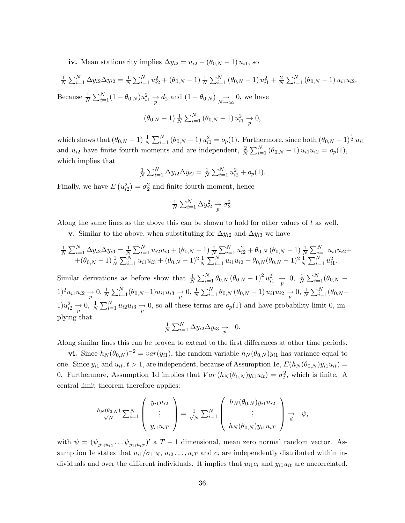iv. Mean stationarity implies  $\Delta y_{i2} = u_{i2} + (\theta_{0,N} - 1) u_{i1}$ , so

$$
\frac{1}{N} \sum_{i=1}^{N} \Delta y_{i2} \Delta y_{i2} = \frac{1}{N} \sum_{i=1}^{N} u_{i2}^{2} + (\theta_{0,N} - 1) \frac{1}{N} \sum_{i=1}^{N} (\theta_{0,N} - 1) u_{i1}^{2} + \frac{2}{N} \sum_{i=1}^{N} (\theta_{0,N} - 1) u_{i1} u_{i2}.
$$
  
Because  $\frac{1}{N} \sum_{i=1}^{N} (1 - \theta_{0,N}) u_{i1}^{2} \rightarrow d_{2}$  and  $(1 - \theta_{0,N}) \rightarrow 0$ , we have  

$$
(\theta_{0,N} - 1) \frac{1}{N} \sum_{i=1}^{N} (\theta_{0,N} - 1) u_{i1}^{2} \rightarrow 0,
$$

which shows that  $(\theta_{0,N}-1)\frac{1}{N}\sum_{i=1}^{N}(\theta_{0,N}-1)u_{i1}^{2}=o_{p}(1)$ . Furthermore, since both  $(\theta_{0,N}-1)^{\frac{1}{2}}u_{i1}$ and  $u_{i2}$  have finite fourth moments and are independent,  $\frac{2}{N} \sum_{i=1}^{N} (\theta_{0,N} - 1) u_{i1} u_{i2} = o_p(1)$ , which implies that

$$
\frac{1}{N} \sum_{i=1}^{N} \Delta y_{i2} \Delta y_{i2} = \frac{1}{N} \sum_{i=1}^{N} u_{i2}^{2} + o_{p}(1).
$$

Finally, we have  $E(u_{i2}^2) = \sigma_2^2$  and finite fourth moment, hence

$$
\frac{1}{N} \sum_{i=1}^{N} \Delta y_{i2}^2 \underset{p}{\rightarrow} \sigma_2^2.
$$

Along the same lines as the above this can be shown to hold for other values of  $t$  as well.

**v.** Similar to the above, when substituting for  $\Delta y_{i2}$  and  $\Delta y_{i3}$  we have

$$
\frac{1}{N} \sum_{i=1}^{N} \Delta y_{i2} \Delta y_{i3} = \frac{1}{N} \sum_{i=1}^{N} u_{i2} u_{i3} + (\theta_{0,N} - 1) \frac{1}{N} \sum_{i=1}^{N} u_{i2}^2 + \theta_{0,N} (\theta_{0,N} - 1) \frac{1}{N} \sum_{i=1}^{N} u_{i1} u_{i2} +
$$
  
+ 
$$
(\theta_{0,N} - 1) \frac{1}{N} \sum_{i=1}^{N} u_{i1} u_{i3} + (\theta_{0,N} - 1)^2 \frac{1}{N} \sum_{i=1}^{N} u_{i1} u_{i2} + \theta_{0,N} (\theta_{0,N} - 1)^2 \frac{1}{N} \sum_{i=1}^{N} u_{i1}^2.
$$

Similar derivations as before show that  $\frac{1}{N} \sum_{i=1}^{N} \theta_{0,N} (\theta_{0,N} - 1)^2 u_{i1}^2 \to 0, \frac{1}{N}$  $\frac{1}{N} \sum_{i=1}^{N} (\theta_{0,N} 1)^2 u_{i1} u_{i2} \to 0, \frac{1}{N}$  $\frac{1}{N} \sum_{i=1}^{N} (\theta_{0,N} - 1) u_{i1} u_{i3} \to 0, \frac{1}{N}$  $\frac{1}{N}\sum_{i=1}^{N} \theta_{0,N} (\theta_{0,N}-1) u_{i1} u_{i2} \underset{p}{\rightarrow} 0, \frac{1}{N}$  $\frac{1}{N} \sum_{i=1}^{N} (\theta_{0,N} 1)u_{i2}^2 \to 0, \frac{1}{N}$  $\frac{1}{N}\sum_{i=1}^{N} u_{i2}u_{i3} \to 0$ , so all these terms are  $o_p(1)$  and have probability limit 0, implying that

$$
\frac{1}{N} \sum_{i=1}^{N} \Delta y_{i2} \Delta y_{i3} \to 0.
$$

Along similar lines this can be proven to extend to the first differences at other time periods.

vi. Since  $h_N(\theta_{0,N})^{-2} = var(y_{i1}),$  the random variable  $h_N(\theta_{0,N})y_{i1}$  has variance equal to one. Since  $y_{i1}$  and  $u_{it}$ ,  $t > 1$ , are independent, because of Assumption 1e,  $E(h_N(\theta_{0,N})y_{i1}u_{it}) =$ 0. Furthermore, Assumption 1d implies that  $Var(h_N(\theta_{0,N})y_{i1}u_{it}) = \sigma_t^2$ , which is finite. A central limit theorem therefore applies:

$$
\frac{h_N(\theta_{0,N})}{\sqrt{N}} \sum_{i=1}^N \begin{pmatrix} y_{i1}u_{i2} \\ \vdots \\ y_{i1}u_{iT} \end{pmatrix} = \frac{1}{\sqrt{N}} \sum_{i=1}^N \begin{pmatrix} h_N(\theta_{0,N})y_{i1}u_{i2} \\ \vdots \\ h_N(\theta_{0,N})y_{i1}u_{iT} \end{pmatrix} \underset{d}{\rightarrow} \psi,
$$

with  $\psi = (\psi_{y_1, u_{i2}} \dots \psi_{y_1, u_{iT}})'$  a  $T-1$  dimensional, mean zero normal random vector. Assumption 1e states that  $u_{i1}/\sigma_{1,N}$ ,  $u_{i2} \ldots, u_{iT}$  and  $c_i$  are independently distributed within individuals and over the different individuals. It implies that  $u_{i1}c_i$  and  $y_{i1}u_{it}$  are uncorrelated.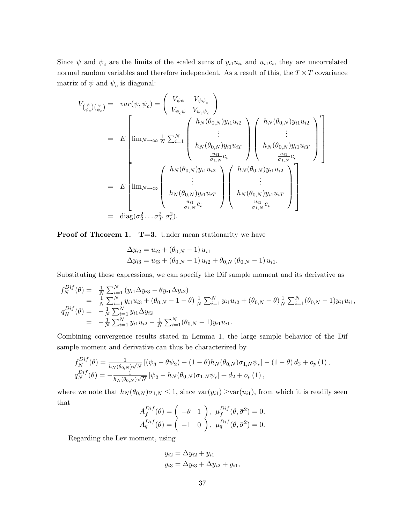Since  $\psi$  and  $\psi_c$  are the limits of the scaled sums of  $y_{i1}u_{it}$  and  $u_{i1}c_i$ , they are uncorrelated normal random variables and therefore independent. As a result of this, the  $T \times T$  covariance matrix of  $\psi$  and  $\psi_c$  is diagonal:

$$
V_{(\psi_c)(\psi_c)} = var(\psi, \psi_c) = \begin{pmatrix} V_{\psi\psi} & V_{\psi\psi_c} \\ V_{\psi_c\psi} & V_{\psi_c\psi_c} \end{pmatrix}
$$
  
\n
$$
= E \begin{bmatrix} \lim_{N \to \infty} \frac{1}{N} \sum_{i=1}^{N} \begin{pmatrix} h_N(\theta_{0,N}) y_{i1} u_{i2} \\ \vdots \\ h_N(\theta_{0,N}) y_{i1} u_{iT} \\ \frac{u_{i1}}{\sigma_{1,N}} c_i \end{pmatrix} \begin{pmatrix} h_N(\theta_{0,N}) y_{i1} u_{i2} \\ \vdots \\ h_N(\theta_{0,N}) y_{i1} u_{iT} \\ \frac{u_{i1}}{\sigma_{1,N}} c_i \end{pmatrix}
$$
  
\n
$$
= E \begin{bmatrix} \lim_{N \to \infty} \begin{pmatrix} h_N(\theta_{0,N}) y_{i1} u_{i2} \\ \vdots \\ h_N(\theta_{0,N}) y_{i1} u_{i2} \end{pmatrix} \begin{pmatrix} h_N(\theta_{0,N}) y_{i1} u_{i2} \\ \vdots \\ h_N(\theta_{0,N}) y_{i1} u_{iT} \end{pmatrix}
$$
  
\n
$$
= \text{diag}(\sigma_2^2 \dots \sigma_T^2 \sigma_c^2).
$$

**Proof of Theorem 1. T=3.** Under mean stationarity we have

$$
\Delta y_{i2} = u_{i2} + (\theta_{0,N} - 1) u_{i1}
$$
  

$$
\Delta y_{i3} = u_{i3} + (\theta_{0,N} - 1) u_{i2} + \theta_{0,N} (\theta_{0,N} - 1) u_{i1}.
$$

Substituting these expressions, we can specify the Dif sample moment and its derivative as

$$
f_N^{Dif}(\theta) = \frac{1}{N} \sum_{i=1}^N (y_{i1} \Delta y_{i3} - \theta y_{i1} \Delta y_{i2})
$$
  
\n
$$
= \frac{1}{N} \sum_{i=1}^N y_{i1} u_{i3} + (\theta_{0,N} - 1 - \theta) \frac{1}{N} \sum_{i=1}^N y_{i1} u_{i2} + (\theta_{0,N} - \theta) \frac{1}{N} \sum_{i=1}^N (\theta_{0,N} - 1) y_{i1} u_{i1},
$$
  
\n
$$
q_N^{Dif}(\theta) = -\frac{1}{N} \sum_{i=1}^N y_{i1} \Delta y_{i2}
$$
  
\n
$$
= -\frac{1}{N} \sum_{i=1}^N y_{i1} u_{i2} - \frac{1}{N} \sum_{i=1}^N (\theta_{0,N} - 1) y_{i1} u_{i1}.
$$

Combining convergence results stated in Lemma 1, the large sample behavior of the Dif sample moment and derivative can thus be characterized by

$$
f_N^{Dif}(\theta) = \frac{1}{h_N(\theta_{0,N})\sqrt{N}} \left[ (\psi_3 - \theta \psi_2) - (1 - \theta) h_N(\theta_{0,N}) \sigma_{1,N} \psi_c \right] - (1 - \theta) d_2 + o_p(1),
$$
  
\n
$$
q_N^{Dif}(\theta) = -\frac{1}{h_N(\theta_{0,N})\sqrt{N}} \left[ \psi_2 - h_N(\theta_{0,N}) \sigma_{1,N} \psi_c \right] + d_2 + o_p(1),
$$

where we note that  $h_N(\theta_{0,N})\sigma_{1,N} \leq 1$ , since  $var(y_{i1}) \geq var(u_{i1})$ , from which it is readily seen that  $\Delta$  $D: \mathcal{L}$ 

$$
A_f^{Dif}(\theta) = \begin{pmatrix} -\theta & 1 \end{pmatrix}, \ \mu_f^{Dif}(\theta, \bar{\sigma}^2) = 0,
$$
  

$$
A_q^{Dif}(\theta) = \begin{pmatrix} -1 & 0 \end{pmatrix}, \ \mu_q^{Dif}(\theta, \bar{\sigma}^2) = 0.
$$

Regarding the Lev moment, using

$$
y_{i2} = \Delta y_{i2} + y_{i1}
$$
  

$$
y_{i3} = \Delta y_{i3} + \Delta y_{i2} + y_{i1},
$$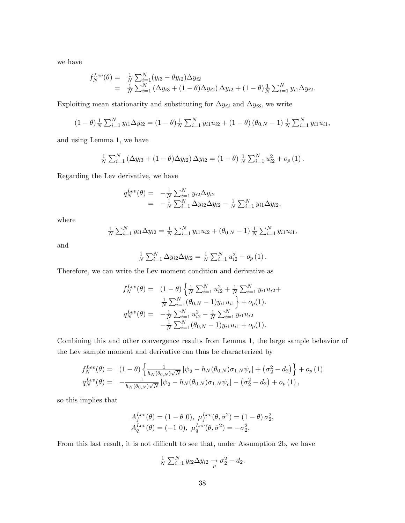we have

$$
f_N^{Lev}(\theta) = \frac{1}{N} \sum_{i=1}^N (y_{i3} - \theta y_{i2}) \Delta y_{i2}
$$
  
= 
$$
\frac{1}{N} \sum_{i=1}^N (\Delta y_{i3} + (1 - \theta) \Delta y_{i2}) \Delta y_{i2} + (1 - \theta) \frac{1}{N} \sum_{i=1}^N y_{i1} \Delta y_{i2}.
$$

Exploiting mean stationarity and substituting for  $\Delta y_{i2}$  and  $\Delta y_{i3}$ , we write

$$
(1 - \theta) \frac{1}{N} \sum_{i=1}^{N} y_{i1} \Delta y_{i2} = (1 - \theta) \frac{1}{N} \sum_{i=1}^{N} y_{i1} u_{i2} + (1 - \theta) (\theta_{0,N} - 1) \frac{1}{N} \sum_{i=1}^{N} y_{i1} u_{i1},
$$

and using Lemma 1, we have

$$
\frac{1}{N} \sum_{i=1}^{N} (\Delta y_{i3} + (1 - \theta) \Delta y_{i2}) \Delta y_{i2} = (1 - \theta) \frac{1}{N} \sum_{i=1}^{N} u_{i2}^{2} + o_{p}(1).
$$

Regarding the Lev derivative, we have

$$
q_N^{Lev}(\theta) = -\frac{1}{N} \sum_{i=1}^N y_{i2} \Delta y_{i2}
$$
  
=  $-\frac{1}{N} \sum_{i=1}^N \Delta y_{i2} \Delta y_{i2} - \frac{1}{N} \sum_{i=1}^N y_{i1} \Delta y_{i2},$ 

where

$$
\frac{1}{N} \sum_{i=1}^{N} y_{i1} \Delta y_{i2} = \frac{1}{N} \sum_{i=1}^{N} y_{i1} u_{i2} + (\theta_{0,N} - 1) \frac{1}{N} \sum_{i=1}^{N} y_{i1} u_{i1},
$$

and

$$
\frac{1}{N} \sum_{i=1}^{N} \Delta y_{i2} \Delta y_{i2} = \frac{1}{N} \sum_{i=1}^{N} u_{i2}^{2} + o_{p}(1).
$$

Therefore, we can write the Lev moment condition and derivative as

$$
f_N^{Lev}(\theta) = (1 - \theta) \left\{ \frac{1}{N} \sum_{i=1}^N u_{i2}^2 + \frac{1}{N} \sum_{i=1}^N y_{i1} u_{i2} + \frac{1}{N} \sum_{i=1}^N (y_{0,N} - 1) y_{i1} u_{i1} \right\} + o_p(1).
$$
  

$$
q_N^{Lev}(\theta) = -\frac{1}{N} \sum_{i=1}^N u_{i2}^2 - \frac{1}{N} \sum_{i=1}^N y_{i1} u_{i2} - \frac{1}{N} \sum_{i=1}^N (\theta_{0,N} - 1) y_{i1} u_{i1} + o_p(1).
$$

Combining this and other convergence results from Lemma 1, the large sample behavior of the Lev sample moment and derivative can thus be characterized by

$$
f_N^{Lev}(\theta) = (1 - \theta) \left\{ \frac{1}{h_N(\theta_{0,N})\sqrt{N}} \left[ \psi_2 - h_N(\theta_{0,N})\sigma_{1,N}\psi_c \right] + (\sigma_2^2 - d_2) \right\} + o_p(1)
$$
  

$$
q_N^{Lev}(\theta) = -\frac{1}{h_N(\theta_{0,N})\sqrt{N}} \left[ \psi_2 - h_N(\theta_{0,N})\sigma_{1,N}\psi_c \right] - (\sigma_2^2 - d_2) + o_p(1),
$$

so this implies that

$$
A_f^{Lev}(\theta) = (1 - \theta \ 0), \ \mu_f^{Lev}(\theta, \bar{\sigma}^2) = (1 - \theta) \sigma_2^2,
$$
  

$$
A_q^{Lev}(\theta) = (-1 \ 0), \ \mu_q^{Lev}(\theta, \bar{\sigma}^2) = -\sigma_2^2.
$$

From this last result, it is not difficult to see that, under Assumption 2b, we have

$$
\frac{1}{N} \sum_{i=1}^{N} y_{i2} \Delta y_{i2} \rightarrow \sigma_2^2 - d_2.
$$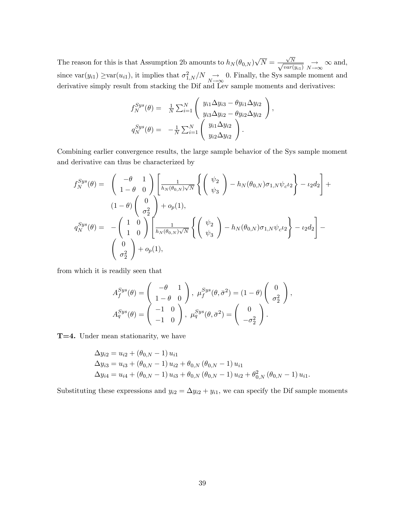The reason for this is that Assumption 2b amounts to  $h_N(\theta_{0,N})\sqrt{N} = \frac{\sqrt{N}}{\sqrt{N}}$  $\frac{\sqrt{N}}{N}$  $\frac{\sqrt{N}}{\text{var}(y_{i1})} \underset{N \to \infty}{\to} \infty$  and, since  $var(y_{i1}) \geq var(u_{i1})$ , it implies that  $\sigma_{1,N}^2/N \to 0$ . Finally, the Sys sample moment and<br>desiration simple moment from starbing the Different Lacence was seen and desirations. derivative simply result from stacking the Dif and Lev sample moments and derivatives:

$$
f_N^{Sys}(\theta) = \frac{1}{N} \sum_{i=1}^N \begin{pmatrix} y_{i1} \Delta y_{i3} - \theta y_{i1} \Delta y_{i2} \\ y_{i3} \Delta y_{i2} - \theta y_{i2} \Delta y_{i2} \\ y_{i3} \Delta y_{i2} - \theta y_{i2} \Delta y_{i2} \end{pmatrix},
$$
  

$$
q_N^{Sys}(\theta) = -\frac{1}{N} \sum_{i=1}^N \begin{pmatrix} y_{i1} \Delta y_{i2} \\ y_{i2} \Delta y_{i2} \end{pmatrix}.
$$

Combining earlier convergence results, the large sample behavior of the Sys sample moment and derivative can thus be characterized by

$$
f_N^{Sys}(\theta) = \begin{pmatrix} -\theta & 1 \\ 1 - \theta & 0 \end{pmatrix} \begin{bmatrix} \frac{1}{h_N(\theta_{0,N})\sqrt{N}} \left\{ \begin{pmatrix} \psi_2 \\ \psi_3 \end{pmatrix} - h_N(\theta_{0,N})\sigma_{1,N}\psi_c\iota_2 \right\} - \iota_2 d_2 \end{pmatrix} + (1 - \theta) \begin{pmatrix} 0 \\ \sigma_2^2 \\ 1 \end{pmatrix} + o_p(1),
$$
  
\n
$$
q_N^{Sys}(\theta) = -\begin{pmatrix} 1 & 0 \\ 1 & 0 \end{pmatrix} \begin{bmatrix} \frac{1}{h_N(\theta_{0,N})\sqrt{N}} \left\{ \begin{pmatrix} \psi_2 \\ \psi_3 \end{pmatrix} - h_N(\theta_{0,N})\sigma_{1,N}\psi_c\iota_2 \right\} - \iota_2 d_2 \end{pmatrix} - (\begin{pmatrix} 0 \\ \sigma_2^2 \end{pmatrix} + o_p(1),
$$

from which it is readily seen that

$$
A_f^{Sys}(\theta) = \begin{pmatrix} -\theta & 1 \\ 1 - \theta & 0 \end{pmatrix}, \ \mu_f^{Sys}(\theta, \bar{\sigma}^2) = (1 - \theta) \begin{pmatrix} 0 \\ \sigma_2^2 \end{pmatrix},
$$

$$
A_q^{Sys}(\theta) = \begin{pmatrix} -1 & 0 \\ -1 & 0 \end{pmatrix}, \ \mu_q^{Sys}(\theta, \bar{\sigma}^2) = \begin{pmatrix} 0 \\ -\sigma_2^2 \end{pmatrix}.
$$

T=4. Under mean stationarity, we have

$$
\Delta y_{i2} = u_{i2} + (\theta_{0,N} - 1) u_{i1}
$$
  
\n
$$
\Delta y_{i3} = u_{i3} + (\theta_{0,N} - 1) u_{i2} + \theta_{0,N} (\theta_{0,N} - 1) u_{i1}
$$
  
\n
$$
\Delta y_{i4} = u_{i4} + (\theta_{0,N} - 1) u_{i3} + \theta_{0,N} (\theta_{0,N} - 1) u_{i2} + \theta_{0,N}^2 (\theta_{0,N} - 1) u_{i1}.
$$

Substituting these expressions and  $y_{i2} = \Delta y_{i2} + y_{i1}$ , we can specify the Dif sample moments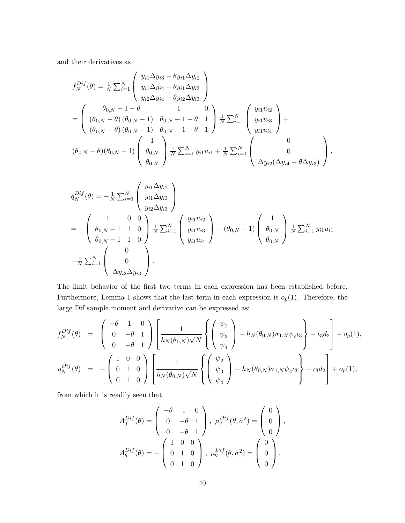and their derivatives as

$$
f_N^{Dif}(\theta) = \frac{1}{N} \sum_{i=1}^N \begin{pmatrix} y_{i1} \Delta y_{i3} - \theta y_{i1} \Delta y_{i2} \\ y_{i1} \Delta y_{i4} - \theta y_{i1} \Delta y_{i3} \\ y_{i2} \Delta y_{i4} - \theta y_{i2} \Delta y_{i3} \end{pmatrix}
$$
  
= 
$$
\begin{pmatrix} \theta_{0,N} - 1 - \theta & 1 & 0 \\ (\theta_{0,N} - \theta) (\theta_{0,N} - 1) & \theta_{0,N} - 1 - \theta & 1 \\ (\theta_{0,N} - \theta) (\theta_{0,N} - 1) & \theta_{0,N} - 1 - \theta & 1 \end{pmatrix} \frac{1}{N} \sum_{i=1}^N \begin{pmatrix} y_{i1} u_{i2} \\ y_{i1} u_{i3} \\ y_{i1} u_{i4} \end{pmatrix} +
$$
  

$$
(\theta_{0,N} - \theta) (\theta_{0,N} - 1) \begin{pmatrix} 1 \\ \theta_{0,N} \\ \theta_{0,N} \end{pmatrix} \frac{1}{N} \sum_{i=1}^N y_{i1} u_{i1} + \frac{1}{N} \sum_{i=1}^N \begin{pmatrix} 0 \\ \theta_{0,N} \\ \theta_{0,N} \end{pmatrix},
$$

$$
q_N^{Dif}(\theta) = -\frac{1}{N} \sum_{i=1}^N \begin{pmatrix} y_{i1} \Delta y_{i2} \\ y_{i1} \Delta y_{i3} \\ y_{i2} \Delta y_{i3} \end{pmatrix}
$$
  
= 
$$
- \begin{pmatrix} 1 & 0 & 0 \\ \theta_{0,N} - 1 & 1 & 0 \\ \theta_{0,N} - 1 & 1 & 0 \end{pmatrix} \frac{1}{N} \sum_{i=1}^N \begin{pmatrix} y_{i1} u_{i2} \\ y_{i1} u_{i3} \\ y_{i1} u_{i4} \end{pmatrix} - (\theta_{0,N} - 1) \begin{pmatrix} 1 \\ \theta_{0,N} \\ \theta_{0,N} \end{pmatrix} \frac{1}{N} \sum_{i=1}^N y_{i1} u_{i1}
$$

$$
- \frac{1}{N} \sum_{i=1}^N \begin{pmatrix} 0 \\ 0 \\ \Delta y_{i2} \Delta y_{i3} \end{pmatrix}.
$$

The limit behavior of the first two terms in each expression has been established before. Furthermore, Lemma 1 shows that the last term in each expression is  $o_p(1)$ . Therefore, the large Dif sample moment and derivative can be expressed as:

$$
f_N^{Diff}(\theta) = \begin{pmatrix} -\theta & 1 & 0 \\ 0 & -\theta & 1 \\ 0 & -\theta & 1 \end{pmatrix} \begin{bmatrix} 1 & 0 \\ \frac{1}{h_N(\theta_{0,N})\sqrt{N}} \begin{Bmatrix} \psi_2 \\ \psi_3 \\ \psi_4 \end{Bmatrix} - h_N(\theta_{0,N})\sigma_{1,N}\psi_c t_3 \end{pmatrix} - t_3 d_2 \begin{bmatrix} 1 & 0 \\ 0 & -t_1 \end{bmatrix},
$$
  

$$
q_N^{Diff}(\theta) = -\begin{pmatrix} 1 & 0 & 0 \\ 0 & 1 & 0 \\ 0 & 1 & 0 \end{pmatrix} \begin{bmatrix} 1 & 0 & 0 \\ \frac{1}{h_N(\theta_{0,N})\sqrt{N}} \begin{Bmatrix} \psi_2 \\ \psi_3 \\ \psi_4 \end{Bmatrix} - h_N(\theta_{0,N})\sigma_{1,N}\psi_c t_3 \end{pmatrix} - t_3 d_2 \begin{bmatrix} 1 & 0 \\ -t_1 \end{bmatrix} + o_p(1),
$$

from which it is readily seen that

$$
A_f^{Dif}(\theta) = \begin{pmatrix} -\theta & 1 & 0 \\ 0 & -\theta & 1 \\ 0 & -\theta & 1 \end{pmatrix}, \ \mu_f^{Dif}(\theta, \bar{\sigma}^2) = \begin{pmatrix} 0 \\ 0 \\ 0 \end{pmatrix},
$$

$$
A_q^{Dif}(\theta) = -\begin{pmatrix} 1 & 0 & 0 \\ 0 & 1 & 0 \\ 0 & 1 & 0 \end{pmatrix}, \ \mu_q^{Dif}(\theta, \bar{\sigma}^2) = \begin{pmatrix} 0 \\ 0 \\ 0 \end{pmatrix}.
$$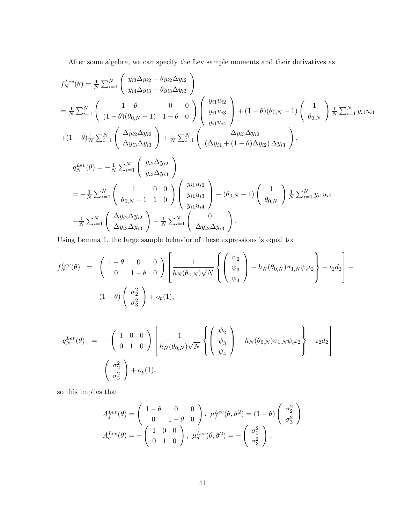After some algebra, we can specify the Lev sample moments and their derivatives as

$$
f_N^{Lev}(\theta) = \frac{1}{N} \sum_{i=1}^N \begin{pmatrix} y_{i3} \Delta y_{i2} - \theta y_{i2} \Delta y_{i2} \\ y_{i4} \Delta y_{i3} - \theta y_{i3} \Delta y_{i3} \end{pmatrix}
$$
  
\n
$$
= \frac{1}{N} \sum_{i=1}^N \begin{pmatrix} 1 - \theta & 0 & 0 \\ (1 - \theta)(\theta_{0,N} - 1) & 1 - \theta & 0 \end{pmatrix} \begin{pmatrix} y_{i1} u_{i2} \\ y_{i1} u_{i3} \\ y_{i1} u_{i4} \end{pmatrix} + (1 - \theta)(\theta_{0,N} - 1) \begin{pmatrix} 1 \\ \theta_{0,N} \end{pmatrix} \frac{1}{N} \sum_{i=1}^N y_{i1} u_{i1}
$$
  
\n
$$
+ (1 - \theta) \frac{1}{N} \sum_{i=1}^N \begin{pmatrix} \Delta y_{i2} \Delta y_{i2} \\ \Delta y_{i3} \Delta y_{i3} \end{pmatrix} + \frac{1}{N} \sum_{i=1}^N \begin{pmatrix} \Delta y_{i3} \Delta y_{i2} \\ (\Delta y_{i4} + (1 - \theta) \Delta y_{i2}) \Delta y_{i3} \end{pmatrix},
$$
  
\n
$$
q_N^{Lev}(\theta) = -\frac{1}{N} \sum_{i=1}^N \begin{pmatrix} y_{i2} \Delta y_{i2} \\ y_{i3} \Delta y_{i3} \end{pmatrix}
$$
  
\n
$$
= -\frac{1}{N} \sum_{i=1}^N \begin{pmatrix} 1 & 0 & 0 \\ \theta_{0,N} - 1 & 1 & 0 \end{pmatrix} \begin{pmatrix} y_{i1} u_{i2} \\ y_{i1} u_{i3} \\ y_{i1} u_{i4} \end{pmatrix} - (\theta_{0,N} - 1) \begin{pmatrix} 1 \\ \theta_{0,N} \end{pmatrix} \frac{1}{N} \sum_{i=1}^N y_{i1} u_{i1}
$$
  
\n
$$
- \frac{1}{N} \sum_{i=1}^N \begin{pmatrix} \Delta y_{i2} \Delta y_{i2} \\ \Delta y_{i3} \Delta y_{i3} \end{pmatrix} - \frac{1}{N} \sum_{i=1}^N \begin{pmatrix
$$

Using Lemma 1, the large sample behavior of these expressions is equal to:

$$
f_N^{Lev}(\theta) = \begin{pmatrix} 1 - \theta & 0 & 0 \\ 0 & 1 - \theta & 0 \end{pmatrix} \left[ \frac{1}{h_N(\theta_{0,N})\sqrt{N}} \left\{ \begin{pmatrix} \psi_2 \\ \psi_3 \\ \psi_4 \end{pmatrix} - h_N(\theta_{0,N})\sigma_{1,N}\psi_c\iota_2 \right\} - \iota_2 d_2 \right] +
$$
  

$$
(1 - \theta) \begin{pmatrix} \sigma_2^2 \\ \sigma_3^2 \end{pmatrix} + o_p(1),
$$

$$
q_N^{Lev}(\theta) = -\begin{pmatrix} 1 & 0 & 0 \\ 0 & 1 & 0 \end{pmatrix} \left[ \frac{1}{h_N(\theta_{0,N})\sqrt{N}} \left\{ \begin{pmatrix} \psi_2 \\ \psi_3 \\ \psi_4 \end{pmatrix} - h_N(\theta_{0,N})\sigma_{1,N}\psi_c\iota_2 \right\} - \iota_2 d_2 \right] - \left[ \begin{pmatrix} \sigma_2^2 \\ \sigma_3^2 \end{pmatrix} + o_p(1), \right]
$$

so this implies that

$$
A_f^{Lev}(\theta) = \begin{pmatrix} 1 - \theta & 0 & 0 \\ 0 & 1 - \theta & 0 \end{pmatrix}, \ \mu_f^{Lev}(\theta, \bar{\sigma}^2) = (1 - \theta) \begin{pmatrix} \sigma_2^2 \\ \sigma_3^2 \end{pmatrix}
$$

$$
A_q^{Lev}(\theta) = -\begin{pmatrix} 1 & 0 & 0 \\ 0 & 1 & 0 \end{pmatrix}, \ \mu_q^{Lev}(\theta, \bar{\sigma}^2) = -\begin{pmatrix} \sigma_2^2 \\ \sigma_3^2 \end{pmatrix}.
$$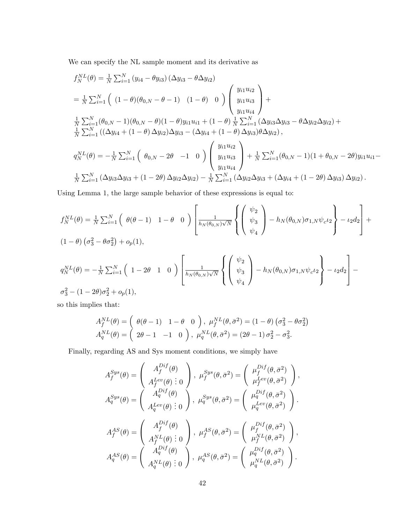We can specify the NL sample moment and its derivative as

$$
f_N^{NL}(\theta) = \frac{1}{N} \sum_{i=1}^N (y_{i4} - \theta y_{i3}) (\Delta y_{i3} - \theta \Delta y_{i2})
$$
  
\n
$$
= \frac{1}{N} \sum_{i=1}^N \left( (1 - \theta)(\theta_{0,N} - \theta - 1) - (1 - \theta) - 0 \right) \begin{pmatrix} y_{i1} u_{i2} \\ y_{i1} u_{i3} \\ y_{i1} u_{i4} \end{pmatrix} +
$$
  
\n
$$
\frac{1}{N} \sum_{i=1}^N (\theta_{0,N} - 1)(\theta_{0,N} - \theta)(1 - \theta) y_{i1} u_{i1} + (1 - \theta) \frac{1}{N} \sum_{i=1}^N (\Delta y_{i3} \Delta y_{i3} - \theta \Delta y_{i2} \Delta y_{i2}) +
$$
  
\n
$$
\frac{1}{N} \sum_{i=1}^N ((\Delta y_{i4} + (1 - \theta) \Delta y_{i2}) \Delta y_{i3} - (\Delta y_{i4} + (1 - \theta) \Delta y_{i3}) \theta \Delta y_{i2}),
$$
  
\n
$$
q_N^{NL}(\theta) = -\frac{1}{N} \sum_{i=1}^N \left( \theta_{0,N} - 2\theta - 1 - 0 \right) \begin{pmatrix} y_{i1} u_{i2} \\ y_{i1} u_{i3} \\ y_{i1} u_{i4} \end{pmatrix} + \frac{1}{N} \sum_{i=1}^N (\theta_{0,N} - 1)(1 + \theta_{0,N} - 2\theta) y_{i1} u_{i1} -
$$
  
\n
$$
\frac{1}{N} \sum_{i=1}^N (\Delta y_{i3} \Delta y_{i3} + (1 - 2\theta) \Delta y_{i2} \Delta y_{i2}) - \frac{1}{N} \sum_{i=1}^N (\Delta y_{i2} \Delta y_{i3} + (\Delta y_{i4} + (1 - 2\theta) \Delta y_{i3}) \Delta y_{i2}).
$$

Using Lemma 1, the large sample behavior of these expressions is equal to:

$$
f_N^{NL}(\theta) = \frac{1}{N} \sum_{i=1}^N \left( \begin{array}{c} \theta(\theta - 1) & 1 - \theta & 0 \end{array} \right) \left[ \frac{1}{h_N(\theta_{0,N})\sqrt{N}} \left\{ \left( \begin{array}{c} \psi_2 \\ \psi_3 \\ \psi_4 \end{array} \right) - h_N(\theta_{0,N}) \sigma_{1,N} \psi_c \iota_2 \right\} - \iota_2 d_2 \right] +
$$
  
\n
$$
(1 - \theta) \left( \sigma_3^2 - \theta \sigma_2^2 \right) + o_p(1),
$$
  
\n
$$
q_N^{NL}(\theta) = -\frac{1}{N} \sum_{i=1}^N \left( 1 - 2\theta & 1 & 0 \right) \left[ \frac{1}{h_N(\theta_{0,N})\sqrt{N}} \left\{ \left( \begin{array}{c} \psi_2 \\ \psi_3 \\ \psi_4 \end{array} \right) - h_N(\theta_{0,N}) \sigma_{1,N} \psi_c \iota_2 \right\} - \iota_2 d_2 \right] - \sigma_3^2 - (1 - 2\theta) \sigma_2^2 + o_p(1),
$$

so this implies that:

$$
A_f^{NL}(\theta) = \begin{pmatrix} \theta(\theta - 1) & 1 - \theta & 0 \end{pmatrix}, \ \mu_f^{NL}(\theta, \bar{\sigma}^2) = (1 - \theta) \left(\sigma_3^2 - \theta \sigma_2^2\right)
$$
  

$$
A_q^{NL}(\theta) = \begin{pmatrix} 2\theta - 1 & -1 & 0 \end{pmatrix}, \ \mu_q^{NL}(\theta, \bar{\sigma}^2) = (2\theta - 1) \sigma_2^2 - \sigma_3^2.
$$

Finally, regarding AS and Sys moment conditions, we simply have

$$
A_f^{Sys}(\theta) = \begin{pmatrix} A_f^{Dif}(\theta) \\ A_f^{Lev}(\theta) & 0 \end{pmatrix}, \ \mu_f^{Sys}(\theta, \bar{\sigma}^2) = \begin{pmatrix} \mu_f^{Dif}(\theta, \bar{\sigma}^2) \\ \mu_f^{Lev}(\theta, \bar{\sigma}^2) \end{pmatrix},
$$

$$
A_q^{Sys}(\theta) = \begin{pmatrix} A_q^{Dif}(\theta) \\ A_q^{Lev}(\theta) & 0 \end{pmatrix}, \ \mu_q^{Sys}(\theta, \bar{\sigma}^2) = \begin{pmatrix} \mu_q^{Dif}(\theta, \bar{\sigma}^2) \\ \mu_q^{Lev}(\theta, \bar{\sigma}^2) \end{pmatrix}.
$$

$$
A_f^{AS}(\theta) = \begin{pmatrix} A_f^{Dif}(\theta) \\ A_f^{NL}(\theta) & 0 \end{pmatrix}, \ \mu_f^{AS}(\theta, \bar{\sigma}^2) = \begin{pmatrix} \mu_f^{Dif}(\theta, \bar{\sigma}^2) \\ \mu_f^{NL}(\theta, \bar{\sigma}^2) \end{pmatrix},
$$

$$
A_q^{AS}(\theta) = \begin{pmatrix} A_q^{Dif}(\theta) \\ A_q^{NL}(\theta) & 0 \end{pmatrix}, \ \mu_q^{AS}(\theta, \bar{\sigma}^2) = \begin{pmatrix} \mu_q^{Dif}(\theta, \bar{\sigma}^2) \\ \mu_q^{NL}(\theta, \bar{\sigma}^2) \end{pmatrix}.
$$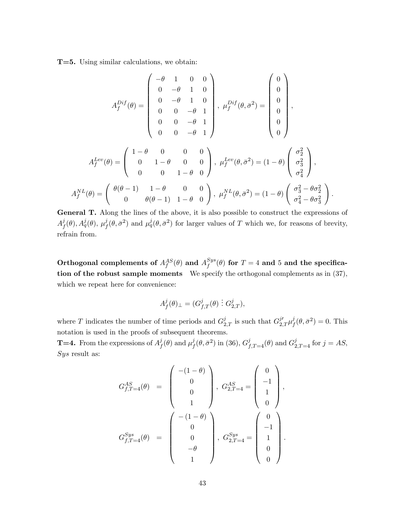T=5. Using similar calculations, we obtain:

$$
A_f^{Dif}(\theta) = \begin{pmatrix} -\theta & 1 & 0 & 0 \\ 0 & -\theta & 1 & 0 \\ 0 & 0 & -\theta & 1 \\ 0 & 0 & -\theta & 1 \\ 0 & 0 & -\theta & 1 \end{pmatrix}, \ \mu_f^{Dif}(\theta, \bar{\sigma}^2) = \begin{pmatrix} 0 \\ 0 \\ 0 \\ 0 \\ 0 \end{pmatrix},
$$

$$
A_f^{Lev}(\theta) = \begin{pmatrix} 1-\theta & 0 & 0 & 0 \\ 0 & 1-\theta & 0 & 0 \\ 0 & 0 & 1-\theta & 0 \end{pmatrix}, \ \mu_f^{Lev}(\theta, \bar{\sigma}^2) = (1-\theta) \begin{pmatrix} \sigma_2^2 \\ \sigma_3^2 \\ \sigma_4^2 \end{pmatrix},
$$

$$
A_f^{NL}(\theta) = \begin{pmatrix} \theta(\theta - 1) & 1-\theta & 0 & 0 \\ 0 & \theta(\theta - 1) & 1-\theta & 0 \end{pmatrix}, \ \mu_f^{NL}(\theta, \bar{\sigma}^2) = (1-\theta) \begin{pmatrix} \sigma_3^2 - \theta \sigma_2^2 \\ \sigma_4^2 - \theta \sigma_3^2 \end{pmatrix}.
$$

General T. Along the lines of the above, it is also possible to construct the expressions of  $A^j_{\scriptscriptstyle{f}}$  $j_f^j(\theta), A^j_q(\theta),\ \mu^j_f$  $f_f^j(\theta, \bar{\sigma}^2)$  and  $\mu_q^j(\theta, \bar{\sigma}^2)$  for larger values of T which we, for reasons of brevity, refrain from.

Orthogonal complements of  $A^{AS}_{f}(\theta)$  and  $A^{Sys}_{f}$  $f^{sys}_f(\theta)$  for  $T=4$  and  $5$  and the specification of the robust sample moments We specify the orthogonal complements as in (37), which we repeat here for convenience:

$$
A^j_f(\theta)_\perp=(G^j_{f,T}(\theta)\ \vdots\ G^j_{2,T}),
$$

where T indicates the number of time periods and  $G_{2,T}^j$  is such that  $G_{2,T}^{j'}\mu_j^j$  $j_f^j(\theta, \bar{\sigma}^2) = 0$ . This notation is used in the proofs of subsequent theorems.

**T=4.** From the expressions of  $A^j_t$  $j\overline{f}(\theta)$  and  $\mu_f^j$  $f^j(\theta, \bar{\sigma}^2)$  in (36),  $G^j_{f,T=4}(\theta)$  and  $G^j_{2,T=4}$  for  $j=AS$ ,  $Sys$  result as:

$$
G_{f,T=4}^{AS}(\theta) = \begin{pmatrix} -(1-\theta) \\ 0 \\ 0 \\ 1 \end{pmatrix}, G_{2,T=4}^{AS} = \begin{pmatrix} 0 \\ -1 \\ 1 \\ 0 \end{pmatrix},
$$
  

$$
G_{f,T=4}^{Sys}(\theta) = \begin{pmatrix} -(1-\theta) \\ 0 \\ 0 \\ -\theta \\ 1 \end{pmatrix}, G_{2,T=4}^{Sys} = \begin{pmatrix} 0 \\ -1 \\ 1 \\ 0 \end{pmatrix}.
$$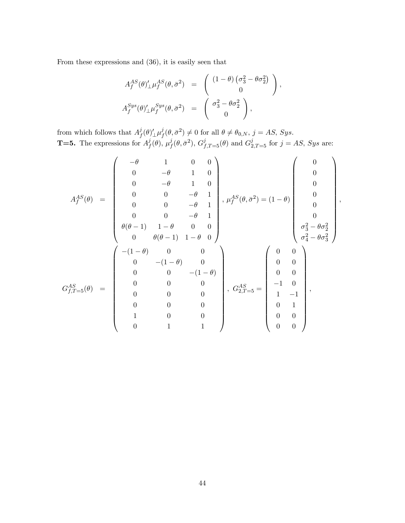From these expressions and (36), it is easily seen that

$$
A_f^{AS}(\theta)'_{\perp} \mu_f^{AS}(\theta, \bar{\sigma}^2) = \begin{pmatrix} (1 - \theta) \left(\sigma_3^2 - \theta \sigma_2^2\right) \\ 0 \end{pmatrix},
$$
  

$$
A_f^{Sys}(\theta)'_{\perp} \mu_f^{Sys}(\theta, \bar{\sigma}^2) = \begin{pmatrix} \sigma_3^2 - \theta \sigma_2^2 \\ 0 \end{pmatrix},
$$

from which follows that  $A^j_t$  $j_f(\theta)_{\perp}^{\prime}\mu_j^j$  $f^j(\theta, \bar{\sigma}^2) \neq 0$  for all  $\theta \neq \theta_{0,N}, j = AS, Sys.$ **T=5.** The expressions for  $A_f^j$  $j\overline{f}(\theta),\,\mu_f^j$  $f^j(\theta, \bar{\sigma}^2)$ ,  $G^j_{f,T=5}(\theta)$  and  $G^j_{2,T=5}$  for  $j = AS$ , Sys are:

$$
A_f^{AS}(\theta) = \begin{pmatrix} -\theta & 1 & 0 & 0 \\ 0 & -\theta & 1 & 0 \\ 0 & 0 & -\theta & 1 \\ 0 & 0 & -\theta & 1 \\ 0 & 0 & 0 & -\theta & 1 \\ 0 & 0 & 0 & -\theta & 1 \\ 0 & 0 & 0 & -\theta & 1 \\ \theta(\theta - 1) & 1 - \theta & 0 & 0 \\ 0 & \theta(\theta - 1) & 1 - \theta & 0 \end{pmatrix}, \mu_f^{AS}(\theta, \bar{\sigma}^2) = (1 - \theta) \begin{pmatrix} 0 \\ 0 \\ 0 \\ 0 \\ 0 \\ \sigma_3^2 - \theta \sigma_2^2 \\ \sigma_4^2 - \theta \sigma_3^2 \end{pmatrix}
$$

$$
G_{f,T=5}^{AS}(\theta) = \begin{pmatrix} -(1 - \theta) & 0 & 0 \\ 0 & 0 & -(1 - \theta) & 0 \\ 0 & 0 & -(1 - \theta) & 0 \\ 0 & 0 & 0 & 0 \\ 0 & 0 & 0 & 0 \\ 0 & 0 & 0 & 0 \\ 1 & 0 & 0 & 0 \\ 0 & 0 & 1 & 1 \end{pmatrix}, G_{2,T=5}^{AS} = \begin{pmatrix} 0 & 0 \\ 0 & 0 \\ 0 & 0 \\ -1 & 0 \\ 1 & -1 \\ 1 & -1 \\ 0 & 0 \\ 0 & 0 \\ 0 & 0 \\ 0 & 0 \\ 0 & 0 \\ 0 & 0 \\ 0 & 0 \\ 0 & 0 \\ 0 & 0 \\ 0 & 0 \\ 0 & 0 \\ 0 & 0 \\ 0 & 0 \\ 0 & 0 \\ 0 & 0 \\ 0 & 0 \\ 0 & 0 \\ 0 & 0 \\ 0 & 0 \\ 0 & 0 \\ 0 & 0 \\ 0 & 0 \\ 0 & 0 \\ 0 & 0 \\ 0 & 0 \\ 0 & 0 \\ 0 & 0 \\ 0 & 0 \\ 0 & 0 \\ 0 & 0 \\ 0 & 0 \\ 0 & 0 \\ 0 & 0 \\ 0 & 0 \\ 0 & 0 \\ 0 & 0 \\ 0 & 0 \\ 0 & 0 \\ 0 & 0 \\ 0 & 0 \\ 0 & 0 \\ 0 & 0 \\ 0 & 0 \\ 0 & 0 \\ 0 & 0 \\ 0 & 0 \\ 0 & 0 \\ 0 & 0 \\ 0 & 0 \\ 0 & 0 \\ 0 & 0 \\ 0 & 0 \\ 0 & 0 \\ 0 & 0 \\
$$

;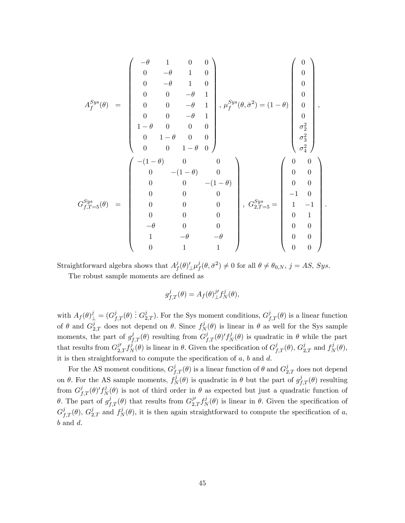$$
A_f^{Sys}(\theta) = \begin{pmatrix} -\theta & 1 & 0 & 0 \\ 0 & -\theta & 1 & 0 \\ 0 & 0 & -\theta & 1 \\ 0 & 0 & -\theta & 1 \\ 0 & 0 & -\theta & 1 \\ 0 & 0 & -\theta & 1 \\ 1-\theta & 0 & 0 & 0 \\ 0 & 1-\theta & 0 & 0 \\ 0 & 0 & 1-\theta & 0 \end{pmatrix}, \mu_f^{Sys}(\theta, \bar{\sigma}^2) = (1-\theta) \begin{pmatrix} 0 \\ 0 \\ 0 \\ 0 \\ 0 \\ \sigma_2^2 \\ \sigma_3^2 \\ \sigma_4^2 \end{pmatrix},
$$
  

$$
G_{f,T=5}^{Sys}(\theta) = \begin{pmatrix} -(1-\theta) & 0 & 0 \\ 0 & -(1-\theta) & 0 \\ 0 & 0 & -(1-\theta) \\ 0 & 0 & 0 \\ 0 & 0 & 0 \\ 0 & 0 & 0 \\ -\theta & 0 & 0 \\ 1 & -\theta & -\theta \\ 0 & 1 & 1 \end{pmatrix}, \ G_{2,T=5}^{Sys} = \begin{pmatrix} 0 & 0 \\ 0 & 0 \\ 0 & 0 \\ -1 & 0 \\ 1 & -1 \\ 0 & 1 \\ 0 & 0 \\ 0 & 0 \\ 0 & 0 \\ 0 & 0 \\ 0 & 0 \\ 0 & 0 \\ 0 & 0 \\ 0 & 0 \\ 0 & 0 \\ 0 & 0 \\ 0 & 0 \\ 0 & 0 \\ 0 & 0 \\ 0 & 0 \\ 0 & 0 \\ 0 & 0 \\ 0 & 0 \\ 0 & 0 \\ 0 & 0 \\ 0 & 0 \\ 0 & 0 \\ 0 & 0 \\ 0 & 0 \\ 0 & 0 \\ 0 & 0 \\ 0 & 0 \\ 0 & 0 \\ 0 & 0 \\ 0 & 0 \\ 0 & 0 \\ 0 & 0 \\ 0 & 0 \\ 0 & 0 \\ 0 & 0 \\ 0 & 0 \\ 0 & 0 \\ 0 & 0 \\ 0 & 0 \\ 0 & 0 \\ 0 & 0 \\ 0 & 0 \\ 0 & 0 \\ 0 & 0 \\ 0 & 0 \\ 0 & 0 \\ 0 & 0 \\ 0 & 0 \\ 0 & 0 \\ 0 & 0 \\ 0 & 0 \\ 0 & 0 \\ 0 & 0 \\ 0 & 0 \\ 0 & 0 \\ 0 & 0 \\ 0 & 0 \\ 0 & 0 \\ 0 & 0 \\ 0 & 0 \\ 0 & 0 \\ 0 & 0 \\
$$

Straightforward algebra shows that  $A^j_{\mu}$  $j_f(\theta)_{\perp}^{\prime}\mu_f^j$  $f^j(\theta, \bar{\sigma}^2) \neq 0$  for all  $\theta \neq \theta_{0,N}, j = AS, Sys.$ The robust sample moments are defined as

$$
g_{f,T}^j(\theta) = A_f(\theta)_{\perp}^{j'} f_N^j(\theta),
$$

with  $A_f(\theta)^j_{\perp} = (G^j_{f,T}(\theta) : G^j_{2,T})$ . For the Sys moment conditions,  $G^j_{f,T}(\theta)$  is a linear function of  $\theta$  and  $G_{2,T}^j$  does not depend on  $\theta$ . Since  $f_N^j$  $N(\theta)$  is linear in  $\theta$  as well for the Sys sample moments, the part of  $g_{f,T}^j(\theta)$  resulting from  $G_{f,T}^j(\theta)'\,f_N^j$  $N(\theta)$  is quadratic in  $\theta$  while the part that results from  $G_{2,T}^{j\prime}f_N^{\bar{j}}$  $\mathcal{L}_{N}^{j}(\theta)$  is linear in  $\theta$ . Given the specification of  $G_{f,T}^{j}(\theta)$ ,  $G_{2,T}^{j}$  and  $f_{N}^{j}$  $C_N^{\jmath}(\theta),$ it is then straightforward to compute the specification of  $a$ ,  $b$  and  $d$ .

For the AS moment conditions,  $G^j_{f,T}(\theta)$  is a linear function of  $\theta$  and  $G^j_{2,T}$  does not depend on  $\theta$ . For the AS sample moments,  $f_N^j$  $\mathcal{L}_{N}^{j}(\theta)$  is quadratic in  $\theta$  but the part of  $g_{f,T}^{j}(\theta)$  resulting from  $G_{f,T}^{j}(\theta)'f_{N}^{j}$  $N(\theta)$  is not of third order in  $\theta$  as expected but just a quadratic function of  $\theta$ . The part of  $g_{f,T}^j(\theta)$  that results from  $G_{2,T}^{j'}f_N^j$  $N(\theta)$  is linear in  $\theta$ . Given the specification of  $G_{f,T}^j(\theta)$ ,  $G_{2,T}^j$  and  $f_N^j$  $N(\theta)$ , it is then again straightforward to compute the specification of a,  $b$  and  $d$ .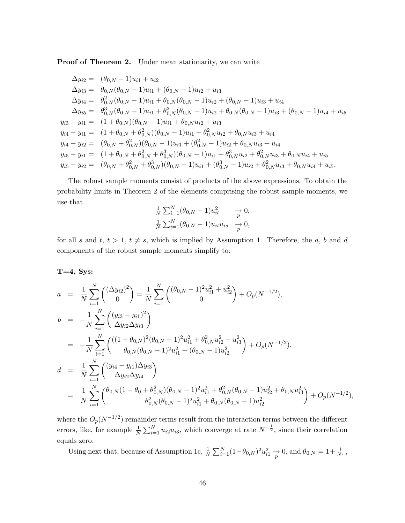Proof of Theorem 2. Under mean stationarity, we can write

$$
\Delta y_{i2} = (\theta_{0,N} - 1)u_{i1} + u_{i2}
$$
  
\n
$$
\Delta y_{i3} = \theta_{0,N}(\theta_{0,N} - 1)u_{i1} + (\theta_{0,N} - 1)u_{i2} + u_{i3}
$$
  
\n
$$
\Delta y_{i4} = \theta_{0,N}^2(\theta_{0,N} - 1)u_{i1} + \theta_{0,N}(\theta_{0,N} - 1)u_{i2} + (\theta_{0,N} - 1)u_{i3} + u_{i4}
$$
  
\n
$$
\Delta y_{i5} = \theta_{0,N}^3(\theta_{0,N} - 1)u_{i1} + \theta_{0,N}^2(\theta_{0,N} - 1)u_{i2} + \theta_{0,N}(\theta_{0,N} - 1)u_{i3} + (\theta_{0,N} - 1)u_{i4} + u_{i5}
$$
  
\n
$$
y_{i3} - y_{i1} = (1 + \theta_{0,N})(\theta_{0,N} - 1)u_{i1} + \theta_{0,N}u_{i2} + u_{i3}
$$
  
\n
$$
y_{i4} - y_{i1} = (1 + \theta_{0,N} + \theta_{0,N}^2)(\theta_{0,N} - 1)u_{i1} + \theta_{0,N}^2u_{i2} + \theta_{0,N}u_{i3} + u_{i4}
$$
  
\n
$$
y_{i4} - y_{i2} = (\theta_{0,N} + \theta_{0,N}^2)(\theta_{0,N} - 1)u_{i1} + (\theta_{0,N}^2 - 1)u_{i2} + \theta_{0,N}u_{i3} + u_{i4}
$$
  
\n
$$
y_{i5} - y_{i1} = (1 + \theta_{0,N} + \theta_{0,N}^2 + \theta_{0,N}^3)(\theta_{0,N} - 1)u_{i1} + \theta_{0,N}^3u_{i2} + \theta_{0,N}^2u_{i3} + \theta_{0,N}u_{i4} + u_{i5}
$$
  
\n
$$
y_{i5} - y_{i2} = (\theta_{0,N} + \theta_{0,N}^2 + \theta_{0,N}^3)(\theta_{0,N} - 1)u_{i1} + (\theta_{0,N}^3 - 1)u_{i2} + \theta_{0,N}^2u_{i3} + \theta_{0,N}u_{i4} + u_{i5}.
$$

The robust sample moments consist of products of the above expressions. To obtain the probability limits in Theorem 2 of the elements comprising the robust sample moments, we use that

$$
\frac{1}{N} \sum_{i=1}^{N} (\theta_{0,N} - 1) u_{it}^2 \longrightarrow 0,
$$
  

$$
\frac{1}{N} \sum_{i=1}^{N} (\theta_{0,N} - 1) u_{it} u_{is} \longrightarrow 0,
$$

for all s and t,  $t > 1$ ,  $t \neq s$ , which is implied by Assumption 1. Therefore, the a, b and d components of the robust sample moments simplify to:

 $T=4$ , Sys:

$$
a = \frac{1}{N} \sum_{i=1}^{N} \binom{(\Delta y_{i2})^2}{0} = \frac{1}{N} \sum_{i=1}^{N} \binom{(\theta_{0,N} - 1)^2 u_{i1}^2 + u_{i2}^2}{0} + O_p(N^{-1/2}),
$$
  
\n
$$
b = -\frac{1}{N} \sum_{i=1}^{N} \binom{(y_{i3} - y_{i1})^2}{\Delta y_{i2} \Delta y_{i3}} = -\frac{1}{N} \sum_{i=1}^{N} \binom{((1 + \theta_{0,N})^2 (\theta_{0,N} - 1)^2 u_{i1}^2 + \theta_{0,N}^2 u_{i2}^2 + u_{i3}^2)}{\theta_{0,N} (\theta_{0,N} - 1)^2 u_{i1}^2 + (\theta_{0,N} - 1) u_{i2}^2} + O_p(N^{-1/2}),
$$
  
\n
$$
d = \frac{1}{N} \sum_{i=1}^{N} \binom{(y_{i4} - y_{i1}) \Delta y_{i3}}{\Delta y_{i2} \Delta y_{i4}} = \frac{1}{N} \sum_{i=1}^{N} \binom{\theta_{0,N} (1 + \theta_0 + \theta_{0,N}^2) (\theta_{0,N} - 1)^2 u_{i1}^2 + \theta_{0,N}^2 (\theta_{0,N} - 1) u_{i2}^2 + \theta_{0,N} u_{i3}^2)}{\theta_{0,N}^2 (\theta_{0,N} - 1)^2 u_{i1}^2 + \theta_{0,N} (\theta_{0,N} - 1) u_{i2}^2} + O_p(N^{-1/2}),
$$

where the  $O_p(N^{-1/2})$  remainder terms result from the interaction terms between the different errors, like, for example  $\frac{1}{N} \sum_{i=1}^{N} u_{i2} u_{i3}$ , which converge at rate  $N^{-\frac{1}{2}}$ , since their correlation equals zero.

Using next that, because of Assumption 1c,  $\frac{1}{N} \sum_{i=1}^{N} (1 - \theta_{0,N})^2 u_{i1}^2 \to 0$ , and  $\theta_{0,N} = 1 + \frac{l}{N^{\tau}}$ ,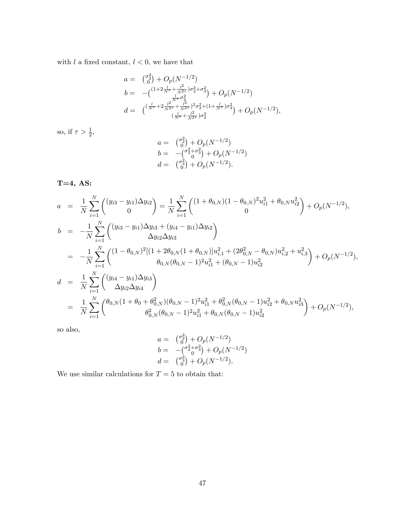with  $l$  a fixed constant,  $l < 0$ , we have that

$$
a = \binom{\sigma_2^2}{0} + O_p(N^{-1/2})
$$
  
\n
$$
b = -\binom{(1+2\frac{l}{N^{\tau}} + \frac{l^2}{N^{2\tau}})\sigma_2^2 + \sigma_3^2}{\frac{l}{N^{\tau}}\sigma_2^2} + O_p(N^{-1/2})
$$
  
\n
$$
d = \binom{\left(\frac{l}{N^{\tau}} + 2\frac{l^2}{N^{2\tau}} + \frac{l^3}{N^{3\tau}}\right)^2 \sigma_2^2 + (1 + \frac{l}{N^{\tau}})\sigma_3^2}{\left(\frac{l}{N^{\tau}} + \frac{l^2}{N^{2\tau}}\right) \sigma_2^2} + O_p(N^{-1/2}),
$$

so, if  $\tau > \frac{1}{2}$ ,

$$
a = \binom{\sigma_2^2}{0} + O_p(N^{-1/2})
$$
  
\n
$$
b = -\binom{\sigma_2^2 + \sigma_3^2}{0} + O_p(N^{-1/2})
$$
  
\n
$$
d = \binom{\sigma_3^2}{0} + O_p(N^{-1/2}).
$$

T=4, AS:

$$
a = \frac{1}{N} \sum_{i=1}^{N} \binom{(y_{i3} - y_{i1})\Delta y_{i2}}{0} = \frac{1}{N} \sum_{i=1}^{N} \binom{(1 + \theta_{0,N})(1 - \theta_{0,N})^2 u_{i1}^2 + \theta_{0,N} u_{i2}^2}{0} + O_p(N^{-1/2}),
$$
  
\n
$$
b = -\frac{1}{N} \sum_{i=1}^{N} \binom{(y_{i3} - y_{i1})\Delta y_{i3} + (y_{i4} - y_{i1})\Delta y_{i2}}{\Delta y_{i2} \Delta y_{i3}} = -\frac{1}{N} \sum_{i=1}^{N} \binom{(1 - \theta_{0,N})^2 [(1 + 2\theta_{0,N}(1 + \theta_{0,N})] u_{i,1}^2 + (2\theta_{0,N}^2 - \theta_{0,N}) u_{i,2}^2 + u_{i,3}^2)}{\theta_{0,N}(\theta_{0,N} - 1)^2 u_{i1}^2 + (\theta_{0,N} - 1) u_{i2}^2} + O_p(N^{-1/2}),
$$
  
\n
$$
d = \frac{1}{N} \sum_{i=1}^{N} \binom{(y_{i4} - y_{i1})\Delta y_{i3}}{\Delta y_{i2} \Delta y_{i4}} = \frac{1}{N} \sum_{i=1}^{N} \binom{(\theta_{0,N}(1 + \theta_0 + \theta_{0,N}^2)(\theta_{0,N} - 1)^2 u_{i1}^2 + \theta_{0,N}^2(\theta_{0,N} - 1) u_{i2}^2 + \theta_{0,N} u_{i3}^2)}{\theta_{0,N}^2(\theta_{0,N} - 1)^2 u_{i1}^2 + \theta_{0,N}(\theta_{0,N} - 1) u_{i2}^2} + O_p(N^{-1/2}),
$$

so also,

$$
a = \binom{\sigma_0^2}{0} + O_p(N^{-1/2})
$$
  
\n
$$
b = -\binom{\sigma_2^2 + \sigma_3^2}{0} + O_p(N^{-1/2})
$$
  
\n
$$
d = \binom{\sigma_3^2}{0} + O_p(N^{-1/2}).
$$

We use similar calculations for  $T=5$  to obtain that: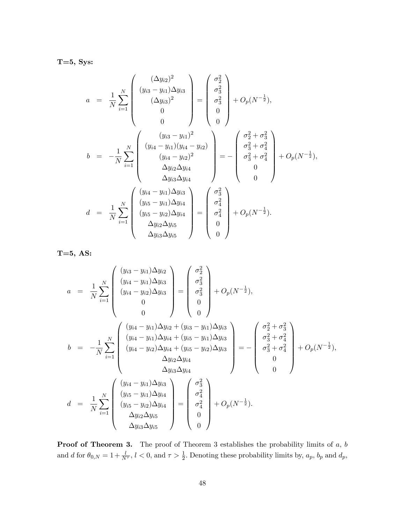$T=5$ , Sys:

$$
a = \frac{1}{N} \sum_{i=1}^{N} \begin{pmatrix} (\Delta y_{i2})^{2} \\ (y_{i3} - y_{i1}) \Delta y_{i3} \\ (\Delta y_{i3})^{2} \\ 0 \\ 0 \end{pmatrix} = \begin{pmatrix} \sigma_{2}^{2} \\ \sigma_{3}^{2} \\ \sigma_{3}^{2} \\ 0 \\ 0 \end{pmatrix} + O_{p}(N^{-\frac{1}{2}}),
$$
  
\n
$$
b = -\frac{1}{N} \sum_{i=1}^{N} \begin{pmatrix} (y_{i3} - y_{i1})^{2} \\ (y_{i4} - y_{i1})(y_{i4} - y_{i2}) \\ (y_{i4} - y_{i2})^{2} \\ \Delta y_{i2} \Delta y_{i4} \\ \Delta y_{i3} \Delta y_{i4} \end{pmatrix} = - \begin{pmatrix} \sigma_{2}^{2} + \sigma_{3}^{2} \\ \sigma_{3}^{2} + \sigma_{4}^{2} \\ \sigma_{3}^{2} + \sigma_{4}^{2} \\ 0 \\ 0 \end{pmatrix} + O_{p}(N^{-\frac{1}{2}}),
$$
  
\n
$$
d = \frac{1}{N} \sum_{i=1}^{N} \begin{pmatrix} (y_{i4} - y_{i1}) \Delta y_{i3} \\ (y_{i5} - y_{i1}) \Delta y_{i4} \\ (y_{i5} - y_{i2}) \Delta y_{i4} \\ \Delta y_{i2} \Delta y_{i5} \end{pmatrix} = \begin{pmatrix} \sigma_{3}^{2} \\ \sigma_{4}^{2} \\ \sigma_{4}^{2} \\ 0 \\ 0 \end{pmatrix} + O_{p}(N^{-\frac{1}{2}}).
$$

T=5, AS:

$$
a = \frac{1}{N} \sum_{i=1}^{N} \begin{pmatrix} (y_{i3} - y_{i1}) \Delta y_{i3} \\ (y_{i4} - y_{i1}) \Delta y_{i3} \\ (y_{i4} - y_{i2}) \Delta y_{i3} \\ 0 \\ 0 \end{pmatrix} = \begin{pmatrix} \sigma_2^2 \\ \sigma_3^2 \\ \sigma_3^2 \\ 0 \\ 0 \end{pmatrix} + O_p(N^{-\frac{1}{2}}),
$$
  
\n
$$
b = -\frac{1}{N} \sum_{i=1}^{N} \begin{pmatrix} (y_{i4} - y_{i1}) \Delta y_{i2} + (y_{i3} - y_{i1}) \Delta y_{i3} \\ (y_{i4} - y_{i1}) \Delta y_{i4} + (y_{i5} - y_{i1}) \Delta y_{i3} \\ (y_{i4} - y_{i2}) \Delta y_{i4} + (y_{i5} - y_{i2}) \Delta y_{i3} \\ \Delta y_{i2} \Delta y_{i4} \\ \Delta y_{i3} \Delta y_{i4} \end{pmatrix} = - \begin{pmatrix} \sigma_2^2 + \sigma_3^2 \\ \sigma_3^2 + \sigma_4^2 \\ \sigma_3^2 + \sigma_4^2 \\ 0 \\ 0 \end{pmatrix} + O_p(N^{-\frac{1}{2}}),
$$
  
\n
$$
d = \frac{1}{N} \sum_{i=1}^{N} \begin{pmatrix} (y_{i4} - y_{i1}) \Delta y_{i3} \\ (y_{i5} - y_{i1}) \Delta y_{i4} \\ (y_{i5} - y_{i2}) \Delta y_{i4} \\ \Delta y_{i3} \Delta y_{i5} \end{pmatrix} = \begin{pmatrix} \sigma_3^2 \\ \sigma_4^2 \\ \sigma_4^2 \\ 0 \\ 0 \end{pmatrix} + O_p(N^{-\frac{1}{2}}).
$$

**Proof of Theorem 3.** The proof of Theorem 3 establishes the probability limits of  $a, b$ and d for  $\theta_{0,N} = 1 + \frac{l}{N^{\tau}}$ ,  $l < 0$ , and  $\tau > \frac{1}{2}$ . Denoting these probability limits by,  $a_p$ ,  $b_p$  and  $d_p$ ,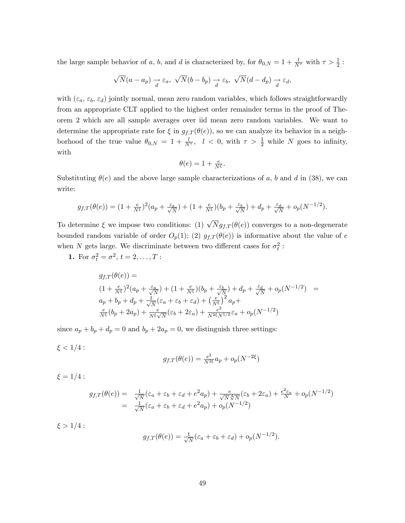the large sample behavior of a, b, and d is characterized by, for  $\theta_{0,N} = 1 + \frac{l}{N^{\tau}}$  with  $\tau > \frac{1}{2}$ :

$$
\sqrt{N}(a-a_p) \underset{d}{\rightarrow} \varepsilon_a, \sqrt{N}(b-b_p) \underset{d}{\rightarrow} \varepsilon_b, \sqrt{N}(d-d_p) \underset{d}{\rightarrow} \varepsilon_d,
$$

with  $(\varepsilon_a, \varepsilon_b, \varepsilon_d)$  jointly normal, mean zero random variables, which follows straightforwardly from an appropriate CLT applied to the highest order remainder terms in the proof of Theorem 2 which are all sample averages over iid mean zero random variables. We want to determine the appropriate rate for  $\xi$  in  $g_{f,T}(\theta(e))$ , so we can analyze its behavior in a neighborhood of the true value  $\theta_{0,N} = 1 + \frac{l}{N^{\tau}}$ ,  $l < 0$ , with  $\tau > \frac{1}{2}$  while N goes to infinity, with

$$
\theta(e) = 1 + \frac{e}{N^{\xi}}.
$$

Substituting  $\theta(e)$  and the above large sample characterizations of a, b and d in (38), we can write:

$$
g_{f,T}(\theta(e)) = (1+\tfrac{e}{N^{\xi}})^2(a_p+\tfrac{\varepsilon_a}{\sqrt{N}}) + (1+\tfrac{e}{N^{\xi}})(b_p+\tfrac{\varepsilon_b}{\sqrt{N}}) + d_p+\tfrac{\varepsilon_d}{\sqrt{N}} + o_p(N^{-1/2}).
$$

To determine  $\xi$  we impose two conditions: (1)  $\sqrt{N} g_{f,T}(\theta(e))$  converges to a non-degenerate bounded random variable of order  $O_p(1)$ ; (2)  $g_{f,T}(\theta(e))$  is informative about the value of e when N gets large. We discriminate between two different cases for  $\sigma_t^2$ :

**1.** For  $\sigma_t^2 = \sigma^2, t = 2, ..., T$ :

$$
g_{f,T}(\theta(e)) =
$$
  
\n
$$
(1 + \frac{e}{N^{\xi}})^{2} (a_{p} + \frac{\varepsilon_{a}}{\sqrt{N}}) + (1 + \frac{e}{N^{\xi}}) (b_{p} + \frac{\varepsilon_{b}}{\sqrt{N}}) + d_{p} + \frac{\varepsilon_{d}}{\sqrt{N}} + o_{p}(N^{-1/2}) =
$$
  
\n
$$
a_{p} + b_{p} + d_{p} + \frac{1}{\sqrt{N}} (\varepsilon_{a} + \varepsilon_{b} + \varepsilon_{d}) + (\frac{e}{N^{\xi}})^{2} a_{p} +
$$
  
\n
$$
\frac{e}{N^{\xi}} (b_{p} + 2a_{p}) + \frac{e}{N^{\xi}\sqrt{N}} (\varepsilon_{b} + 2\varepsilon_{a}) + \frac{e^{2}}{N^{2\xi}N^{1/2}} \varepsilon_{a} + o_{p}(N^{-1/2})
$$

since  $a_p + b_p + d_p = 0$  and  $b_p + 2a_p = 0$ , we distinguish three settings:

$$
\xi < 1/4
$$
 : 
$$
g_{f,T}(\theta(e)) = \tfrac{e^2}{N^{2\xi}} a_p + o_p(N^{-2\xi})
$$

$$
\xi = 1/4:
$$

$$
g_{f,T}(\theta(e)) = \frac{1}{\sqrt{N}} (\varepsilon_a + \varepsilon_b + \varepsilon_d + e^2 a_p) + \frac{e}{\sqrt{N}\sqrt[4]{N}} (\varepsilon_b + 2\varepsilon_a) + \frac{e^2 \varepsilon_a}{N} + o_p(N^{-1/2})
$$
  
= 
$$
\frac{1}{\sqrt{N}} (\varepsilon_a + \varepsilon_b + \varepsilon_d + e^2 a_p) + o_p(N^{-1/2})
$$

 $\xi > 1/4$ :

$$
g_{f,T}(\theta(e)) = \frac{1}{\sqrt{N}} (\varepsilon_a + \varepsilon_b + \varepsilon_d) + o_p(N^{-1/2}).
$$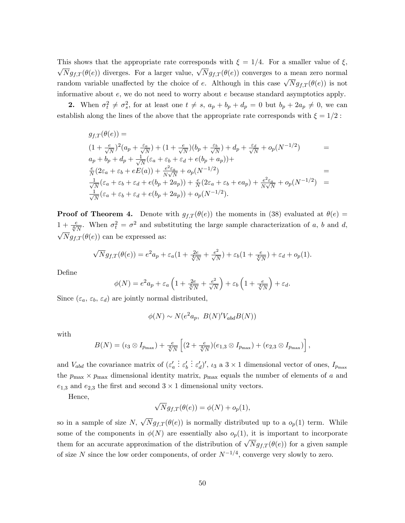This shows that the appropriate rate corresponds with  $\xi = 1/4$ . For a smaller value of  $\xi$ ,  $\sqrt{N}g_{f,T}(\theta(e))$  diverges. For a larger value,  $\sqrt{N}g_{f,T}(\theta(e))$  converges to a mean zero normal random variable unaffected by the choice of e. Although in this case  $\sqrt{N}g_{f,T}(\theta(e))$  is not informative about  $e$ , we do not need to worry about  $e$  because standard asymptotics apply.

**2.** When  $\sigma_t^2 \neq \sigma_s^2$ , for at least one  $t \neq s$ ,  $a_p + b_p + d_p = 0$  but  $b_p + 2a_p \neq 0$ , we can establish along the lines of the above that the appropriate rate corresponds with  $\xi = 1/2$ :

$$
g_{f,T}(\theta(e)) =
$$
  
\n
$$
(1 + \frac{e}{\sqrt{N}})^2 (a_p + \frac{\varepsilon_a}{\sqrt{N}}) + (1 + \frac{e}{\sqrt{N}})(b_p + \frac{\varepsilon_b}{\sqrt{N}}) + d_p + \frac{\varepsilon_d}{\sqrt{N}} + o_p(N^{-1/2}) =
$$
  
\n
$$
a_p + b_p + d_p + \frac{1}{\sqrt{N}} (\varepsilon_a + \varepsilon_b + \varepsilon_d + e(b_p + a_p)) +
$$
  
\n
$$
\frac{e}{N} (2\varepsilon_a + \varepsilon_b + eE(a)) + \frac{e^2 \varepsilon_a}{N\sqrt{N}} + o_p(N^{-1/2}) =
$$
  
\n
$$
\frac{1}{\sqrt{N}} (\varepsilon_a + \varepsilon_b + \varepsilon_d + e(b_p + 2a_p)) + \frac{e}{N} (2\varepsilon_a + \varepsilon_b + e a_p) + \frac{e^2 \varepsilon_a}{N\sqrt{N}} + o_p(N^{-1/2}) =
$$
  
\n
$$
\frac{1}{\sqrt{N}} (\varepsilon_a + \varepsilon_b + \varepsilon_d + e(b_p + 2a_p)) + o_p(N^{-1/2}).
$$

**Proof of Theorem 4.** Denote with  $g_{f,T}(\theta(e))$  the moments in (38) evaluated at  $\theta(e)$  =  $1 + \frac{e}{\sqrt[4]{N}}$ . When  $\sigma_t^2 = \sigma^2$  and substituting the large sample characterization of a, b and d,  $\sqrt{N}g_{f,T}(\theta(e))$  can be expressed as:

$$
\sqrt{N}g_{f,T}(\theta(e)) = e^2 a_p + \varepsilon_a (1 + \frac{2e}{\sqrt[4]{N}} + \frac{e^2}{\sqrt{N}}) + \varepsilon_b (1 + \frac{e}{\sqrt[4]{N}}) + \varepsilon_d + o_p(1).
$$

DeÖne

$$
\phi(N) = e^2 a_p + \varepsilon_a \left( 1 + \frac{2e}{\sqrt[4]{N}} + \frac{e^2}{\sqrt{N}} \right) + \varepsilon_b \left( 1 + \frac{e}{\sqrt[4]{N}} \right) + \varepsilon_d.
$$

Since  $(\varepsilon_a, \varepsilon_b, \varepsilon_d)$  are jointly normal distributed,

$$
\phi(N) \sim N(e^2 a_p, B(N)' V_{abd} B(N))
$$

with

$$
B(N) = (\iota_3 \otimes I_{p_{\max}}) + \frac{e}{\sqrt[4]{N}} \left[ (2 + \frac{e}{\sqrt[4]{N}})(e_{1,3} \otimes I_{p_{\max}}) + (e_{2,3} \otimes I_{p_{\max}}) \right],
$$

and  $V_{abd}$  the covariance matrix of  $(\varepsilon'_a)$  $\vdots \varepsilon'_b$  $\therefore \varepsilon'_d)'$ ,  $\iota_3$  a  $3 \times 1$  dimensional vector of ones,  $I_{p_{\text{max}}}$ the  $p_{\text{max}} \times p_{\text{max}}$  dimensional identity matrix,  $p_{\text{max}}$  equals the number of elements of a and  $e_{1,3}$  and  $e_{2,3}$  the first and second  $3 \times 1$  dimensional unity vectors.

Hence,

$$
\sqrt{N}g_{f,T}(\theta(e)) = \phi(N) + o_p(1),
$$

so in a sample of size  $N$ ,  $\sqrt{N}g_{f,T}(\theta(e))$  is normally distributed up to a  $o_p(1)$  term. While some of the components in  $\phi(N)$  are essentially also  $o_p(1)$ , it is important to incorporate them for an accurate approximation of the distribution of  $\sqrt{N}g_{f,T}(\theta(e))$  for a given sample of size N since the low order components, of order  $N^{-1/4}$ , converge very slowly to zero.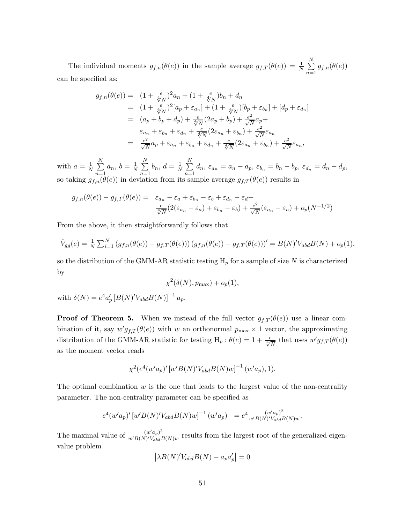The individual moments  $g_{f,n}(\theta(e))$  in the sample average  $g_{f,T}(\theta(e)) = \frac{1}{N} \sum_{i=1}^{N}$  $\sum_{n=1} g_{f,n}(\theta(e))$ can be specified as:

$$
g_{f,n}(\theta(e)) = (1 + \frac{e}{\sqrt[4]{N}})^2 a_n + (1 + \frac{e}{\sqrt[4]{N}}) b_n + d_n
$$
  
\n
$$
= (1 + \frac{e}{\sqrt[4]{N}})^2 [a_p + \varepsilon_{a_n}] + (1 + \frac{e}{\sqrt[4]{N}}) [b_p + \varepsilon_{b_n}] + [d_p + \varepsilon_{d_n}]
$$
  
\n
$$
= (a_p + b_p + d_p) + \frac{e}{\sqrt[4]{N}} (2a_p + b_p) + \frac{e^2}{\sqrt{N}} a_p +
$$
  
\n
$$
\varepsilon_{a_n} + \varepsilon_{b_n} + \varepsilon_{d_n} + \frac{e}{\sqrt[4]{N}} (2\varepsilon_{a_n} + \varepsilon_{b_n}) + \frac{e^2}{\sqrt{N}} \varepsilon_{a_n}
$$
  
\n
$$
= \frac{e^2}{\sqrt{N}} a_p + \varepsilon_{a_n} + \varepsilon_{b_n} + \varepsilon_{d_n} + \frac{e}{\sqrt[4]{N}} (2\varepsilon_{a_n} + \varepsilon_{b_n}) + \frac{e^2}{\sqrt{N}} \varepsilon_{a_n},
$$

with  $a=\frac{1}{N}$  $\frac{1}{N}$   $\sum_{1}^{N}$  $n=1$  $a_n, b = \frac{1}{N}$  $\frac{1}{N}$   $\sum_{1}^{N}$  $n=1$  $b_n, d = \frac{1}{N}$  $\frac{1}{N}$   $\sum_{1}^{N}$  $\sum_{n=1} d_n$ ,  $\varepsilon_{a_n} = a_n - a_p$ ,  $\varepsilon_{b_n} = b_n - b_p$ ,  $\varepsilon_{d_n} = d_n - d_p$ , so taking  $g_{f,n}(\theta(e))$  in deviation from its sample average  $g_{f,T}(\theta(e))$  results in

$$
g_{f,n}(\theta(e)) - g_{f,T}(\theta(e)) = \varepsilon_{a_n} - \varepsilon_a + \varepsilon_{b_n} - \varepsilon_b + \varepsilon_{d_n} - \varepsilon_d + \frac{\varepsilon}{\sqrt{N}} (2(\varepsilon_{a_n} - \varepsilon_a) + \varepsilon_{b_n} - \varepsilon_b) + \frac{\varepsilon^2}{\sqrt{N}} (\varepsilon_{a_n} - \varepsilon_a) + o_p(N^{-1/2})
$$

From the above, it then straightforwardly follows that

$$
\hat{V}_{gg}(e) = \frac{1}{N} \sum_{i=1}^{N} (g_{f,n}(\theta(e)) - g_{f,T}(\theta(e))) (g_{f,n}(\theta(e)) - g_{f,T}(\theta(e)))' = B(N)'V_{abd}B(N) + o_p(1),
$$

so the distribution of the GMM-AR statistic testing  $H_p$  for a sample of size N is characterized by

$$
\chi^2(\delta(N), p_{\max}) + o_p(1),
$$

with  $\delta(N) = e^4 a'_p [B(N)' V_{abd} B(N)]^{-1} a_p$ .

**Proof of Theorem 5.** When we instead of the full vector  $g_{f,T}(\theta(e))$  use a linear combination of it, say  $w'g_{f,T}(\theta(e))$  with w an orthonormal  $p_{\max} \times 1$  vector, the approximating distribution of the GMM-AR statistic for testing  $H_p: \theta(e) = 1 + \frac{e}{\sqrt[4]{N}}$  that uses  $w' g_{f,T}(\theta(e))$ as the moment vector reads

$$
\chi^2(e^4(w'a_p)^\prime \left[w^\prime B(N)^\prime V_{abd} B(N)w\right]^{-1}(w'a_p), 1).
$$

The optimal combination  $w$  is the one that leads to the largest value of the non-centrality parameter. The non-centrality parameter can be specified as

$$
e^4(w'a_p)' [w'B(N)'V_{abd}B(N)w]^{-1} (w'a_p) = e^4 \frac{(w'a_p)^2}{w'B(N)'V_{abd}B(N)w}.
$$

The maximal value of  $\frac{(w' a_p)^2}{w' B(N)' V_{\perp}, N}$  $\frac{(w \ a_p)}{(w'B(N)'V_{abd}B(N))w}$  results from the largest root of the generalized eigenvalue problem

$$
\left|\lambda B(N)'V_{abd}B(N) - a_p a'_p\right| = 0
$$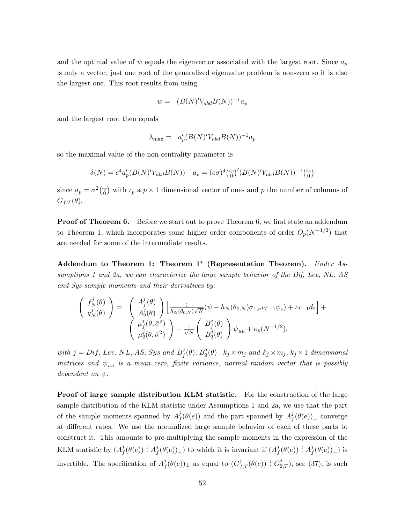and the optimal value of w equals the eigenvector associated with the largest root. Since  $a_p$ is only a vector, just one root of the generalized eigenvalue problem is non-zero so it is also the largest one. This root results from using

$$
w = (B(N)'V_{abd}B(N))^{-1}a_p
$$

and the largest root then equals

$$
\lambda_{\text{max}} = a'_p (B(N)' V_{abd} B(N))^{-1} a_p
$$

so the maximal value of the non-centrality parameter is

$$
\delta(N) = e^4 a'_p (B(N)' V_{abd} B(N))^{-1} a_p = (e \sigma)^4 {t_p \choose 0} (B(N)' V_{abd} B(N))^{-1} {t_p \choose 0}
$$

since  $a_p = \sigma^2 \binom{\iota_p}{0}$  $\binom{p}{0}$  with  $\iota_p$  a  $p \times 1$  dimensional vector of ones and p the number of columns of  $G_{f,T}(\theta)$ .

**Proof of Theorem 6.** Before we start out to prove Theorem 6, we first state an addendum to Theorem 1, which incorporates some higher order components of order  $O_p(N^{-1/2})$  that are needed for some of the intermediate results.

Addendum to Theorem 1: Theorem  $1^*$  (Representation Theorem). Under Assumptions 1 and 2a, we can characterize the large sample behavior of the Dif, Lev, NL, AS and Sys sample moments and their derivatives by:

$$
\begin{pmatrix}\nf_N^j(\theta) \\
\dot{q}_N^j(\theta)\n\end{pmatrix} = \begin{pmatrix}\nA_f^j(\theta) \\
A_q^j(\theta)\n\end{pmatrix} \left[\frac{1}{h_N(\theta_{0,N})\sqrt{N}}(\psi - h_N(\theta_{0,N})\sigma_{1,n}\iota_{T-1}\psi_c) + \iota_{T-1}d_2\right] + \frac{\mu_f^j(\theta, \bar{\sigma}^2)}{\mu_q^j(\theta, \bar{\sigma}^2)}\n\end{pmatrix} + \frac{1}{\sqrt{N}} \begin{pmatrix}\nB_f^j(\theta) \\
B_q^j(\theta)\n\end{pmatrix} \psi_{uu} + o_p(N^{-1/2}),
$$

with  $j = Diff, Lev, NL, AS, Sys and B<sup>j</sup>$  $f^j_f(\theta), B^j_q(\theta)$  :  $k_j \times m_j$  and  $k_j \times m_j$ ,  $k_j \times 1$  dimensional matrices and  $\psi_{uu}$  is a mean zero, finite variance, normal random vector that is possibly dependent on  $\psi$ .

Proof of large sample distribution KLM statistic. For the construction of the large sample distribution of the KLM statistic under Assumptions 1 and 2a, we use that the part of the sample moments spanned by  $A<sup>j</sup>$  $f_f^j(\theta(e))$  and the part spanned by  $A_f^j$  $f_f^j(\theta(e))_{\perp}$  converge at different rates. We use the normalized large sample behavior of each of these parts to construct it. This amounts to pre-multiplying the sample moments in the expression of the KLM statistic by  $(A<sup>j</sup>)$  $\frac{j}{f}(\theta(e)) \stackrel{\cdot}{:} \dot{A}^j_f$  $f^j(f(\theta(e))_{\perp})$  to which it is invariant if  $(A^j_f)$  $\frac{j}{f}(\theta(e)) \stackrel{\cdot}{:} A_f^j$  $^{\jmath}_{f}(\theta(e))_{\perp})$  is invertible. The specification of  $A<sup>j</sup>$  $f^j(\theta(e))_{\perp}$  as equal to  $(G^j_{f,T}(\theta(e)) : G^j_{2,T})$ , see (37), is such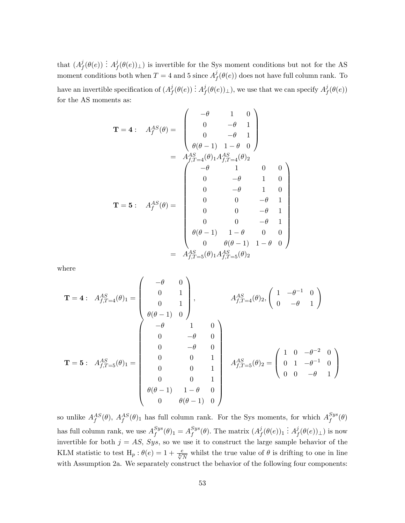that  $(A^j_t)$  $j_f^j(\theta(e)) \ \vdots \ A_f^j$  $f(\theta(e))_{\perp}$  is invertible for the Sys moment conditions but not for the AS moment conditions both when  $T = 4$  and 5 since  $A_I^j$  $f_f^{\jmath}(\theta(e))$  does not have full column rank. To have an invertible specification of  $(A<sup>j</sup>)$  $\frac{j}{f}(\theta(e)) \ \vdots \ A_f^j$  $f^j(f(\theta(e))_\perp)$ , we use that we can specify  $A^j_f$  $^{\jmath}_{f}(\theta(e))$ for the AS moments as:

$$
\mathbf{T} = 4: \quad A_f^{AS}(\theta) = \begin{pmatrix} -\theta & 1 & 0 \\ 0 & -\theta & 1 \\ 0 & -\theta & 1 \\ \theta(\theta - 1) & 1 - \theta & 0 \end{pmatrix}
$$

$$
= \quad A_{f,T=4}^{AS}(\theta) \begin{pmatrix} -\theta & 1 & 0 & 0 \\ 0 & -\theta & 1 & 0 & 0 \\ 0 & -\theta & 1 & 0 & 0 \\ 0 & -\theta & 1 & 0 & 0 \\ 0 & 0 & -\theta & 1 & 0 \\ 0 & 0 & 0 & -\theta & 1 \\ 0 & 0 & 0 & -\theta & 1 \\ 0 & 0 & 0 & -\theta & 1 \\ \theta(\theta - 1) & 1 - \theta & 0 & 0 \\ 0 & \theta(\theta - 1) & 1 - \theta & 0 \end{pmatrix}
$$

$$
= \quad A_{f,T=5}^{AS}(\theta) \begin{pmatrix} 1 & 0 & 0 & 0 \\ 0 & 0 & -\theta & 1 \\ 0 & \theta(\theta - 1) & 1 - \theta & 0 \\ 0 & \theta(\theta - 1) & 1 - \theta & 0 \end{pmatrix}
$$

where

$$
\mathbf{T} = 4: \quad A_{f,T=4}^{AS}(\theta) = \begin{pmatrix} -\theta & 0 \\ 0 & 1 \\ 0 & 1 \\ \theta(\theta - 1) & 0 \end{pmatrix}, \qquad A_{f,T=4}^{AS}(\theta) = 2, \begin{pmatrix} 1 & -\theta^{-1} & 0 \\ 0 & -\theta & 1 \\ 0 & -\theta & 1 \end{pmatrix}
$$

$$
\mathbf{T} = 5: \quad A_{f,T=5}^{AS}(\theta) = \begin{pmatrix} -\theta & 1 & 0 \\ 0 & 1 & 0 \\ 0 & -\theta & 0 \\ 0 & 0 & 1 \\ 0 & 0 & 1 \\ 0 & 0 & 1 \\ 0 & \theta(\theta - 1) & 1 - \theta & 0 \\ 0 & \theta(\theta - 1) & 0 \end{pmatrix} \qquad A_{f,T=5}^{AS}(\theta) = \begin{pmatrix} 1 & 0 & -\theta^{-2} & 0 \\ 0 & 1 & -\theta^{-1} & 0 \\ 0 & 0 & -\theta & 1 \end{pmatrix}
$$

so unlike  $A_f^{AS}(\theta)$ ,  $A_f^{AS}(\theta)$ <sub>1</sub> has full column rank. For the Sys moments, for which  $A_f^{Sys}$  $_f^{sys}(\theta)$ has full column rank, we use  $A^{Sys}_f$  $_{f}^{Sys}(\theta)_{1} = A_{f}^{Sys}$  $_{f}^{Sys}(\theta)$ . The matrix  $(A_f^j)$  $j_f^j(\theta(e))_1 \stackrel{\cdot}{:} A_f^j$  $f^{\jmath}(\theta(e))_{\perp})$  is now invertible for both  $j = AS$ , Sys, so we use it to construct the large sample behavior of the KLM statistic to test  $H_p: \theta(e) = 1 + \frac{e}{\sqrt[4]{N}}$  whilst the true value of  $\theta$  is drifting to one in line with Assumption 2a. We separately construct the behavior of the following four components: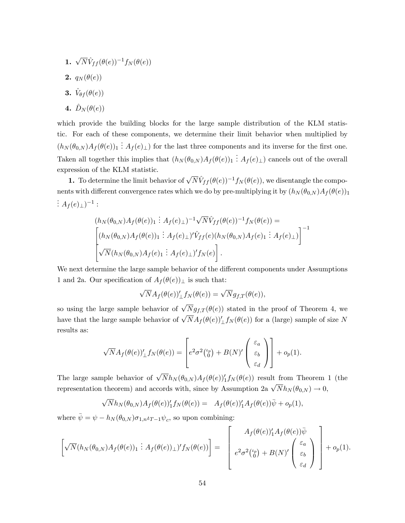- **1.**  $\sqrt{N} \hat{V}_{ff} (\theta(e))^{-1} f_N(\theta(e))$
- 2.  $q_N(\theta(e))$
- 3.  $\hat{V}_{\theta f}(\theta(e))$
- 4.  $\hat{D}_N (\theta(e))$

which provide the building blocks for the large sample distribution of the KLM statistic. For each of these components, we determine their limit behavior when multiplied by  $(h_N(\theta_{0,N})A_f(\theta(e))_1 : A_f(e)_\perp$  for the last three components and its inverse for the first one. Taken all together this implies that  $(h_N(\theta_{0,N})A_f(\theta(e))_1 : A_f(e)_\perp)$  cancels out of the overall expression of the KLM statistic.

**1.** To determine the limit behavior of  $\sqrt{N}\hat{V}_{ff} (\theta(e))^{-1}f_N(\theta(e))$ , we disentangle the components with different convergence rates which we do by pre-multiplying it by  $(h_N(\theta_{0,N})A_f(\theta(e)))$ :  $A_f(e)_\perp)^{-1}$  :

$$
(h_N(\theta_{0,N})A_f(\theta(e))_1 \nvert : A_f(e)_\perp)^{-1} \sqrt{N} \hat{V}_{ff}(\theta(e))^{-1} f_N(\theta(e)) =
$$
  
\n
$$
\left[ (h_N(\theta_{0,N})A_f(\theta(e))) : A_f(e)_\perp)' \hat{V}_{ff}(e) (h_N(\theta_{0,N})A_f(e)_1 : A_f(e)_\perp) \right]^{-1}
$$
  
\n
$$
\sqrt{N} (h_N(\theta_{0,N})A_f(e)_1 : A_f(e)_\perp)' f_N(e) \right].
$$

We next determine the large sample behavior of the different components under Assumptions 1 and 2a. Our specification of  $A_f(\theta(e))_{\perp}$  is such that:

$$
\sqrt{N}A_f(\theta(e))'_\perp f_N(\theta(e)) = \sqrt{N}g_{f,T}(\theta(e)),
$$

so using the large sample behavior of  $\sqrt{N}g_{f,T}(\theta(e))$  stated in the proof of Theorem 4, we have that the large sample behavior of  $\sqrt{N}A_f (\theta(e))'_\perp f_N(\theta(e))$  for a (large) sample of size N results as:

$$
\sqrt{N}A_f(\theta(e))'_\perp f_N(\theta(e)) = \left[e^2\sigma^2\binom{\iota_p}{0} + B(N)'\begin{pmatrix} \varepsilon_a \\ \varepsilon_b \\ \varepsilon_d \end{pmatrix}\right] + o_p(1).
$$

The large sample behavior of  $\sqrt{N}h_N(\theta_{0,N})A_f(\theta(e))_1 f_N(\theta(e))$  result from Theorem 1 (the representation theorem) and accords with, since by Assumption 2a  $\sqrt{N}h_N(\theta_{0,N}) \to 0$ ,

$$
\sqrt{N}h_N(\theta_{0,N})A_f(\theta(e))_1'f_N(\theta(e)) = A_f(\theta(e))_1'A_f(\theta(e))\overline{\psi} + o_p(1),
$$

where  $\bar{\psi} = \psi - h_N(\theta_{0,N}) \sigma_{1,n} \iota_{T-1} \psi_c$ , so upon combining:

$$
\[\sqrt{N}(h_N(\theta_{0,N})A_f(\theta(e))_1 : A_f(\theta(e))_\perp)'f_N(\theta(e))\] = \begin{bmatrix} A_f(\theta(e))_1'A_f(\theta(e))\overline{\psi} \\ e^2\sigma^2\binom{\psi}{0} + B(N)\binom{\varepsilon_a}{\varepsilon_b} \\ e^2\sigma^2\binom{\psi}{0} + B(N)\binom{\varepsilon_a}{\varepsilon_d}\end{bmatrix} + o_p(1).
$$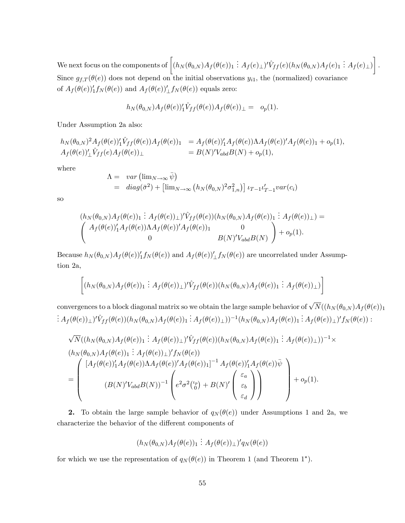We next focus on the components of  $\Bigl[(h_N(\theta_{0,N})A_f(\theta(e))_1\stackrel{\cdot}{:}A_f(e)_\bot)'\hat{V}_{ff}(e)(h_N(\theta_{0,N})A_f(e)_1\stackrel{\cdot}{:}A_f(e)_\bot)$ 1 Since  $g_{f,T}(\theta(e))$  does not depend on the initial observations  $y_{i1}$ , the (normalized) covariance of  $A_f(\theta(e))_1' f_N(\theta(e))$  and  $A_f(\theta(e))_1' f_N(\theta(e))$  equals zero:

:

$$
h_N(\theta_{0,N})A_f(\theta(e))_1'\hat{V}_{ff}(\theta(e))A_f(\theta(e))\_1 = o_p(1).
$$

Under Assumption 2a also:

$$
h_N(\theta_{0,N})^2 A_f(\theta(e))'_1 \hat{V}_{ff}(\theta(e)) A_f(\theta(e))_1 = A_f(\theta(e))'_1 A_f(\theta(e)) \Lambda A_f(\theta(e))' A_f(\theta(e))_1 + o_p(1),
$$
  
\n
$$
A_f(\theta(e))'_\perp \hat{V}_{ff}(e) A_f(\theta(e))_\perp = B(N)' V_{abd} B(N) + o_p(1),
$$

where

$$
\Lambda = \quad var \left( \lim_{N \to \infty} \bar{\psi} \right)
$$
  
= 
$$
diag(\bar{\sigma}^2) + \left[ \lim_{N \to \infty} \left( h_N(\theta_{0,N})^2 \sigma_{1,n}^2 \right) \right] \iota_{T-1} \iota_{T-1}' var(c_i)
$$

so

$$
(h_N(\theta_{0,N})A_f(\theta(e))_1 \nvert A_f(\theta(e))_1)' \hat{V}_{ff}(\theta(e))(h_N(\theta_{0,N})A_f(\theta(e))) \nvert A_f(\theta(e))_1 \nvert A_f(\theta(e))_1' A_f(\theta(e))A_f(\theta(e))_1'
$$
\n
$$
\begin{pmatrix} A_f(\theta(e))_1'A_f(\theta(e))A_f(\theta(e))A_f(\theta(e))_1 & 0 \\ 0 & B(N)'V_{abd}B(N) \end{pmatrix} + o_p(1).
$$

Because  $h_N(\theta_{0,N})A_f(\theta(e))_1'f_N(\theta(e))$  and  $A_f(\theta(e))_1'f_N(\theta(e))$  are uncorrelated under Assumption 2a,

$$
\left[ (h_N(\theta_{0,N}) A_f(\theta(e))) \, : \, A_f(\theta(e)) \perp)' \hat{V}_{ff}(\theta(e)) (h_N(\theta_{0,N}) A_f(\theta(e))) \, : \, A_f(\theta(e)) \perp) \right]
$$

convergences to a block diagonal matrix so we obtain the large sample behavior of  $\sqrt{N}((h_N (\theta_{0,N}) A_f(\theta(e)))$  $\frac{1}{2}\cdot A_f(\theta(e))_\perp$ )' $\hat{V}_{ff}(\theta(e))(h_N(\theta_{0,N})A_f(\theta(e))_\perp : A_f(\theta(e))_\perp))^{-1}(h_N(\theta_{0,N})A_f(\theta(e))_\perp : A_f(\theta(e))_\perp)'f_N(\theta(e))\n\neq 0$ 

$$
\sqrt{N}((h_N(\theta_{0,N})A_f(\theta(e))) \t\t: : A_f(\theta(e))_\perp)' \hat{V}_{ff}(\theta(e))(h_N(\theta_{0,N})A_f(\theta(e))) \t: : A_f(\theta(e))_\perp)^{-1} \times (h_N(\theta_{0,N})A_f(\theta(e))) \t: : A_f(\theta(e))_\perp)' f_N(\theta(e))
$$
\n
$$
= \begin{pmatrix} [A_f(\theta(e))_1'A_f(\theta(e)) \Delta A_f(\theta(e)) \Delta A_f(\theta(e))]^{-1} A_f(\theta(e))_1'A_f(\theta(e)) \bar{\psi} \\ (B(N)'V_{abd}B(N))^{-1} \begin{pmatrix} \varepsilon_a \\ \varepsilon^2 \sigma^2 \binom{\iota_b}{0} + B(N)' \begin{pmatrix} \varepsilon_a \\ \varepsilon_b \\ \varepsilon_d \end{pmatrix} \end{pmatrix} + o_p(1).
$$

2. To obtain the large sample behavior of  $q_N(\theta(e))$  under Assumptions 1 and 2a, we characterize the behavior of the different components of

$$
(h_N(\theta_{0,N})A_f(\theta(e))_1 \nvert A_f(\theta(e))_\perp)'q_N(\theta(e))
$$

for which we use the representation of  $q_N(\theta(e))$  in Theorem 1 (and Theorem 1<sup>\*</sup>).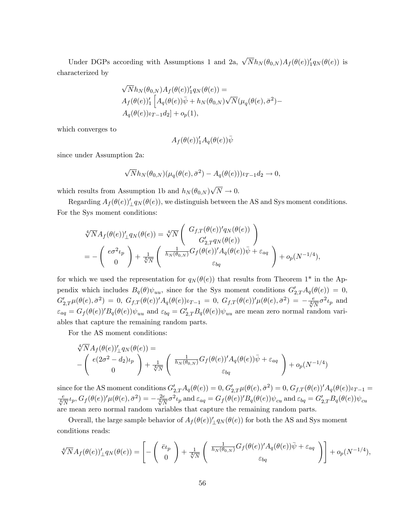Under DGPs according with Assumptions 1 and 2a,  $\sqrt{N}h_N(\theta_{0,N})A_f(\theta(e))_1'q_N(\theta(e))$  is characterized by

$$
\sqrt{N}h_N(\theta_{0,N})A_f(\theta(e))'_1q_N(\theta(e)) =
$$
  
\n
$$
A_f(\theta(e))'_1 \left[ A_q(\theta(e))\bar{\psi} + h_N(\theta_{0,N})\sqrt{N}(\mu_q(\theta(e), \bar{\sigma}^2) - A_q(\theta(e))\nu_{T-1}d_2) + o_p(1), \right.
$$

which converges to

$$
A_f(\theta(e))_1'A_q(\theta(e))\overline{\psi}
$$

since under Assumption 2a:

$$
\sqrt{N}h_N(\theta_{0,N})(\mu_q(\theta(e),\bar{\sigma}^2)-A_q(\theta(e)))\iota_{T-1}d_2\to 0,
$$

which results from Assumption 1b and  $h_N(\theta_{0,N})\sqrt{N} \to 0$ .

Regarding  $A_f(\theta(e))'_\perp q_N(\theta(e))$ , we distinguish between the AS and Sys moment conditions. For the Sys moment conditions:

$$
\sqrt[4]{N}A_f(\theta(e))'_\perp q_N(\theta(e)) = \sqrt[4]{N} \left( \begin{array}{c} G_{f,T}(\theta(e))'_q(\theta(e)) \\ G'_{2,T}q_N(\theta(e)) \end{array} \right)
$$
  
= 
$$
- \left( \begin{array}{c} e\sigma^2\iota_p \\ 0 \end{array} \right) + \frac{1}{\sqrt[4]{N}} \left( \begin{array}{c} \frac{1}{h_N(\theta_{0,N})} G_f(\theta(e))'_q(\theta(e)) \bar{\psi} + \varepsilon_{aq} \\ \varepsilon_{bq} \end{array} \right) + o_p(N^{-1/4}),
$$

for which we used the representation for  $q_N(\theta(e))$  that results from Theorem 1<sup>\*</sup> in the Appendix which includes  $B_q(\theta)\psi_{uu}$ , since for the Sys moment conditions  $G'_{2,T}A_q(\theta(e))=0$ ,  $G'_{2,T}\mu(\theta(e),\bar{\sigma}^2) = 0$ ,  $G_{f,T}(\theta(e))'A_q(\theta(e))\iota_{T-1} = 0$ ,  $G_{f,T}(\theta(e))'\mu(\theta(e),\bar{\sigma}^2) = -\frac{e}{\sqrt[4]{N}}\sigma^2\iota_p$  and  $\varepsilon_{aq} = G_f(\theta(e))' B_q(\theta(e)) \psi_{uu}$  and  $\varepsilon_{bq} = G'_{2,T} B_q(\theta(e)) \psi_{uu}$  are mean zero normal random variables that capture the remaining random parts.

For the AS moment conditions:

$$
\sqrt[4]{N}A_f(\theta(e))'_\perp q_N(\theta(e)) =
$$
\n
$$
-\left(\begin{array}{c} e(2\sigma^2 - d_2)\iota_p \\ 0 \end{array}\right) + \frac{1}{\sqrt[4]{N}}\left(\begin{array}{c} \frac{1}{h_N(\theta_{0,N})}G_f(\theta(e))'A_q(\theta(e))\bar{\psi} + \varepsilon_{aq} \\ \varepsilon_{bq} \end{array}\right) + o_p(N^{-1/4})
$$

since for the AS moment conditions  $G'_{2,T}A_q(\theta(e)) = 0$ ,  $G'_{2,T}\mu(\theta(e), \bar{\sigma}^2) = 0$ ,  $G_{f,T}(\theta(e))'A_q(\theta(e))\iota_{T-1} = 0$  $\frac{e}{\sqrt[4]{N}}\iota_p$ ,  $G_f(\theta(e))'\mu(\theta(e),\bar{\sigma}^2) = -\frac{2e}{\sqrt[4]{N}}\sigma^2\iota_p$  and  $\varepsilon_{aq} = G_f(\theta(e))'B_q(\theta(e))\psi_{cu}$  and  $\varepsilon_{bq} = G'_{2,T}B_q(\theta(e))\psi_{cu}$ are mean zero normal random variables that capture the remaining random parts.

Overall, the large sample behavior of  $A_f(\theta(e))'_\perp q_N(\theta(e))$  for both the AS and Sys moment conditions reads:

$$
\sqrt[4]{N}A_f(\theta(e))'_\perp q_N(\theta(e)) = \left[ -\left(\begin{array}{c} \bar{e}\iota_p \\ 0 \end{array}\right) + \frac{1}{\sqrt[4]{N}} \left(\begin{array}{c} \frac{1}{h_N(\theta_{0,N})} G_f(\theta(e))' A_q(\theta(e)) \bar{\psi} + \varepsilon_{aq} \\ \varepsilon_{bq} \end{array}\right) \right] + o_p(N^{-1/4}),
$$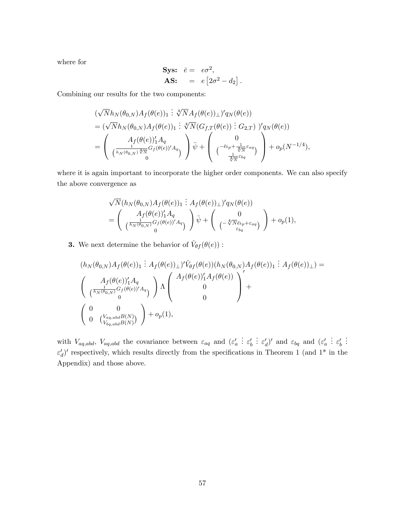where for

$$
\begin{aligned}\n\textbf{Sys:} \quad \bar{e} &= e\sigma^2, \\
\textbf{AS:} \quad &= e\left[2\sigma^2 - d_2\right].\n\end{aligned}
$$

Combining our results for the two components:

$$
\begin{split}\n&(\sqrt{N}h_N(\theta_{0,N})A_f(\theta(e))_1 \div \sqrt[N]{N}A_f(\theta(e))_{\perp})'q_N(\theta(e)) \\
&= (\sqrt{N}h_N(\theta_{0,N})A_f(\theta(e))_1 \div \sqrt[N]{N}(G_{f,T}(\theta(e)) \div G_{2,T})'q_N(\theta(e)) \\
&= \left(\begin{array}{c} A_f(\theta(e))_1'A_q \\ \frac{1}{\left(h_N(\theta_{0,N})\sqrt[N]{N}\right)}G_f(\theta(e))'A_q \\ 0 \end{array}\right) \bar{\psi} + \left(\begin{array}{c} 0 \\ \left(\frac{1}{\phi_{N}+\frac{1}{\sqrt[N]{N}}\epsilon_{aq}}\right) \\ \frac{1}{\sqrt[N]{N}}\epsilon_{bq} \end{array}\right) + o_p(N^{-1/4}),\n\end{split}
$$

where it is again important to incorporate the higher order components. We can also specify the above convergence as

$$
\sqrt{N}(h_N(\theta_{0,N})A_f(\theta(e))_1 \nvert A_f(\theta(e))_\perp)'q_N(\theta(e))
$$
\n
$$
= \begin{pmatrix} A_f(\theta(e))_1'A_q \\ \frac{1}{(h_N(\theta_{0,N})}G_f(\theta(e))'A_q \\ 0 \end{pmatrix} \overline{\psi} + \begin{pmatrix} 0 \\ -\sqrt[4]{h\varepsilon}e_p + \varepsilon_{aq} \\ \frac{\varepsilon_{bq}}{h\varepsilon_{bq}} \end{pmatrix} + o_p(1),
$$

**3.** We next determine the behavior of  $\hat{V}_{\theta f}(\theta(e))$ :

$$
(h_N(\theta_{0,N})A_f(\theta(e))_1 : A_f(\theta(e))_1)' \hat{V}_{\theta f}(\theta(e))(h_N(\theta_{0,N})A_f(\theta(e))) : A_f(\theta(e))_1) =
$$
  

$$
\begin{pmatrix} A_f(\theta(e))_1'A_q \\ \frac{1}{\binom{h_N(\theta_{0,N})}{0}} G_f(\theta(e))'A_q \\ 0 \end{pmatrix} \Lambda \begin{pmatrix} A_f(\theta(e))_1'A_f(\theta(e)) \\ 0 \\ 0 \end{pmatrix} +
$$
  

$$
\begin{pmatrix} 0 & 0 \\ 0 & \binom{V_{aq,abd}B(N)}{V_{bq,abd}B(N)} \end{pmatrix} + o_p(1),
$$

with  $V_{aq,abd}$ ,  $V_{aq,abd}$  the covariance between  $\varepsilon_{aq}$  and  $(\varepsilon_a)$  $\vdots$   $\varepsilon'_b$  $\colon \varepsilon_d')'$  and  $\varepsilon_{bq}$  and  $(\varepsilon_a')$  $\vdots$   $\varepsilon'_b$ . . .  $\varepsilon_d'$ )' respectively, which results directly from the specifications in Theorem 1 (and 1<sup>\*</sup> in the Appendix) and those above.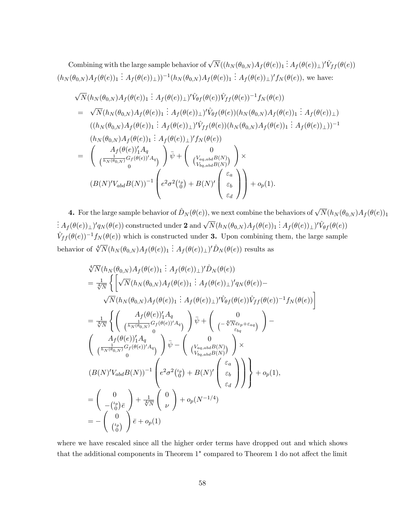Combining with the large sample behavior of  $\sqrt{N}((h_N(\theta_{0,N})A_f(\theta(e))_1 : A_f(\theta(e))_{\perp})' \hat{V}_{ff}(\theta(e)))$  $(h_N(\theta_{0,N})A_f(\theta(e))_1 : A_f(\theta(e))_{\perp}))^{-1}(h_N(\theta_{0,N})A_f(\theta(e))_1 : A_f(\theta(e))_{\perp})'f_N(\theta(e)),$  we have:

$$
\sqrt{N}(h_N(\theta_{0,N})A_f(\theta(e))_1 : A_f(\theta(e))_1)' \hat{V}_{\theta f}(\theta(e)) \hat{V}_{ff}(\theta(e))^{-1} f_N(\theta(e))
$$
\n
$$
= \sqrt{N}(h_N(\theta_{0,N})A_f(\theta(e))_1 : A_f(\theta(e))_1)' \hat{V}_{\theta f}(\theta(e)) (h_N(\theta_{0,N})A_f(\theta(e))_1 : A_f(\theta(e))_1)
$$
\n
$$
((h_N(\theta_{0,N})A_f(\theta(e))_1 : A_f(\theta(e))_1)' \hat{V}_{ff}(\theta(e)) (h_N(\theta_{0,N})A_f(\theta(e))_1 : A_f(\theta(e))_1))^{-1}
$$
\n
$$
(h_N(\theta_{0,N})A_f(\theta(e))_1 : A_f(\theta(e))_1)' f_N(\theta(e))
$$
\n
$$
= \begin{pmatrix} A_f(\theta(e))_1'A_q & 0 \\ (\frac{1}{h_N(\theta_{0,N})}G_f(\theta(e))_1'A_q & 0 \\ 0 & 0 \end{pmatrix} \overline{\psi} + \begin{pmatrix} 0 \\ (V_{aq,abd}B(N) \\ (V_{bq,abd}B(N)) \end{pmatrix} \times
$$
\n
$$
(B(N)'V_{abd}B(N))^{-1} \begin{pmatrix} e^2 \sigma^2 \binom{\iota_p}{0} + B(N) \binom{\varepsilon_a}{\varepsilon_b} \\ \varepsilon_d \end{pmatrix} + o_p(1).
$$

**4.** For the large sample behavior of  $\hat{D}_N (\theta(e))$ , we next combine the behaviors of  $\sqrt{N}(h_N (\theta_{0,N})A_f (\theta(e)))$  $\frac{1}{2}$   $A_f(\theta(e))_\perp$   $\int' q_N(\theta(e))$  constructed under 2 and  $\sqrt{N}(h_N(\theta_{0,N})A_f(\theta(e))_1 \ \vdots A_f(\theta(e))_\perp)'\hat{V}_{\theta f}(\theta(e))$  $\hat{V}_{ff} (\theta(e))^{-1} f_N (\theta(e))$  which is constructed under 3. Upon combining them, the large sample behavior of  $\sqrt[4]{N}(h_N(\theta_{0,N})A_f(\theta(e)))$  :  $A_f(\theta(e))_\perp)'D_N(\theta(e))$  results as

$$
\sqrt[4]{N}(h_N(\theta_{0,N})A_f(\theta(e))_1 : A_f(\theta(e))_1)' \hat{D}_N(\theta(e))
$$
\n
$$
= \frac{1}{\sqrt[4]{N}} \left\{ \left[ \sqrt{N}(h_N(\theta_{0,N})A_f(\theta(e))_1 : A_f(\theta(e))_1)' q_N(\theta(e)) - \sqrt{N}(h_N(\theta_{0,N})A_f(\theta(e))_1 : A_f(\theta(e))_1)' \hat{V}_{\theta f}(\theta(e)) \hat{V}_{f f}(\theta(e))^{-1} f_N(\theta(e)) \right] \right\}
$$
\n
$$
= \frac{1}{\sqrt[4]{N}} \left\{ \left( \frac{A_f(\theta(e))_1'A_q}{\left(\frac{1}{h_N(\theta_{0,N})} G_f(\theta(e))' A_q\right)} \right) \bar{\psi} + \left( \frac{0}{\left(\frac{1}{h_N(\theta_{0,N})} G_f(\theta(e))' A_q\right)} \right) - \left( \frac{A_f(\theta(e))_1'A_q}{\left(\frac{1}{h_N(\theta_{0,N})} G_f(\theta(e))' A_q\right)} \right) \bar{\psi} - \left( \frac{0}{\left(\frac{V_{aq,abd} B(N)}{V_{bq,abd} B(N)}\right)} \right) \times
$$
\n
$$
(B(N)'V_{abd}B(N))^{-1} \left( e^2 \sigma^2 \left( \frac{t_p}{0} \right) + B(N)' \left( \frac{\varepsilon_a}{\varepsilon_b} \right) \right) \right\} + o_p(1),
$$
\n
$$
= \left( \frac{0}{-\left( \frac{t_p}{0} \right) \bar{e}} \right) + \frac{1}{\sqrt[4]{N}} \left( \frac{0}{\nu} \right) + o_p(N^{-1/4})
$$
\n
$$
= -\left( \frac{0}{\left( \frac{t_p}{0} \right)} \right) \bar{e} + o_p(1)
$$

where we have rescaled since all the higher order terms have dropped out and which shows that the additional components in Theorem  $1^*$  compared to Theorem 1 do not affect the limit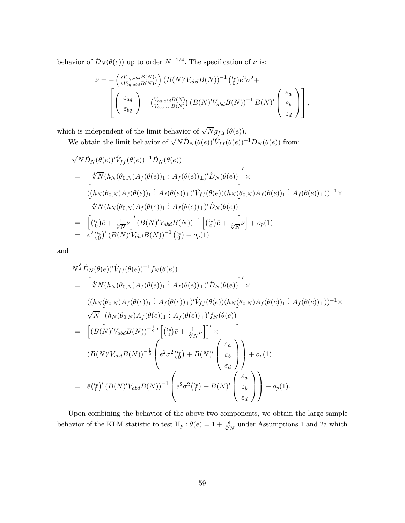behavior of  $\hat{D}_N (\theta(e))$  up to order  $N^{-1/4}$ . The specification of  $\nu$  is:

$$
\nu = -\left( {V_{bq,abd}^{a}B(N) \choose V_{bq,abd}B(N)} \right) (B(N)'V_{abd}B(N))^{-1} {t_p \choose 0} e^2 \sigma^2 + \left[ \left( \begin{array}{c} \varepsilon_{aq} \\ \varepsilon_{bq} \end{array} \right) - {V_{aq,abd}B(N) \choose V_{bq,abd}B(N)} (B(N)'V_{abd}B(N))^{-1} B(N)' \left( \begin{array}{c} \varepsilon_a \\ \varepsilon_b \\ \varepsilon_d \end{array} \right) \right],
$$

which is independent of the limit behavior of  $\sqrt{N}g_{f,T}(\theta(e))$ .

We obtain the limit behavior of  $\sqrt{N}\hat{D}_N(\theta(e))^{\prime}\hat{V}_{ff}(\theta(e))^{-1}D_N(\theta(e))$  from:

$$
\sqrt{N} \hat{D}_N(\theta(e))^{\prime} \hat{V}_{ff}(\theta(e))^{-1} \hat{D}_N(\theta(e))
$$
\n
$$
= \left[ \sqrt[4]{N} (h_N(\theta_{0,N}) A_f(\theta(e))) \; : \; A_f(\theta(e))_{\perp} \right] \hat{D}_N(\theta(e)) \Big] \times
$$
\n
$$
((h_N(\theta_{0,N}) A_f(\theta(e))) \; : \; A_f(\theta(e))_{\perp} \right) \hat{V}_{ff}(\theta(e)) (h_N(\theta_{0,N}) A_f(\theta(e))) \; : \; A_f(\theta(e))_{\perp})^{-1} \times
$$
\n
$$
\left[ \sqrt[4]{N} (h_N(\theta_{0,N}) A_f(\theta(e))) \; : \; A_f(\theta(e))_{\perp} \right) \hat{D}_N(\theta(e)) \right]
$$
\n
$$
= \left[ \left( \frac{\mu_p}{0} \right) \bar{e} + \frac{1}{\sqrt[4]{N}} \nu \right] \cdot (B(N)^{\prime} V_{abd} B(N))^{-1} \left[ \left( \frac{\mu_p}{0} \right) \bar{e} + \frac{1}{\sqrt[4]{N}} \nu \right] + o_p(1)
$$
\n
$$
= \bar{e}^2 \left( \frac{\mu_p}{0} \right) \cdot (B(N)^{\prime} V_{abd} B(N))^{-1} \left( \frac{\mu_p}{0} \right) + o_p(1)
$$

and

$$
N^{\frac{3}{4}}\hat{D}_{N}(\theta(e))'\hat{V}_{ff}(\theta(e))^{-1}f_{N}(\theta(e))
$$
\n
$$
= \left[\sqrt[4]{N}(h_{N}(\theta_{0,N})A_{f}(\theta(e))_{1} : A_{f}(\theta(e))_{\perp})'\hat{D}_{N}(\theta(e))\right]'\times
$$
\n
$$
((h_{N}(\theta_{0,N})A_{f}(\theta(e))_{1} : A_{f}(\theta(e))_{\perp})'\hat{V}_{ff}(\theta(e))(h_{N}(\theta_{0,N})A_{f}(\theta(e))_{\perp})^{-1}\times
$$
\n
$$
\sqrt{N}\left[(h_{N}(\theta_{0,N})A_{f}(\theta(e))_{1} : A_{f}(\theta(e))_{\perp})'f_{N}(\theta(e))\right]
$$
\n
$$
= \left[(B(N)'V_{abd}B(N))^{-\frac{1}{2}}'\left[\binom{\mu_{p}}{0}\bar{e} + \frac{1}{\sqrt[4]{N}}\nu\right]\right]'\times
$$
\n
$$
(B(N)'V_{abd}B(N))^{-\frac{1}{2}}\left(e^{2}\sigma^{2}\binom{\mu_{p}}{0} + B(N)'\left(\begin{array}{c}\varepsilon_{a} \\ \varepsilon_{b} \\ \varepsilon_{d}\end{array}\right)\right) + o_{p}(1)
$$
\n
$$
= \bar{e}\binom{\mu_{p}}{0}'}(B(N)'V_{abd}B(N))^{-1}\left(e^{2}\sigma^{2}\binom{\mu_{p}}{0} + B(N)'\left(\begin{array}{c}\varepsilon_{a} \\ \varepsilon_{b} \\ \varepsilon_{d}\end{array}\right)\right) + o_{p}(1).
$$

Upon combining the behavior of the above two components, we obtain the large sample behavior of the KLM statistic to test  $H_p$ :  $\theta(e) = 1 + \frac{e}{\sqrt[4]{N}}$  under Assumptions 1 and 2a which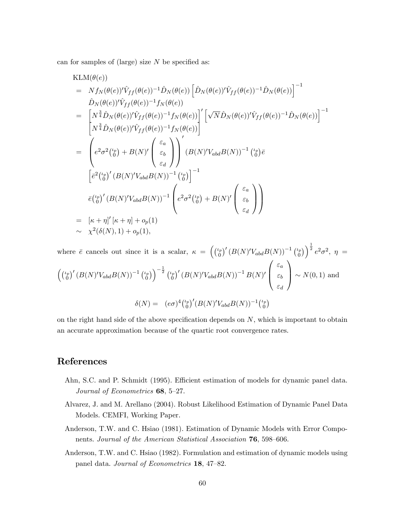can for samples of (large) size  $N$  be specified as:

$$
\begin{split}\n\text{KLM}(\theta(e)) \\
&= N f_N(\theta(e))' \hat{V}_{ff}(\theta(e))^{-1} \hat{D}_N(\theta(e)) \left[ \hat{D}_N(\theta(e))' \hat{V}_{ff}(\theta(e))^{-1} \hat{D}_N(\theta(e)) \right]^{-1} \\
&= \hat{D}_N(\theta(e))' \hat{V}_{ff}(\theta(e))^{-1} f_N(\theta(e)) \\
&= \left[ N^{\frac{3}{4}} \hat{D}_N(\theta(e))' \hat{V}_{ff}(\theta(e))^{-1} f_N(\theta(e)) \right]' \left[ \sqrt{N} \hat{D}_N(\theta(e))' \hat{V}_{ff}(\theta(e))^{-1} \hat{D}_N(\theta(e)) \right]^{-1} \\
&= \left( e^2 \sigma^2 \binom{\iota_p}{0} + B(N) \left( \begin{array}{c} \varepsilon_a \\ \varepsilon_b \end{array} \right) \right)' (B(N)' V_{abd} B(N))^{-1} \binom{\iota_p}{0} \bar{e} \\
&\left[ \bar{e}^2 \binom{\iota_p}{0}' (B(N)' V_{abd} B(N))^{-1} \binom{\iota_p}{0} \right]^{-1} \\
&\bar{e} \binom{\iota_p}{0}' (B(N)' V_{abd} B(N))^{-1} \binom{\iota_p}{0} \right]^{-1} \\
&= \left[ \kappa + \eta \right]' \left[ \kappa + \eta \right] + o_p(1) \\
&\sim \chi^2(\delta(N), 1) + o_p(1),\n\end{split}
$$

where  $\bar{e}$  cancels out since it is a scalar,  $\kappa = \begin{pmatrix} \ell_p & \ell_p \end{pmatrix}$  $\left( \begin{smallmatrix} \mathbb{F}_p \ 0 \end{smallmatrix} \right)^{\prime} \left( B(N)'V_{abd}B(N) \right)^{-1} \left( \begin{smallmatrix} \iota_p \ 0 \end{smallmatrix} \right)$  $\left( \begin{matrix} \mu_p \ 0 \end{matrix} \right) \right)^{\frac{1}{2}} e^2 \sigma^2, \; \eta \; =$  $\int$  $\left( \begin{smallmatrix} \mu_p \ 0 \end{smallmatrix} \right)^{\prime} \left( B(N)' V_{abd} B(N) \right)^{-1} \left( \begin{smallmatrix} \mu_p \ 0 \end{smallmatrix} \right)$  $\left(\begin{smallmatrix} \iota_p \ 0 \end{smallmatrix} \right) \Big)^{-\frac{1}{2}} \left(\begin{smallmatrix} \iota_p \ 0 \end{smallmatrix} \right)$  $\left(B(N)^\prime V_{abd} B(N)\right)^{-1} B(N)^\prime$  $\sqrt{ }$  $\overline{ }$  $\varepsilon_a$  $\varepsilon_b$  $\varepsilon_d$ 1  $\bigg| \sim N(0, 1)$  and  $\delta(N) = (e\sigma)^4 \binom{\iota_p}{0}$  $\left( \begin{smallmatrix} \mu_p \ 0 \end{smallmatrix} \right)^{\prime} \!(B(N)'V_{abd}B(N))^{-1} \left( \begin{smallmatrix} \mu_p \ 0 \end{smallmatrix} \right)$  $\binom{p}{0}$ 

on the right hand side of the above specification depends on  $N$ , which is important to obtain an accurate approximation because of the quartic root convergence rates.

# References

- Ahn, S.C. and P. Schmidt (1995). Efficient estimation of models for dynamic panel data. Journal of Econometrics  $68, 5-27$ .
- Alvarez, J. and M. Arellano (2004). Robust Likelihood Estimation of Dynamic Panel Data Models. CEMFI, Working Paper.
- Anderson, T.W. and C. Hsiao (1981). Estimation of Dynamic Models with Error Components. Journal of the American Statistical Association 76, 598–606.
- Anderson, T.W. and C. Hsiao (1982). Formulation and estimation of dynamic models using panel data. Journal of Econometrics 18, 47–82.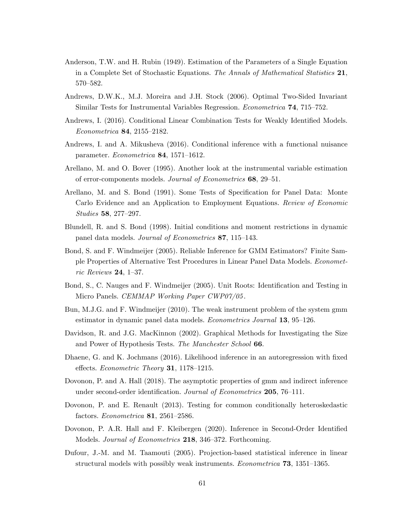- Anderson, T.W. and H. Rubin (1949). Estimation of the Parameters of a Single Equation in a Complete Set of Stochastic Equations. The Annals of Mathematical Statistics 21, 570-582.
- Andrews, D.W.K., M.J. Moreira and J.H. Stock (2006). Optimal Two-Sided Invariant Similar Tests for Instrumental Variables Regression. *Econometrica* **74**, 715–752.
- Andrews, I. (2016). Conditional Linear Combination Tests for Weakly Identified Models.  $Econometrica$  84, 2155–2182.
- Andrews, I. and A. Mikusheva (2016). Conditional inference with a functional nuisance parameter.  $Econometrica$  84, 1571-1612.
- Arellano, M. and O. Bover (1995). Another look at the instrumental variable estimation of error-components models. Journal of Econometrics 68, 29–51.
- Arellano, M. and S. Bond (1991). Some Tests of Specification for Panel Data: Monte Carlo Evidence and an Application to Employment Equations. Review of Economic Studies 58, 277–297.
- Blundell, R. and S. Bond (1998). Initial conditions and moment restrictions in dynamic panel data models. *Journal of Econometrics* 87, 115–143.
- Bond, S. and F. Windmeijer (2005). Reliable Inference for GMM Estimators? Finite Sample Properties of Alternative Test Procedures in Linear Panel Data Models. Econometric Reviews 24, 1–37.
- Bond, S., C. Nauges and F. Windmeijer (2005). Unit Roots: Identification and Testing in Micro Panels. *CEMMAP Working Paper CWP07/05*.
- Bun, M.J.G. and F. Windmeijer (2010). The weak instrument problem of the system gmm estimator in dynamic panel data models. *Econometrics Journal* 13, 95–126.
- Davidson, R. and J.G. MacKinnon (2002). Graphical Methods for Investigating the Size and Power of Hypothesis Tests. The Manchester School 66.
- Dhaene, G. and K. Jochmans (2016). Likelihood inference in an autoregression with fixed effects. *Econometric Theory* **31**, 1178–1215.
- Dovonon, P. and A. Hall (2018). The asymptotic properties of gmm and indirect inference under second-order identification. Journal of Econometrics 205, 76–111.
- Dovonon, P. and E. Renault (2013). Testing for common conditionally heteroskedastic factors. *Econometrica* **81**, 2561–2586.
- Dovonon, P. A.R. Hall and F. Kleibergen (2020). Inference in Second-Order Identified Models. *Journal of Econometrics* 218, 346–372. Forthcoming.
- Dufour, J.-M. and M. Taamouti (2005). Projection-based statistical inference in linear structural models with possibly weak instruments. *Econometrica* **73**,  $1351-1365$ .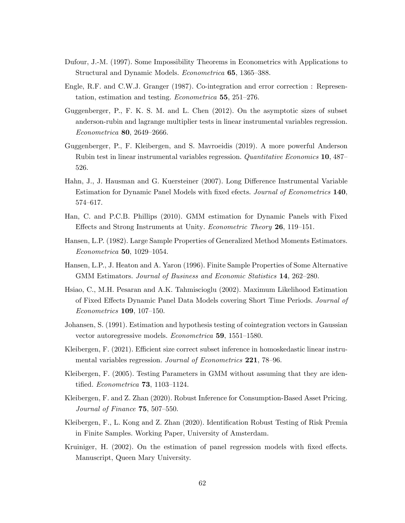- Dufour, J.-M. (1997). Some Impossibility Theorems in Econometrics with Applications to Structural and Dynamic Models. *Econometrica* 65, 1365–388.
- Engle, R.F. and C.W.J. Granger (1987). Co-integration and error correction : Representation, estimation and testing. *Econometrica* 55, 251–276.
- Guggenberger, P., F. K. S. M. and L. Chen (2012). On the asymptotic sizes of subset anderson-rubin and lagrange multiplier tests in linear instrumental variables regression.  $Econometrica$  80, 2649–2666.
- Guggenberger, P., F. Kleibergen, and S. Mavroeidis (2019). A more powerful Anderson Rubin test in linear instrumental variables regression. Quantitative Economics 10, 487 526.
- Hahn, J., J. Hausman and G. Kuersteiner (2007). Long Difference Instrumental Variable Estimation for Dynamic Panel Models with fixed efects. Journal of Econometrics 140, 574-617.
- Han, C. and P.C.B. Phillips (2010). GMM estimation for Dynamic Panels with Fixed Effects and Strong Instruments at Unity. *Econometric Theory* **26**, 119–151.
- Hansen, L.P. (1982). Large Sample Properties of Generalized Method Moments Estimators.  $Econometrica$  **50**, 1029–1054.
- Hansen, L.P., J. Heaton and A. Yaron (1996). Finite Sample Properties of Some Alternative GMM Estimators. Journal of Business and Economic Statistics 14, 262-280.
- Hsiao, C., M.H. Pesaran and A.K. Tahmiscioglu (2002). Maximum Likelihood Estimation of Fixed Effects Dynamic Panel Data Models covering Short Time Periods. Journal of  $Econometrics 109, 107–150.$
- Johansen, S. (1991). Estimation and hypothesis testing of cointegration vectors in Gaussian vector autoregressive models. *Econometrica* 59,  $1551-1580$ .
- Kleibergen, F. (2021). Efficient size correct subset inference in homoskedastic linear instrumental variables regression. Journal of Econometrics 221, 78–96.
- Kleibergen, F. (2005). Testing Parameters in GMM without assuming that they are identified. *Econometrica*  $73$ , 1103–1124.
- Kleibergen, F. and Z. Zhan (2020). Robust Inference for Consumption-Based Asset Pricing. Journal of Finance  $75, 507-550$ .
- Kleibergen, F., L. Kong and Z. Zhan (2020). Identification Robust Testing of Risk Premia in Finite Samples. Working Paper, University of Amsterdam.
- Kruiniger, H. (2002). On the estimation of panel regression models with fixed effects. Manuscript, Queen Mary University.